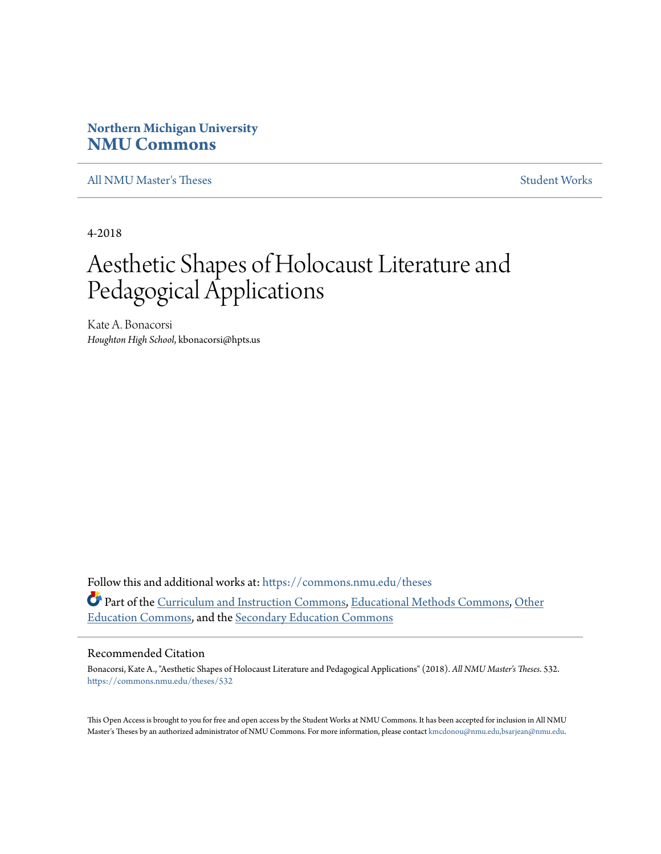## **Northern Michigan University [NMU Commons](https://commons.nmu.edu?utm_source=commons.nmu.edu%2Ftheses%2F532&utm_medium=PDF&utm_campaign=PDFCoverPages)**

[All NMU Master's Theses](https://commons.nmu.edu/theses?utm_source=commons.nmu.edu%2Ftheses%2F532&utm_medium=PDF&utm_campaign=PDFCoverPages) [Student Works](https://commons.nmu.edu/student_works?utm_source=commons.nmu.edu%2Ftheses%2F532&utm_medium=PDF&utm_campaign=PDFCoverPages)

4-2018

# Aesthetic Shapes of Holocaust Literature and Pedagogical Applications

Kate A. Bonacorsi *Houghton High School*, kbonacorsi@hpts.us

Follow this and additional works at: [https://commons.nmu.edu/theses](https://commons.nmu.edu/theses?utm_source=commons.nmu.edu%2Ftheses%2F532&utm_medium=PDF&utm_campaign=PDFCoverPages) Part of the [Curriculum and Instruction Commons](http://network.bepress.com/hgg/discipline/786?utm_source=commons.nmu.edu%2Ftheses%2F532&utm_medium=PDF&utm_campaign=PDFCoverPages), [Educational Methods Commons,](http://network.bepress.com/hgg/discipline/1227?utm_source=commons.nmu.edu%2Ftheses%2F532&utm_medium=PDF&utm_campaign=PDFCoverPages) [Other](http://network.bepress.com/hgg/discipline/811?utm_source=commons.nmu.edu%2Ftheses%2F532&utm_medium=PDF&utm_campaign=PDFCoverPages) [Education Commons](http://network.bepress.com/hgg/discipline/811?utm_source=commons.nmu.edu%2Ftheses%2F532&utm_medium=PDF&utm_campaign=PDFCoverPages), and the [Secondary Education Commons](http://network.bepress.com/hgg/discipline/1382?utm_source=commons.nmu.edu%2Ftheses%2F532&utm_medium=PDF&utm_campaign=PDFCoverPages)

#### Recommended Citation

Bonacorsi, Kate A., "Aesthetic Shapes of Holocaust Literature and Pedagogical Applications" (2018). *All NMU Master's Theses*. 532. [https://commons.nmu.edu/theses/532](https://commons.nmu.edu/theses/532?utm_source=commons.nmu.edu%2Ftheses%2F532&utm_medium=PDF&utm_campaign=PDFCoverPages)

This Open Access is brought to you for free and open access by the Student Works at NMU Commons. It has been accepted for inclusion in All NMU Master's Theses by an authorized administrator of NMU Commons. For more information, please contact [kmcdonou@nmu.edu,bsarjean@nmu.edu.](mailto:kmcdonou@nmu.edu,bsarjean@nmu.edu)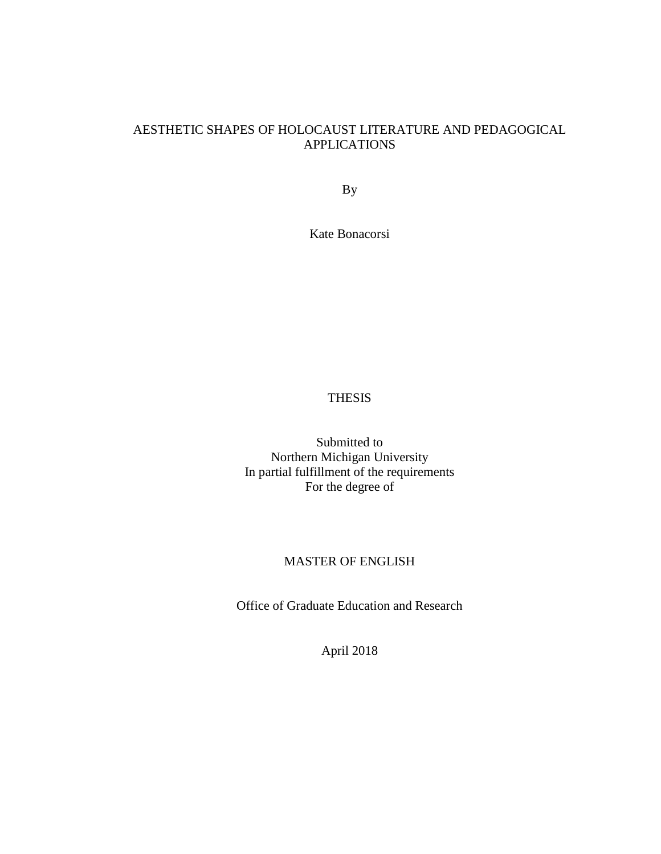## AESTHETIC SHAPES OF HOLOCAUST LITERATURE AND PEDAGOGICAL APPLICATIONS

By

Kate Bonacorsi

#### THESIS

Submitted to Northern Michigan University In partial fulfillment of the requirements For the degree of

### MASTER OF ENGLISH

Office of Graduate Education and Research

April 2018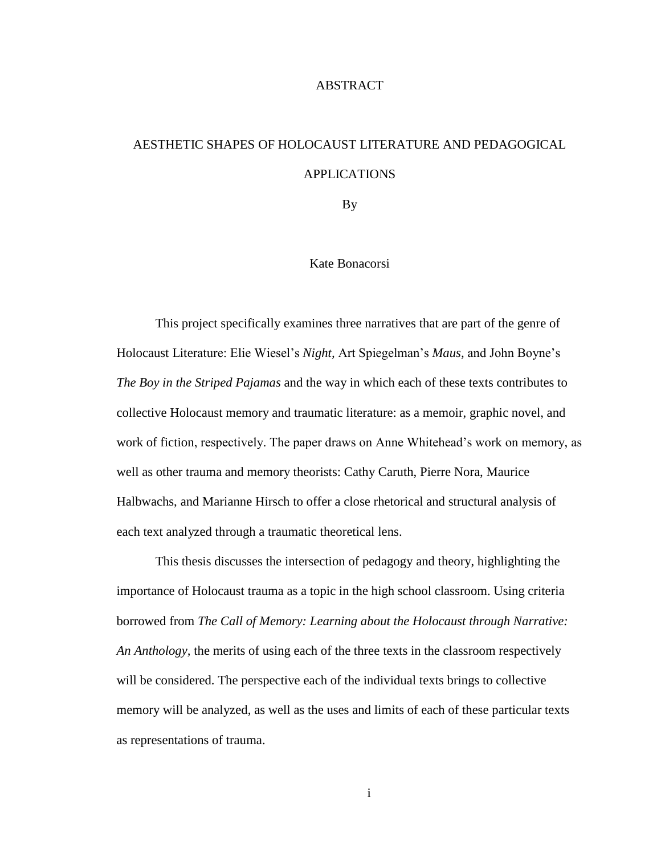#### ABSTRACT

## AESTHETIC SHAPES OF HOLOCAUST LITERATURE AND PEDAGOGICAL APPLICATIONS

By

#### Kate Bonacorsi

This project specifically examines three narratives that are part of the genre of Holocaust Literature: Elie Wiesel's *Night,* Art Spiegelman's *Maus,* and John Boyne's *The Boy in the Striped Pajamas* and the way in which each of these texts contributes to collective Holocaust memory and traumatic literature: as a memoir, graphic novel, and work of fiction, respectively. The paper draws on Anne Whitehead's work on memory, as well as other trauma and memory theorists: Cathy Caruth, Pierre Nora, Maurice Halbwachs, and Marianne Hirsch to offer a close rhetorical and structural analysis of each text analyzed through a traumatic theoretical lens.

This thesis discusses the intersection of pedagogy and theory, highlighting the importance of Holocaust trauma as a topic in the high school classroom. Using criteria borrowed from *The Call of Memory: Learning about the Holocaust through Narrative: An Anthology,* the merits of using each of the three texts in the classroom respectively will be considered. The perspective each of the individual texts brings to collective memory will be analyzed, as well as the uses and limits of each of these particular texts as representations of trauma.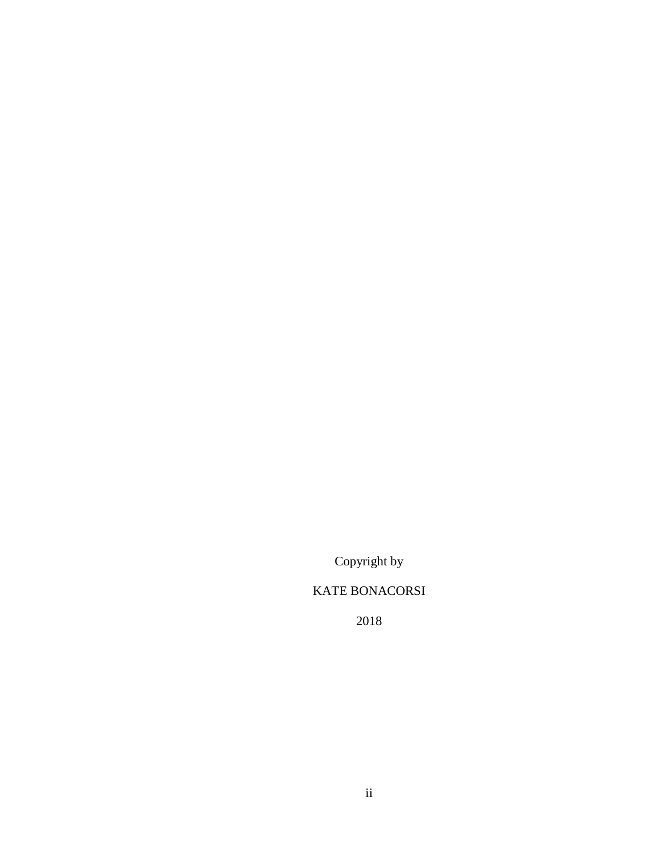Copyright by

## KATE BONACORSI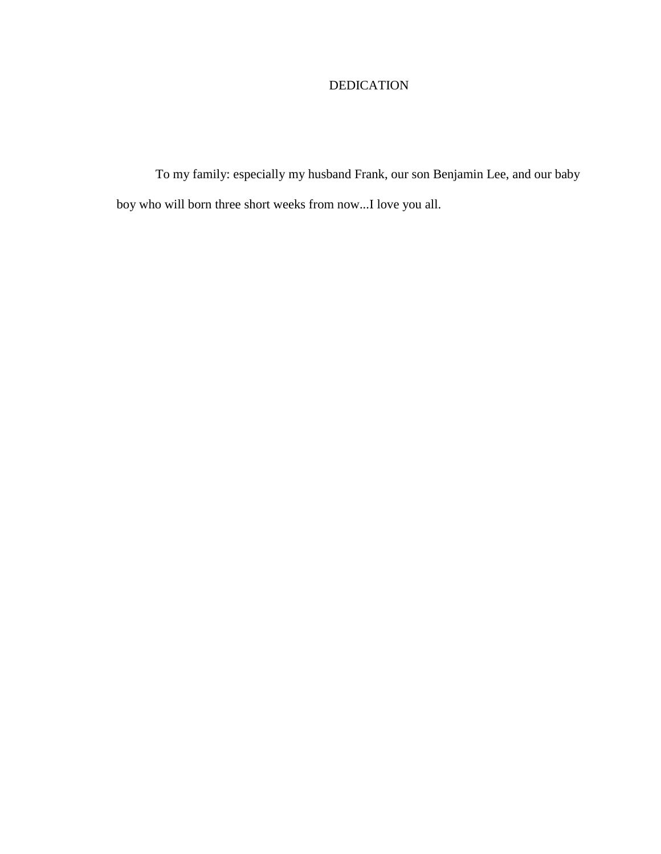## DEDICATION

To my family: especially my husband Frank, our son Benjamin Lee, and our baby boy who will born three short weeks from now...I love you all.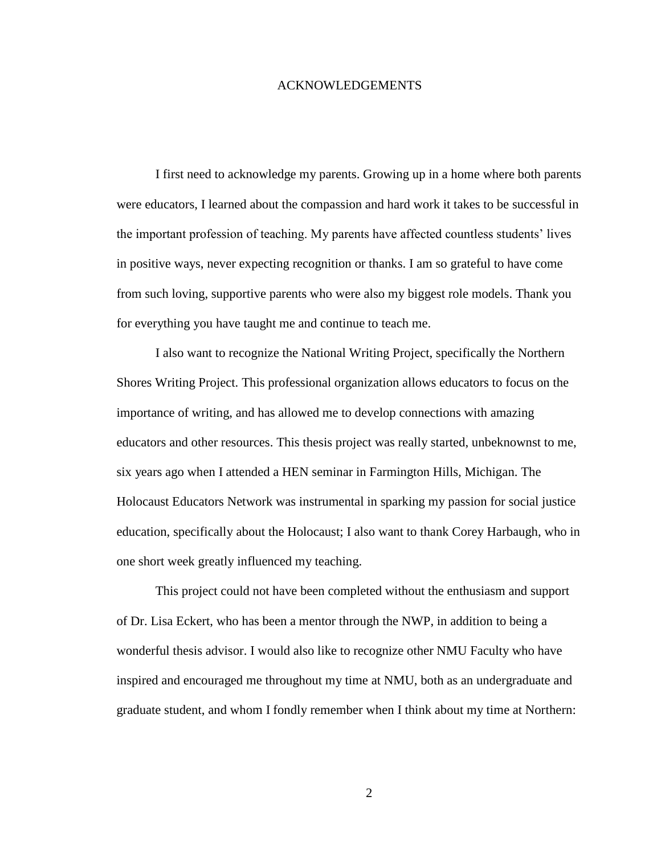#### ACKNOWLEDGEMENTS

I first need to acknowledge my parents. Growing up in a home where both parents were educators, I learned about the compassion and hard work it takes to be successful in the important profession of teaching. My parents have affected countless students' lives in positive ways, never expecting recognition or thanks. I am so grateful to have come from such loving, supportive parents who were also my biggest role models. Thank you for everything you have taught me and continue to teach me.

I also want to recognize the National Writing Project, specifically the Northern Shores Writing Project. This professional organization allows educators to focus on the importance of writing, and has allowed me to develop connections with amazing educators and other resources. This thesis project was really started, unbeknownst to me, six years ago when I attended a HEN seminar in Farmington Hills, Michigan. The Holocaust Educators Network was instrumental in sparking my passion for social justice education, specifically about the Holocaust; I also want to thank Corey Harbaugh, who in one short week greatly influenced my teaching.

This project could not have been completed without the enthusiasm and support of Dr. Lisa Eckert, who has been a mentor through the NWP, in addition to being a wonderful thesis advisor. I would also like to recognize other NMU Faculty who have inspired and encouraged me throughout my time at NMU, both as an undergraduate and graduate student, and whom I fondly remember when I think about my time at Northern: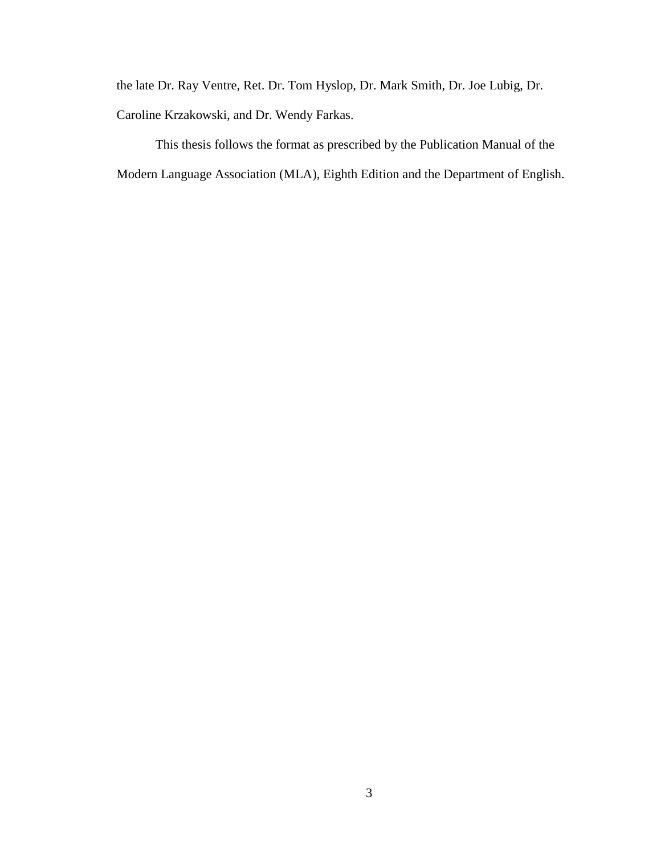the late Dr. Ray Ventre, Ret. Dr. Tom Hyslop, Dr. Mark Smith, Dr. Joe Lubig, Dr. Caroline Krzakowski, and Dr. Wendy Farkas.

This thesis follows the format as prescribed by the Publication Manual of the Modern Language Association (MLA), Eighth Edition and the Department of English.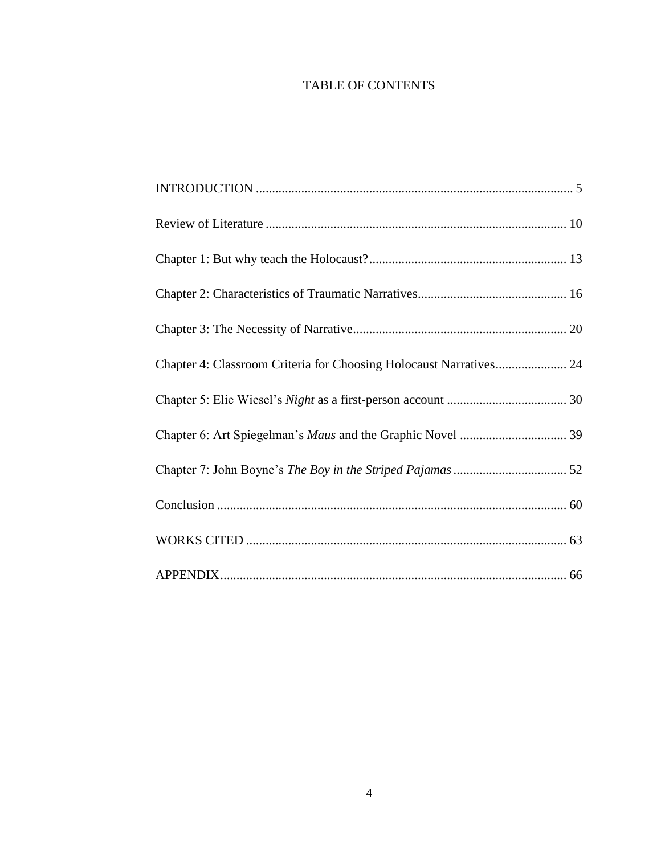## TABLE OF CONTENTS

| Chapter 4: Classroom Criteria for Choosing Holocaust Narratives 24 |
|--------------------------------------------------------------------|
|                                                                    |
|                                                                    |
|                                                                    |
|                                                                    |
|                                                                    |
|                                                                    |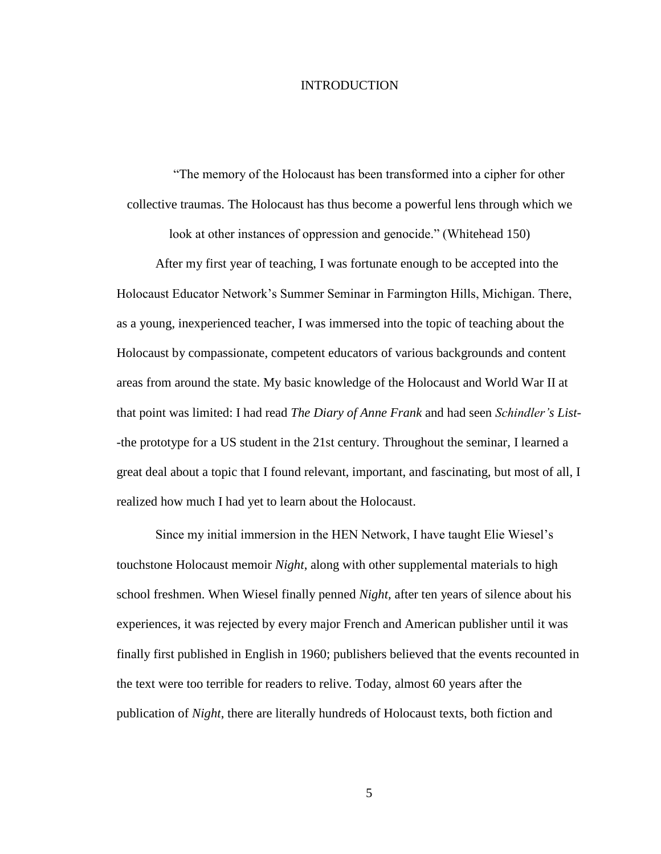#### INTRODUCTION

<span id="page-8-0"></span>"The memory of the Holocaust has been transformed into a cipher for other collective traumas. The Holocaust has thus become a powerful lens through which we

look at other instances of oppression and genocide." (Whitehead 150)

After my first year of teaching, I was fortunate enough to be accepted into the Holocaust Educator Network's Summer Seminar in Farmington Hills, Michigan. There, as a young, inexperienced teacher, I was immersed into the topic of teaching about the Holocaust by compassionate, competent educators of various backgrounds and content areas from around the state. My basic knowledge of the Holocaust and World War II at that point was limited: I had read *The Diary of Anne Frank* and had seen *Schindler's List*- -the prototype for a US student in the 21st century. Throughout the seminar, I learned a great deal about a topic that I found relevant, important, and fascinating, but most of all, I realized how much I had yet to learn about the Holocaust.

Since my initial immersion in the HEN Network, I have taught Elie Wiesel's touchstone Holocaust memoir *Night*, along with other supplemental materials to high school freshmen. When Wiesel finally penned *Night,* after ten years of silence about his experiences, it was rejected by every major French and American publisher until it was finally first published in English in 1960; publishers believed that the events recounted in the text were too terrible for readers to relive. Today, almost 60 years after the publication of *Night*, there are literally hundreds of Holocaust texts, both fiction and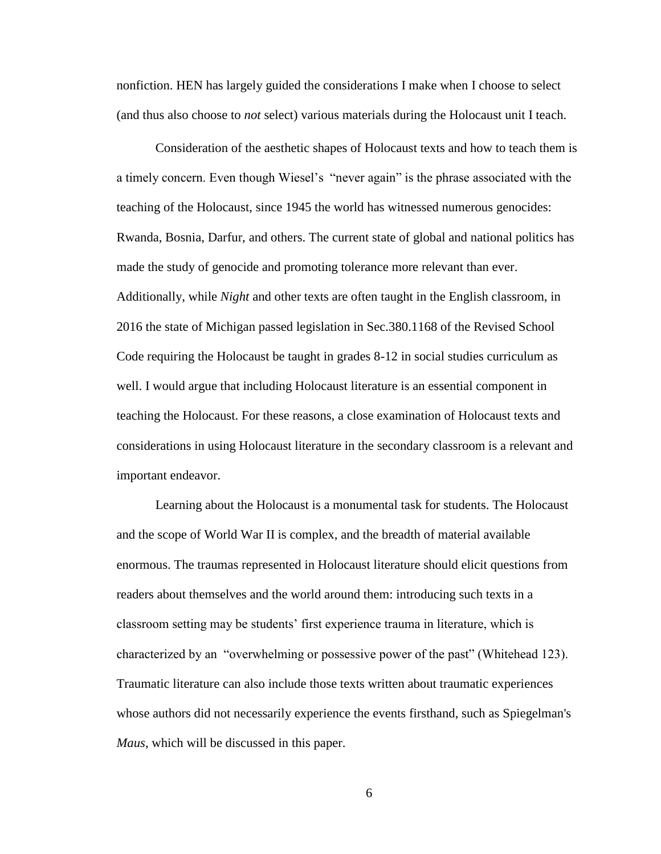nonfiction. HEN has largely guided the considerations I make when I choose to select (and thus also choose to *not* select) various materials during the Holocaust unit I teach.

Consideration of the aesthetic shapes of Holocaust texts and how to teach them is a timely concern. Even though Wiesel's "never again" is the phrase associated with the teaching of the Holocaust, since 1945 the world has witnessed numerous genocides: Rwanda, Bosnia, Darfur, and others. The current state of global and national politics has made the study of genocide and promoting tolerance more relevant than ever. Additionally, while *Night* and other texts are often taught in the English classroom, in 2016 the state of Michigan passed legislation in Sec.380.1168 of the Revised School Code requiring the Holocaust be taught in grades 8-12 in social studies curriculum as well. I would argue that including Holocaust literature is an essential component in teaching the Holocaust. For these reasons, a close examination of Holocaust texts and considerations in using Holocaust literature in the secondary classroom is a relevant and important endeavor.

Learning about the Holocaust is a monumental task for students. The Holocaust and the scope of World War II is complex, and the breadth of material available enormous. The traumas represented in Holocaust literature should elicit questions from readers about themselves and the world around them: introducing such texts in a classroom setting may be students' first experience trauma in literature, which is characterized by an "overwhelming or possessive power of the past" (Whitehead 123). Traumatic literature can also include those texts written about traumatic experiences whose authors did not necessarily experience the events firsthand, such as Spiegelman's *Maus*, which will be discussed in this paper.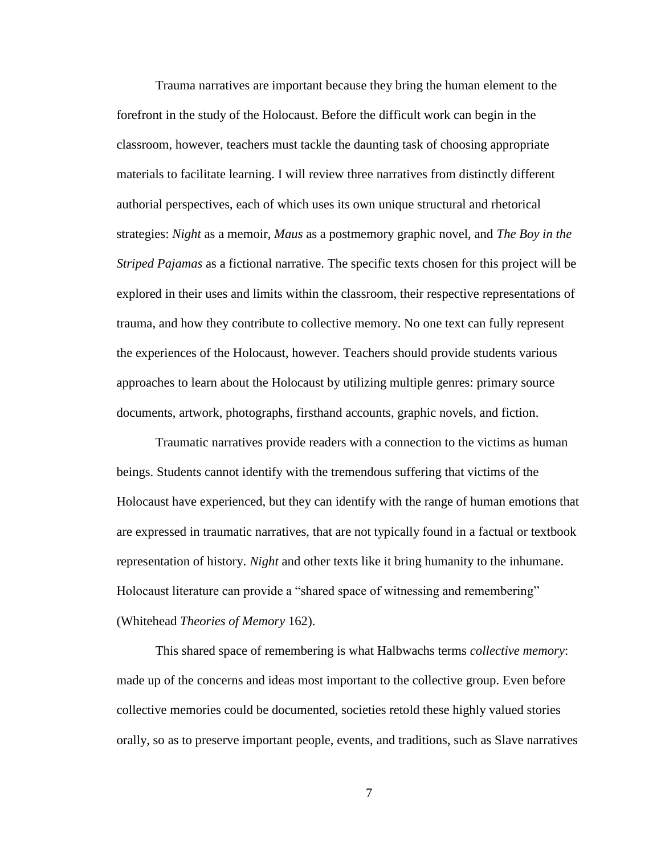Trauma narratives are important because they bring the human element to the forefront in the study of the Holocaust. Before the difficult work can begin in the classroom, however, teachers must tackle the daunting task of choosing appropriate materials to facilitate learning. I will review three narratives from distinctly different authorial perspectives, each of which uses its own unique structural and rhetorical strategies: *Night* as a memoir, *Maus* as a postmemory graphic novel, and *The Boy in the Striped Pajamas* as a fictional narrative. The specific texts chosen for this project will be explored in their uses and limits within the classroom, their respective representations of trauma, and how they contribute to collective memory. No one text can fully represent the experiences of the Holocaust, however. Teachers should provide students various approaches to learn about the Holocaust by utilizing multiple genres: primary source documents, artwork, photographs, firsthand accounts, graphic novels, and fiction.

Traumatic narratives provide readers with a connection to the victims as human beings. Students cannot identify with the tremendous suffering that victims of the Holocaust have experienced, but they can identify with the range of human emotions that are expressed in traumatic narratives, that are not typically found in a factual or textbook representation of history. *Night* and other texts like it bring humanity to the inhumane. Holocaust literature can provide a "shared space of witnessing and remembering" (Whitehead *Theories of Memory* 162).

This shared space of remembering is what Halbwachs terms *collective memory*: made up of the concerns and ideas most important to the collective group. Even before collective memories could be documented, societies retold these highly valued stories orally, so as to preserve important people, events, and traditions, such as Slave narratives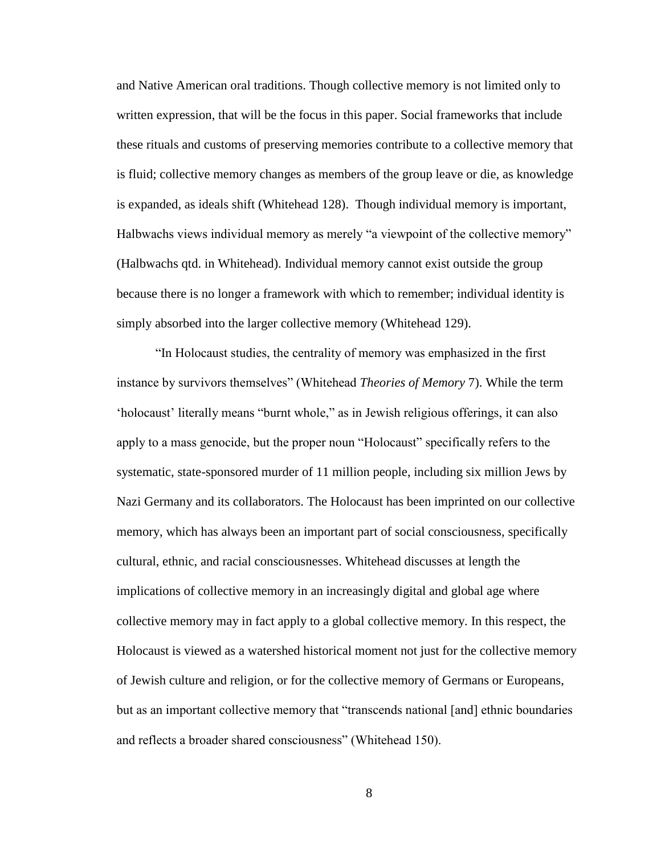and Native American oral traditions. Though collective memory is not limited only to written expression, that will be the focus in this paper. Social frameworks that include these rituals and customs of preserving memories contribute to a collective memory that is fluid; collective memory changes as members of the group leave or die, as knowledge is expanded, as ideals shift (Whitehead 128). Though individual memory is important, Halbwachs views individual memory as merely "a viewpoint of the collective memory" (Halbwachs qtd. in Whitehead). Individual memory cannot exist outside the group because there is no longer a framework with which to remember; individual identity is simply absorbed into the larger collective memory (Whitehead 129).

"In Holocaust studies, the centrality of memory was emphasized in the first instance by survivors themselves" (Whitehead *Theories of Memory* 7). While the term 'holocaust' literally means "burnt whole," as in Jewish religious offerings, it can also apply to a mass genocide, but the proper noun "Holocaust" specifically refers to the systematic, state-sponsored murder of 11 million people, including six million Jews by Nazi Germany and its collaborators. The Holocaust has been imprinted on our collective memory, which has always been an important part of social consciousness, specifically cultural, ethnic, and racial consciousnesses. Whitehead discusses at length the implications of collective memory in an increasingly digital and global age where collective memory may in fact apply to a global collective memory. In this respect, the Holocaust is viewed as a watershed historical moment not just for the collective memory of Jewish culture and religion, or for the collective memory of Germans or Europeans, but as an important collective memory that "transcends national [and] ethnic boundaries and reflects a broader shared consciousness" (Whitehead 150).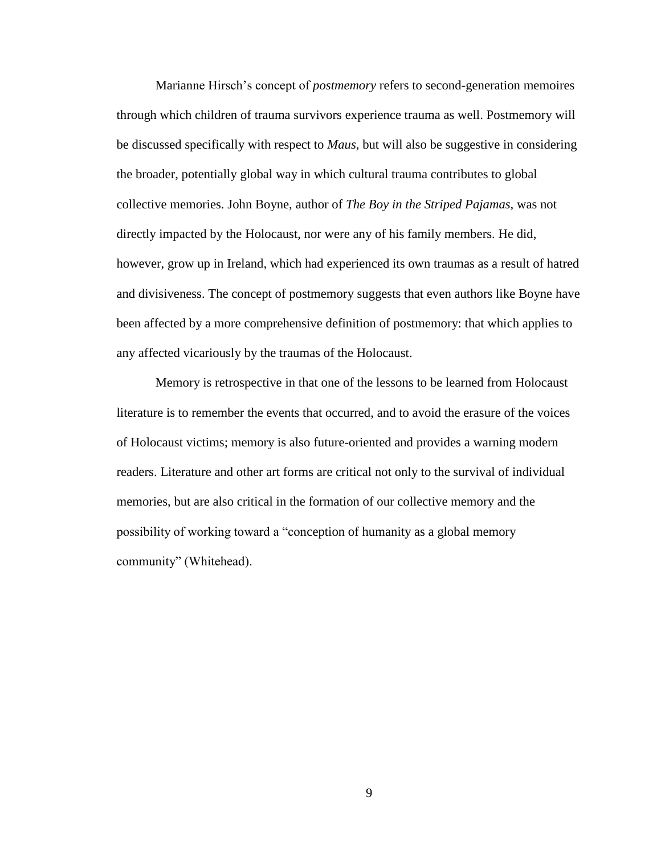Marianne Hirsch's concept of *postmemory* refers to second-generation memoires through which children of trauma survivors experience trauma as well. Postmemory will be discussed specifically with respect to *Maus*, but will also be suggestive in considering the broader, potentially global way in which cultural trauma contributes to global collective memories. John Boyne, author of *The Boy in the Striped Pajamas,* was not directly impacted by the Holocaust, nor were any of his family members. He did, however, grow up in Ireland, which had experienced its own traumas as a result of hatred and divisiveness. The concept of postmemory suggests that even authors like Boyne have been affected by a more comprehensive definition of postmemory: that which applies to any affected vicariously by the traumas of the Holocaust.

Memory is retrospective in that one of the lessons to be learned from Holocaust literature is to remember the events that occurred, and to avoid the erasure of the voices of Holocaust victims; memory is also future-oriented and provides a warning modern readers. Literature and other art forms are critical not only to the survival of individual memories, but are also critical in the formation of our collective memory and the possibility of working toward a "conception of humanity as a global memory community" (Whitehead).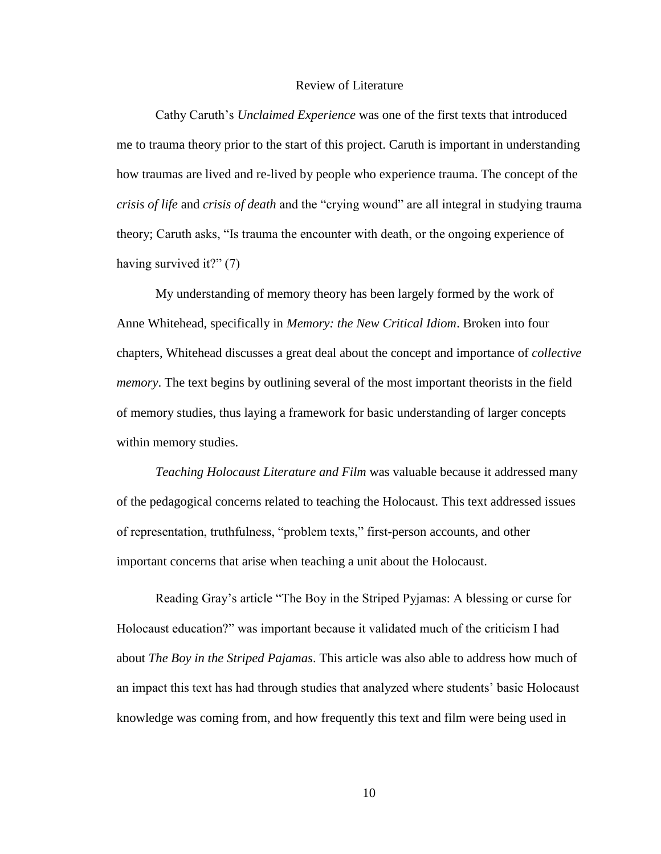#### Review of Literature

<span id="page-13-0"></span>Cathy Caruth's *Unclaimed Experience* was one of the first texts that introduced me to trauma theory prior to the start of this project. Caruth is important in understanding how traumas are lived and re-lived by people who experience trauma. The concept of the *crisis of life* and *crisis of death* and the "crying wound" are all integral in studying trauma theory; Caruth asks, "Is trauma the encounter with death, or the ongoing experience of having survived it?" (7)

My understanding of memory theory has been largely formed by the work of Anne Whitehead, specifically in *Memory: the New Critical Idiom*. Broken into four chapters, Whitehead discusses a great deal about the concept and importance of *collective memory*. The text begins by outlining several of the most important theorists in the field of memory studies, thus laying a framework for basic understanding of larger concepts within memory studies.

*Teaching Holocaust Literature and Film* was valuable because it addressed many of the pedagogical concerns related to teaching the Holocaust. This text addressed issues of representation, truthfulness, "problem texts," first-person accounts, and other important concerns that arise when teaching a unit about the Holocaust.

Reading Gray's article "The Boy in the Striped Pyjamas: A blessing or curse for Holocaust education?" was important because it validated much of the criticism I had about *The Boy in the Striped Pajamas*. This article was also able to address how much of an impact this text has had through studies that analyzed where students' basic Holocaust knowledge was coming from, and how frequently this text and film were being used in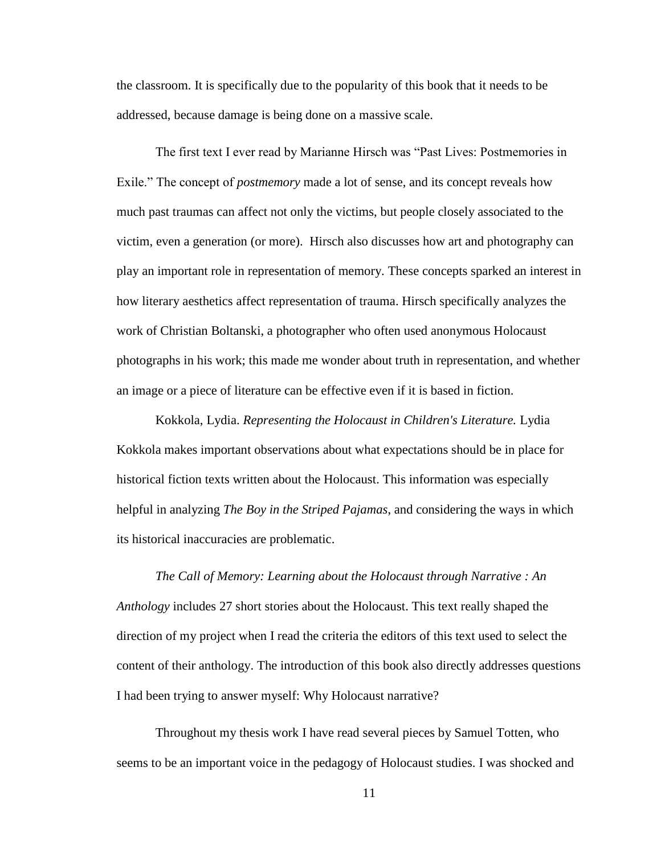the classroom. It is specifically due to the popularity of this book that it needs to be addressed, because damage is being done on a massive scale.

The first text I ever read by Marianne Hirsch was "Past Lives: Postmemories in Exile." The concept of *postmemory* made a lot of sense, and its concept reveals how much past traumas can affect not only the victims, but people closely associated to the victim, even a generation (or more). Hirsch also discusses how art and photography can play an important role in representation of memory. These concepts sparked an interest in how literary aesthetics affect representation of trauma. Hirsch specifically analyzes the work of Christian Boltanski, a photographer who often used anonymous Holocaust photographs in his work; this made me wonder about truth in representation, and whether an image or a piece of literature can be effective even if it is based in fiction.

Kokkola, Lydia. *Representing the Holocaust in Children's Literature.* Lydia Kokkola makes important observations about what expectations should be in place for historical fiction texts written about the Holocaust. This information was especially helpful in analyzing *The Boy in the Striped Pajamas*, and considering the ways in which its historical inaccuracies are problematic.

*The Call of Memory: Learning about the Holocaust through Narrative : An Anthology* includes 27 short stories about the Holocaust. This text really shaped the direction of my project when I read the criteria the editors of this text used to select the content of their anthology. The introduction of this book also directly addresses questions I had been trying to answer myself: Why Holocaust narrative?

Throughout my thesis work I have read several pieces by Samuel Totten, who seems to be an important voice in the pedagogy of Holocaust studies. I was shocked and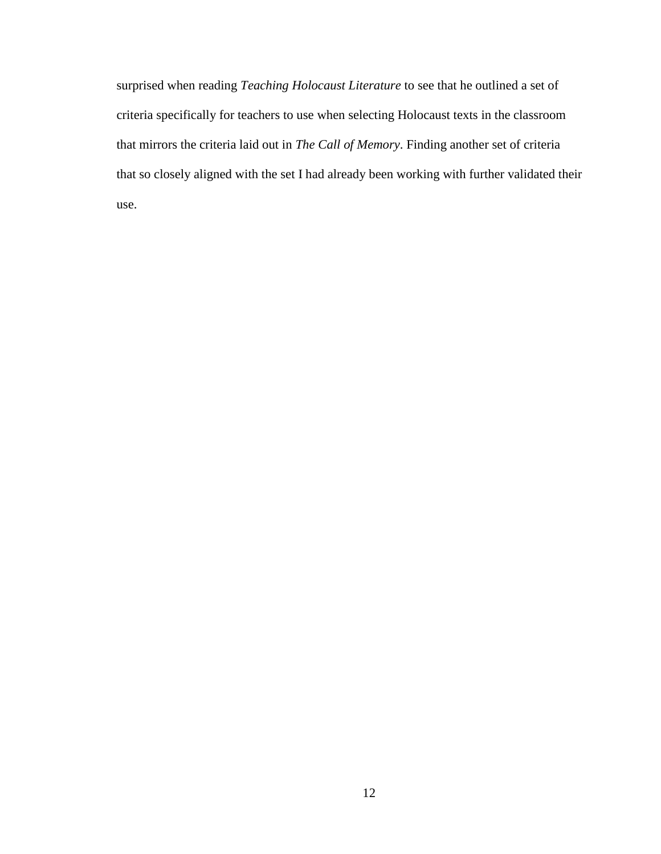<span id="page-15-0"></span>surprised when reading *Teaching Holocaust Literature* to see that he outlined a set of criteria specifically for teachers to use when selecting Holocaust texts in the classroom that mirrors the criteria laid out in *The Call of Memory*. Finding another set of criteria that so closely aligned with the set I had already been working with further validated their use.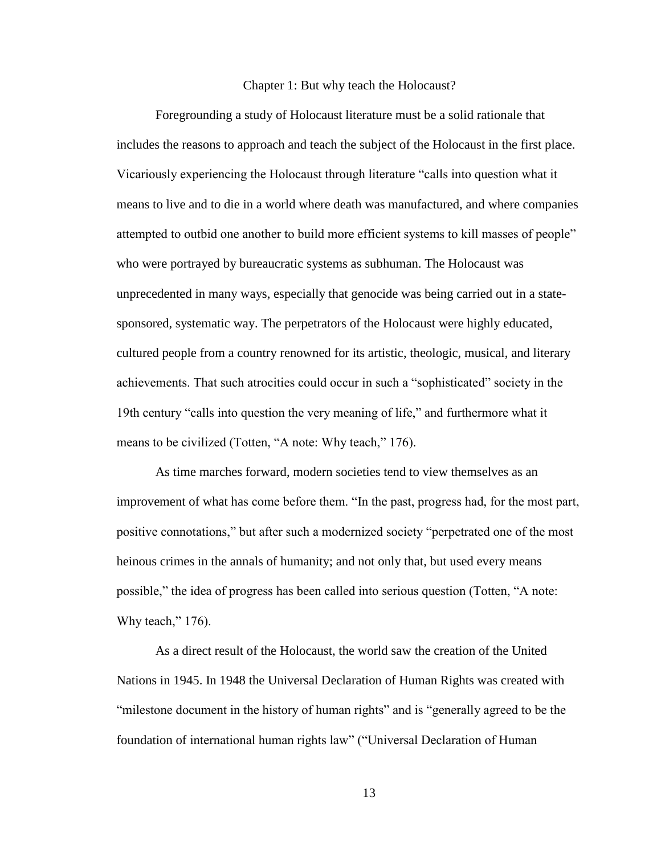#### Chapter 1: But why teach the Holocaust?

Foregrounding a study of Holocaust literature must be a solid rationale that includes the reasons to approach and teach the subject of the Holocaust in the first place. Vicariously experiencing the Holocaust through literature "calls into question what it means to live and to die in a world where death was manufactured, and where companies attempted to outbid one another to build more efficient systems to kill masses of people" who were portrayed by bureaucratic systems as subhuman. The Holocaust was unprecedented in many ways, especially that genocide was being carried out in a statesponsored, systematic way. The perpetrators of the Holocaust were highly educated, cultured people from a country renowned for its artistic, theologic, musical, and literary achievements. That such atrocities could occur in such a "sophisticated" society in the 19th century "calls into question the very meaning of life," and furthermore what it means to be civilized (Totten, "A note: Why teach," 176).

As time marches forward, modern societies tend to view themselves as an improvement of what has come before them. "In the past, progress had, for the most part, positive connotations," but after such a modernized society "perpetrated one of the most heinous crimes in the annals of humanity; and not only that, but used every means possible," the idea of progress has been called into serious question (Totten, "A note: Why teach," 176).

As a direct result of the Holocaust, the world saw the creation of the United Nations in 1945. In 1948 the Universal Declaration of Human Rights was created with "milestone document in the history of human rights" and is "generally agreed to be the foundation of international human rights law" ("Universal Declaration of Human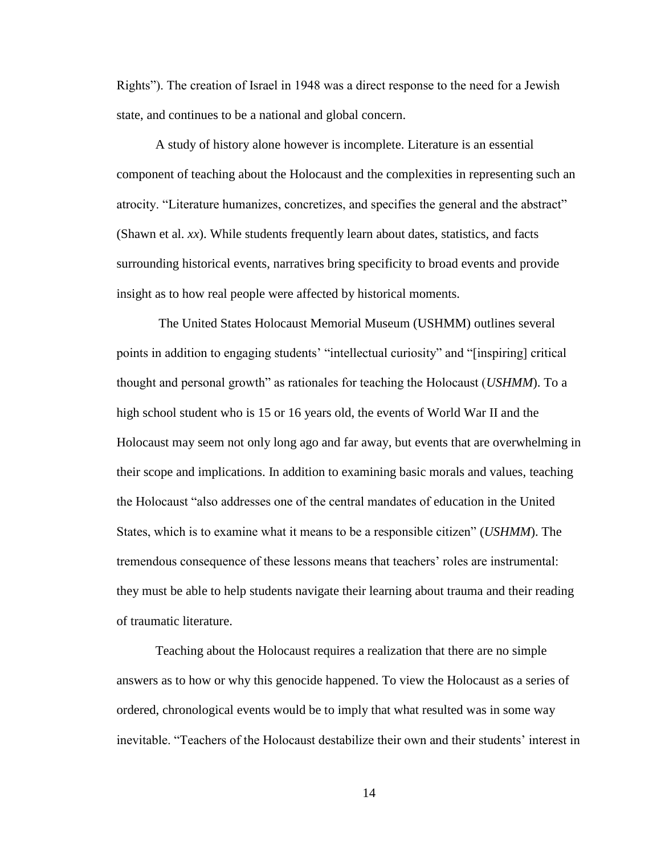Rights"). The creation of Israel in 1948 was a direct response to the need for a Jewish state, and continues to be a national and global concern.

A study of history alone however is incomplete. Literature is an essential component of teaching about the Holocaust and the complexities in representing such an atrocity. "Literature humanizes, concretizes, and specifies the general and the abstract" (Shawn et al. *xx*). While students frequently learn about dates, statistics, and facts surrounding historical events, narratives bring specificity to broad events and provide insight as to how real people were affected by historical moments.

The United States Holocaust Memorial Museum (USHMM) outlines several points in addition to engaging students' "intellectual curiosity" and "[inspiring] critical thought and personal growth" as rationales for teaching the Holocaust (*USHMM*). To a high school student who is 15 or 16 years old, the events of World War II and the Holocaust may seem not only long ago and far away, but events that are overwhelming in their scope and implications. In addition to examining basic morals and values, teaching the Holocaust "also addresses one of the central mandates of education in the United States, which is to examine what it means to be a responsible citizen" (*USHMM*). The tremendous consequence of these lessons means that teachers' roles are instrumental: they must be able to help students navigate their learning about trauma and their reading of traumatic literature.

Teaching about the Holocaust requires a realization that there are no simple answers as to how or why this genocide happened. To view the Holocaust as a series of ordered, chronological events would be to imply that what resulted was in some way inevitable. "Teachers of the Holocaust destabilize their own and their students' interest in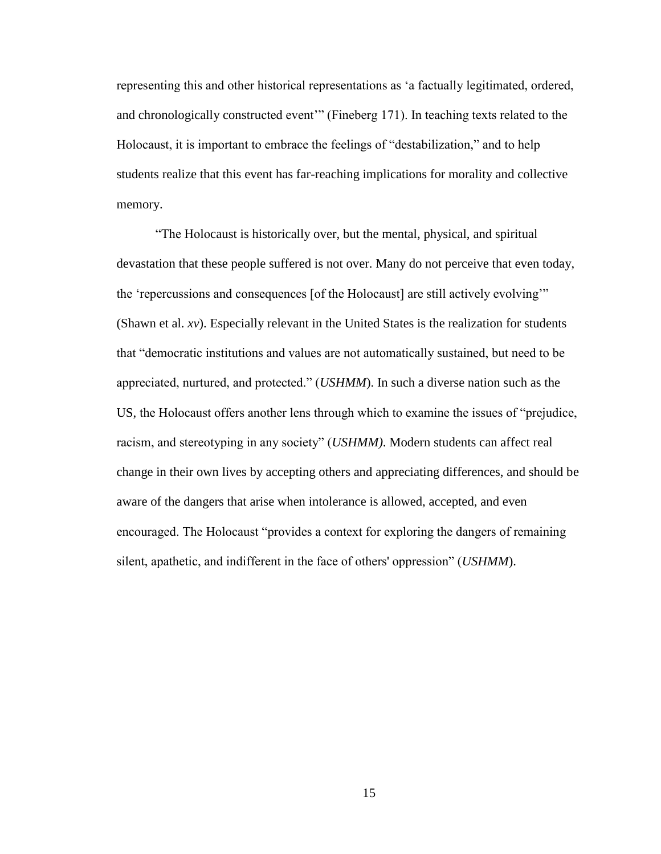representing this and other historical representations as 'a factually legitimated, ordered, and chronologically constructed event'" (Fineberg 171). In teaching texts related to the Holocaust, it is important to embrace the feelings of "destabilization," and to help students realize that this event has far-reaching implications for morality and collective memory.

"The Holocaust is historically over, but the mental, physical, and spiritual devastation that these people suffered is not over. Many do not perceive that even today, the 'repercussions and consequences [of the Holocaust] are still actively evolving'" (Shawn et al. *xv*). Especially relevant in the United States is the realization for students that "democratic institutions and values are not automatically sustained, but need to be appreciated, nurtured, and protected." (*USHMM*). In such a diverse nation such as the US, the Holocaust offers another lens through which to examine the issues of "prejudice, racism, and stereotyping in any society" (*USHMM)*. Modern students can affect real change in their own lives by accepting others and appreciating differences, and should be aware of the dangers that arise when intolerance is allowed, accepted, and even encouraged. The Holocaust "provides a context for exploring the dangers of remaining silent, apathetic, and indifferent in the face of others' oppression" (*USHMM*).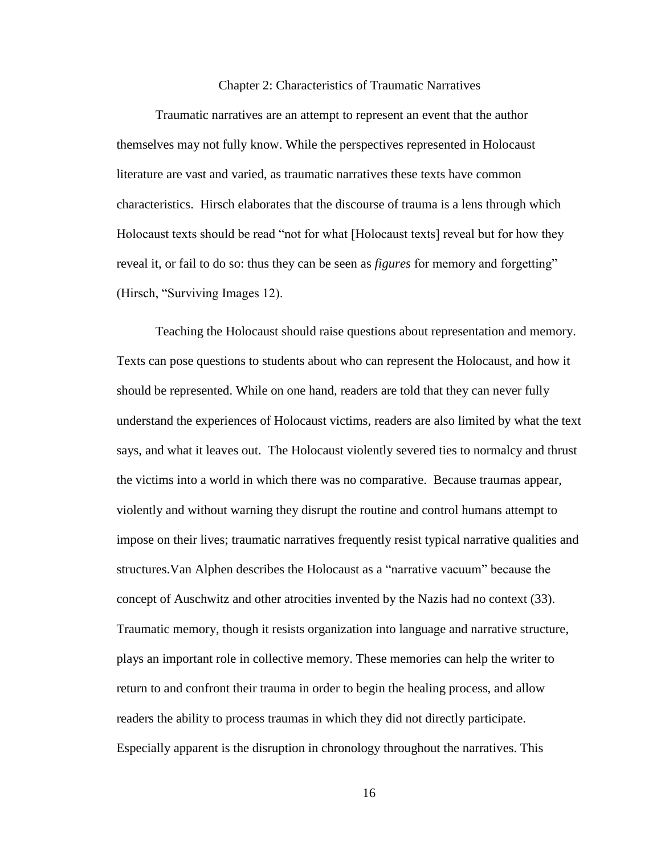#### Chapter 2: Characteristics of Traumatic Narratives

<span id="page-19-0"></span>Traumatic narratives are an attempt to represent an event that the author themselves may not fully know. While the perspectives represented in Holocaust literature are vast and varied, as traumatic narratives these texts have common characteristics. Hirsch elaborates that the discourse of trauma is a lens through which Holocaust texts should be read "not for what [Holocaust texts] reveal but for how they reveal it, or fail to do so: thus they can be seen as *figures* for memory and forgetting" (Hirsch, "Surviving Images 12).

Teaching the Holocaust should raise questions about representation and memory. Texts can pose questions to students about who can represent the Holocaust, and how it should be represented. While on one hand, readers are told that they can never fully understand the experiences of Holocaust victims, readers are also limited by what the text says, and what it leaves out. The Holocaust violently severed ties to normalcy and thrust the victims into a world in which there was no comparative. Because traumas appear, violently and without warning they disrupt the routine and control humans attempt to impose on their lives; traumatic narratives frequently resist typical narrative qualities and structures.Van Alphen describes the Holocaust as a "narrative vacuum" because the concept of Auschwitz and other atrocities invented by the Nazis had no context (33). Traumatic memory, though it resists organization into language and narrative structure, plays an important role in collective memory. These memories can help the writer to return to and confront their trauma in order to begin the healing process, and allow readers the ability to process traumas in which they did not directly participate. Especially apparent is the disruption in chronology throughout the narratives. This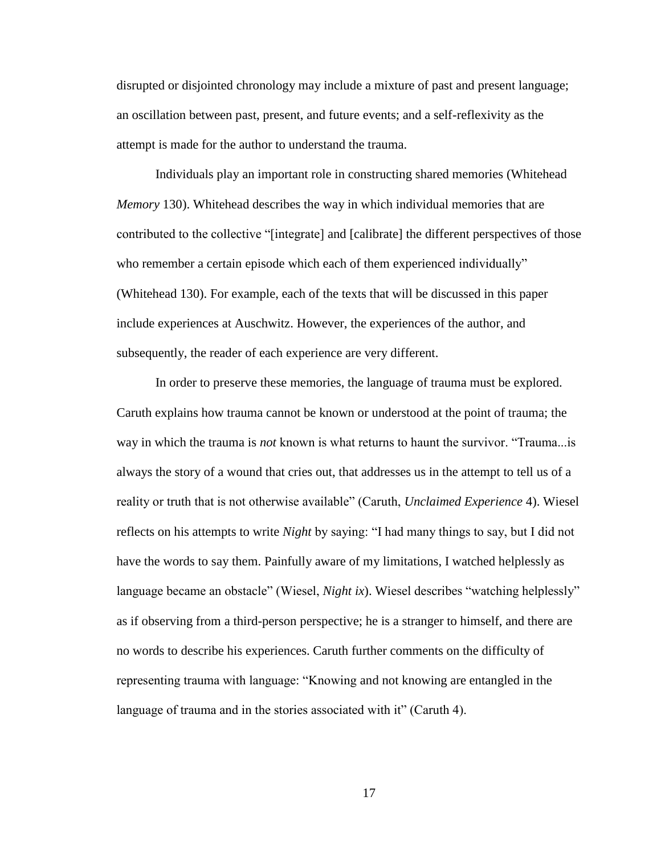disrupted or disjointed chronology may include a mixture of past and present language; an oscillation between past, present, and future events; and a self-reflexivity as the attempt is made for the author to understand the trauma.

Individuals play an important role in constructing shared memories (Whitehead *Memory* 130). Whitehead describes the way in which individual memories that are contributed to the collective "[integrate] and [calibrate] the different perspectives of those who remember a certain episode which each of them experienced individually" (Whitehead 130). For example, each of the texts that will be discussed in this paper include experiences at Auschwitz. However, the experiences of the author, and subsequently, the reader of each experience are very different.

In order to preserve these memories, the language of trauma must be explored. Caruth explains how trauma cannot be known or understood at the point of trauma; the way in which the trauma is *not* known is what returns to haunt the survivor. "Trauma...is always the story of a wound that cries out, that addresses us in the attempt to tell us of a reality or truth that is not otherwise available" (Caruth, *Unclaimed Experience* 4). Wiesel reflects on his attempts to write *Night* by saying: "I had many things to say, but I did not have the words to say them. Painfully aware of my limitations, I watched helplessly as language became an obstacle" (Wiesel, *Night ix*). Wiesel describes "watching helplessly" as if observing from a third-person perspective; he is a stranger to himself, and there are no words to describe his experiences. Caruth further comments on the difficulty of representing trauma with language: "Knowing and not knowing are entangled in the language of trauma and in the stories associated with it" (Caruth 4).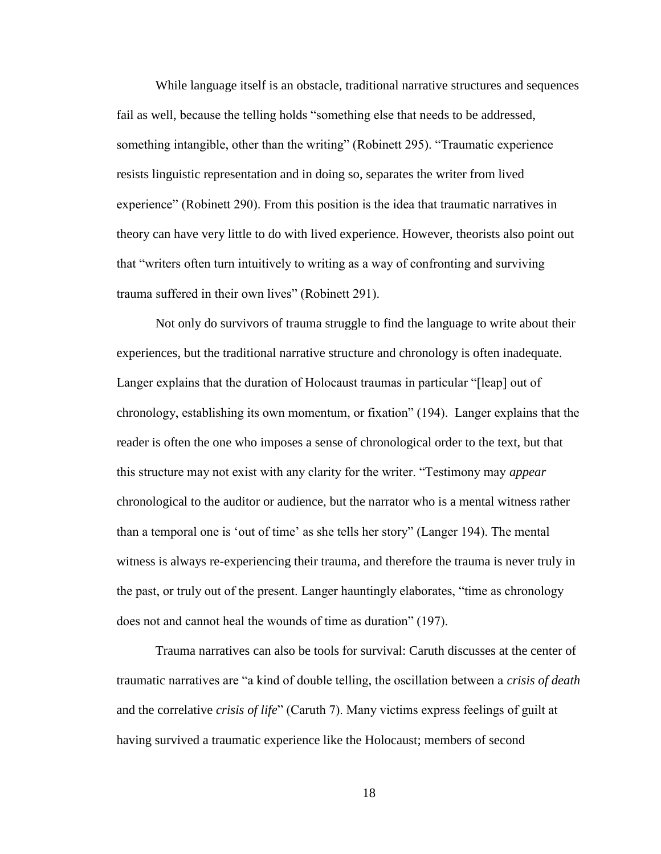While language itself is an obstacle, traditional narrative structures and sequences fail as well, because the telling holds "something else that needs to be addressed, something intangible, other than the writing" (Robinett 295). "Traumatic experience resists linguistic representation and in doing so, separates the writer from lived experience" (Robinett 290). From this position is the idea that traumatic narratives in theory can have very little to do with lived experience. However, theorists also point out that "writers often turn intuitively to writing as a way of confronting and surviving trauma suffered in their own lives" (Robinett 291).

Not only do survivors of trauma struggle to find the language to write about their experiences, but the traditional narrative structure and chronology is often inadequate. Langer explains that the duration of Holocaust traumas in particular "[leap] out of chronology, establishing its own momentum, or fixation" (194). Langer explains that the reader is often the one who imposes a sense of chronological order to the text, but that this structure may not exist with any clarity for the writer. "Testimony may *appear* chronological to the auditor or audience, but the narrator who is a mental witness rather than a temporal one is 'out of time' as she tells her story" (Langer 194). The mental witness is always re-experiencing their trauma, and therefore the trauma is never truly in the past, or truly out of the present. Langer hauntingly elaborates, "time as chronology does not and cannot heal the wounds of time as duration" (197).

Trauma narratives can also be tools for survival: Caruth discusses at the center of traumatic narratives are "a kind of double telling, the oscillation between a *crisis of death*  and the correlative *crisis of life*" (Caruth 7). Many victims express feelings of guilt at having survived a traumatic experience like the Holocaust; members of second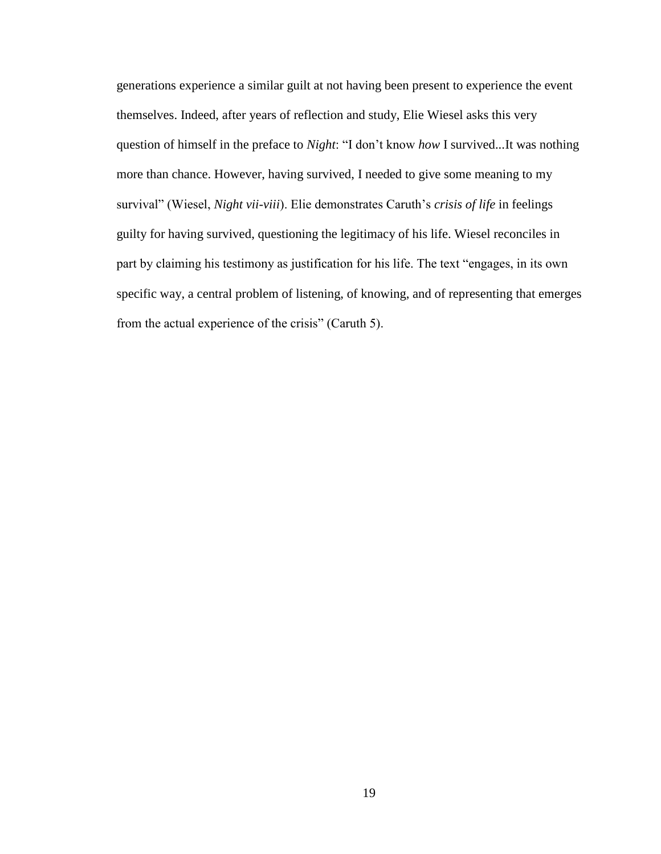generations experience a similar guilt at not having been present to experience the event themselves. Indeed, after years of reflection and study, Elie Wiesel asks this very question of himself in the preface to *Night*: "I don't know *how* I survived...It was nothing more than chance. However, having survived, I needed to give some meaning to my survival" (Wiesel, *Night vii-viii*). Elie demonstrates Caruth's *crisis of life* in feelings guilty for having survived, questioning the legitimacy of his life. Wiesel reconciles in part by claiming his testimony as justification for his life. The text "engages, in its own specific way, a central problem of listening, of knowing, and of representing that emerges from the actual experience of the crisis" (Caruth 5).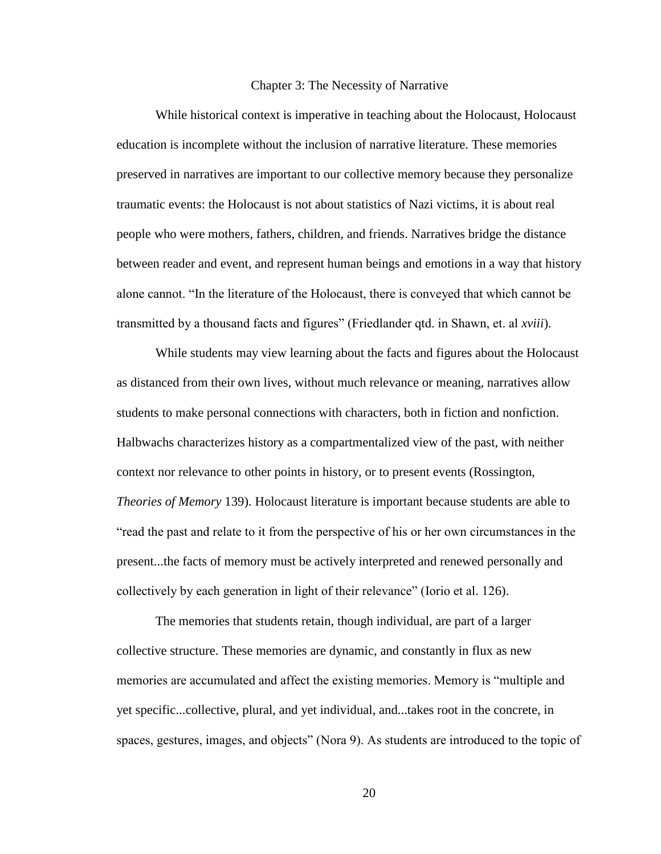#### Chapter 3: The Necessity of Narrative

<span id="page-23-0"></span>While historical context is imperative in teaching about the Holocaust, Holocaust education is incomplete without the inclusion of narrative literature. These memories preserved in narratives are important to our collective memory because they personalize traumatic events: the Holocaust is not about statistics of Nazi victims, it is about real people who were mothers, fathers, children, and friends. Narratives bridge the distance between reader and event, and represent human beings and emotions in a way that history alone cannot. "In the literature of the Holocaust, there is conveyed that which cannot be transmitted by a thousand facts and figures" (Friedlander qtd. in Shawn, et. al *xviii*).

While students may view learning about the facts and figures about the Holocaust as distanced from their own lives, without much relevance or meaning, narratives allow students to make personal connections with characters, both in fiction and nonfiction. Halbwachs characterizes history as a compartmentalized view of the past, with neither context nor relevance to other points in history, or to present events (Rossington, *Theories of Memory* 139). Holocaust literature is important because students are able to "read the past and relate to it from the perspective of his or her own circumstances in the present...the facts of memory must be actively interpreted and renewed personally and collectively by each generation in light of their relevance" (Iorio et al. 126).

The memories that students retain, though individual, are part of a larger collective structure. These memories are dynamic, and constantly in flux as new memories are accumulated and affect the existing memories. Memory is "multiple and yet specific...collective, plural, and yet individual, and...takes root in the concrete, in spaces, gestures, images, and objects" (Nora 9). As students are introduced to the topic of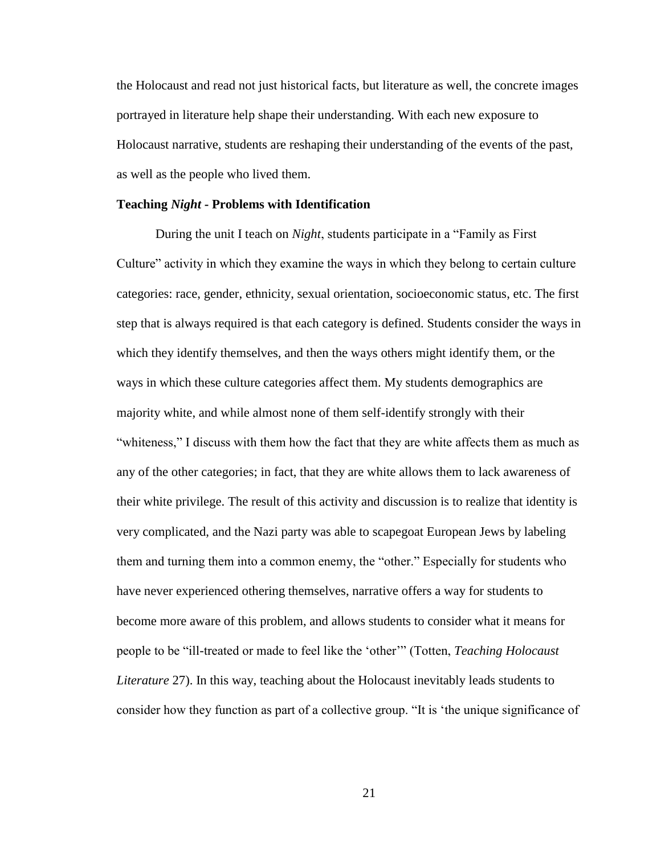the Holocaust and read not just historical facts, but literature as well, the concrete images portrayed in literature help shape their understanding. With each new exposure to Holocaust narrative, students are reshaping their understanding of the events of the past, as well as the people who lived them.

#### **Teaching** *Night* **- Problems with Identification**

During the unit I teach on *Night*, students participate in a "Family as First Culture" activity in which they examine the ways in which they belong to certain culture categories: race, gender, ethnicity, sexual orientation, socioeconomic status, etc. The first step that is always required is that each category is defined. Students consider the ways in which they identify themselves, and then the ways others might identify them, or the ways in which these culture categories affect them. My students demographics are majority white, and while almost none of them self-identify strongly with their "whiteness," I discuss with them how the fact that they are white affects them as much as any of the other categories; in fact, that they are white allows them to lack awareness of their white privilege. The result of this activity and discussion is to realize that identity is very complicated, and the Nazi party was able to scapegoat European Jews by labeling them and turning them into a common enemy, the "other." Especially for students who have never experienced othering themselves, narrative offers a way for students to become more aware of this problem, and allows students to consider what it means for people to be "ill-treated or made to feel like the 'other'" (Totten, *Teaching Holocaust Literature* 27). In this way, teaching about the Holocaust inevitably leads students to consider how they function as part of a collective group. "It is 'the unique significance of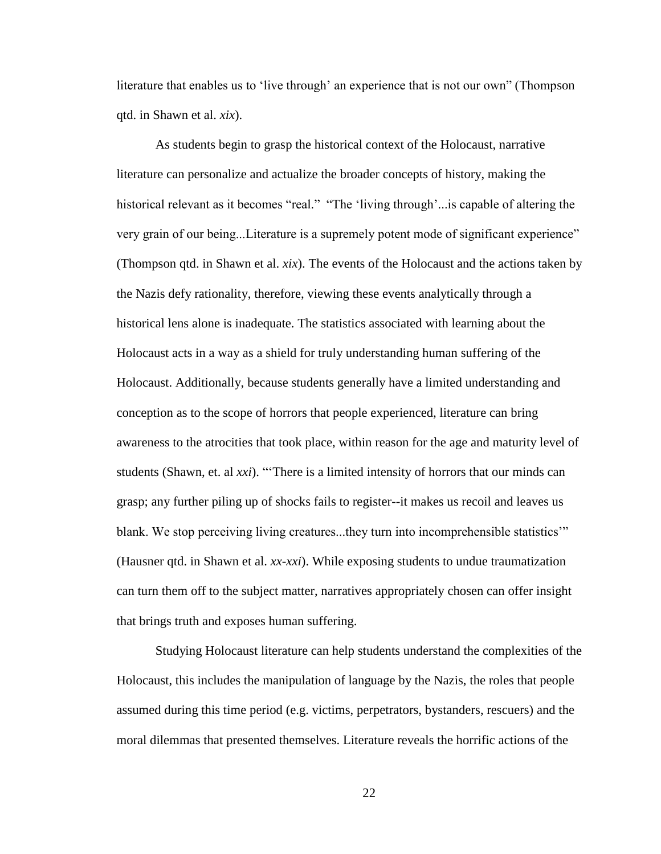literature that enables us to 'live through' an experience that is not our own" (Thompson qtd. in Shawn et al. *xix*).

As students begin to grasp the historical context of the Holocaust, narrative literature can personalize and actualize the broader concepts of history, making the historical relevant as it becomes "real." "The 'living through'...is capable of altering the very grain of our being...Literature is a supremely potent mode of significant experience" (Thompson qtd. in Shawn et al. *xix*). The events of the Holocaust and the actions taken by the Nazis defy rationality, therefore, viewing these events analytically through a historical lens alone is inadequate. The statistics associated with learning about the Holocaust acts in a way as a shield for truly understanding human suffering of the Holocaust. Additionally, because students generally have a limited understanding and conception as to the scope of horrors that people experienced, literature can bring awareness to the atrocities that took place, within reason for the age and maturity level of students (Shawn, et. al *xxi*). "'There is a limited intensity of horrors that our minds can grasp; any further piling up of shocks fails to register--it makes us recoil and leaves us blank. We stop perceiving living creatures...they turn into incomprehensible statistics'" (Hausner qtd. in Shawn et al. *xx-xxi*). While exposing students to undue traumatization can turn them off to the subject matter, narratives appropriately chosen can offer insight that brings truth and exposes human suffering.

Studying Holocaust literature can help students understand the complexities of the Holocaust, this includes the manipulation of language by the Nazis, the roles that people assumed during this time period (e.g. victims, perpetrators, bystanders, rescuers) and the moral dilemmas that presented themselves. Literature reveals the horrific actions of the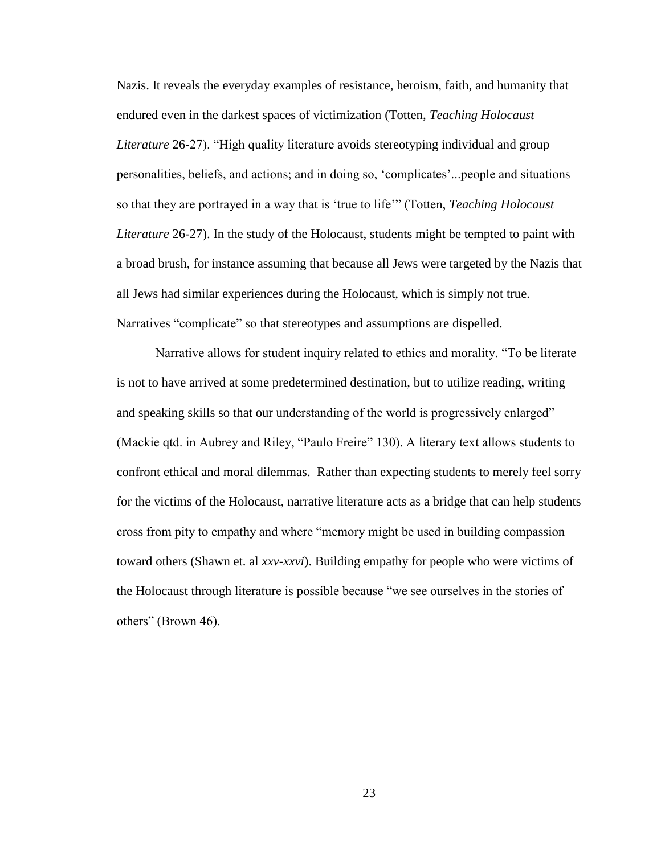Nazis. It reveals the everyday examples of resistance, heroism, faith, and humanity that endured even in the darkest spaces of victimization (Totten, *Teaching Holocaust Literature* 26-27). "High quality literature avoids stereotyping individual and group personalities, beliefs, and actions; and in doing so, 'complicates'...people and situations so that they are portrayed in a way that is 'true to life'" (Totten, *Teaching Holocaust Literature* 26-27). In the study of the Holocaust, students might be tempted to paint with a broad brush, for instance assuming that because all Jews were targeted by the Nazis that all Jews had similar experiences during the Holocaust, which is simply not true. Narratives "complicate" so that stereotypes and assumptions are dispelled.

Narrative allows for student inquiry related to ethics and morality. "To be literate is not to have arrived at some predetermined destination, but to utilize reading, writing and speaking skills so that our understanding of the world is progressively enlarged" (Mackie qtd. in Aubrey and Riley, "Paulo Freire" 130). A literary text allows students to confront ethical and moral dilemmas. Rather than expecting students to merely feel sorry for the victims of the Holocaust, narrative literature acts as a bridge that can help students cross from pity to empathy and where "memory might be used in building compassion toward others (Shawn et. al *xxv-xxvi*). Building empathy for people who were victims of the Holocaust through literature is possible because "we see ourselves in the stories of others" (Brown 46).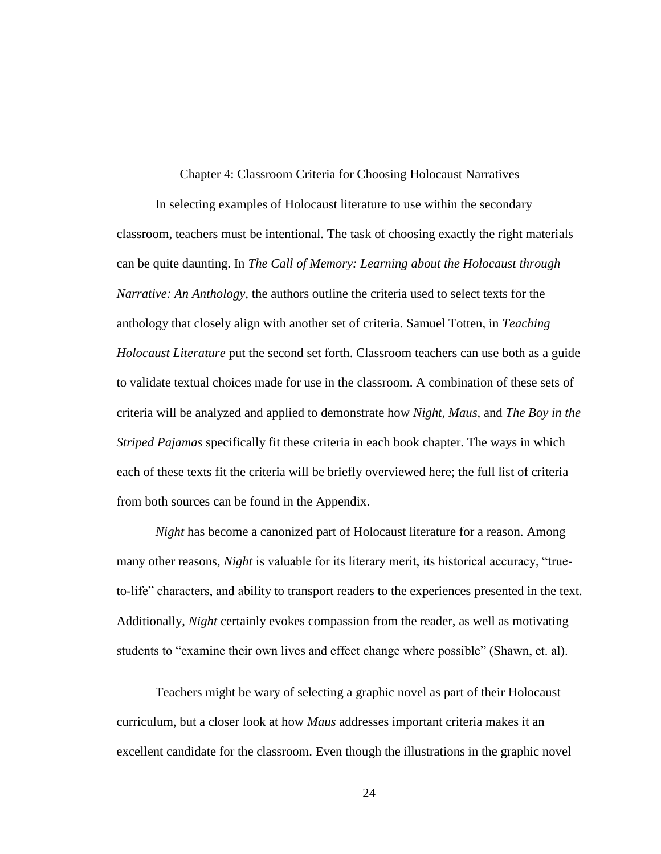Chapter 4: Classroom Criteria for Choosing Holocaust Narratives

<span id="page-27-0"></span>In selecting examples of Holocaust literature to use within the secondary classroom, teachers must be intentional. The task of choosing exactly the right materials can be quite daunting. In *The Call of Memory: Learning about the Holocaust through Narrative: An Anthology,* the authors outline the criteria used to select texts for the anthology that closely align with another set of criteria. Samuel Totten, in *Teaching Holocaust Literature* put the second set forth. Classroom teachers can use both as a guide to validate textual choices made for use in the classroom. A combination of these sets of criteria will be analyzed and applied to demonstrate how *Night*, *Maus*, and *The Boy in the Striped Pajamas* specifically fit these criteria in each book chapter. The ways in which each of these texts fit the criteria will be briefly overviewed here; the full list of criteria from both sources can be found in the Appendix.

*Night* has become a canonized part of Holocaust literature for a reason. Among many other reasons, *Night* is valuable for its literary merit, its historical accuracy, "trueto-life" characters, and ability to transport readers to the experiences presented in the text. Additionally, *Night* certainly evokes compassion from the reader, as well as motivating students to "examine their own lives and effect change where possible" (Shawn, et. al).

Teachers might be wary of selecting a graphic novel as part of their Holocaust curriculum, but a closer look at how *Maus* addresses important criteria makes it an excellent candidate for the classroom. Even though the illustrations in the graphic novel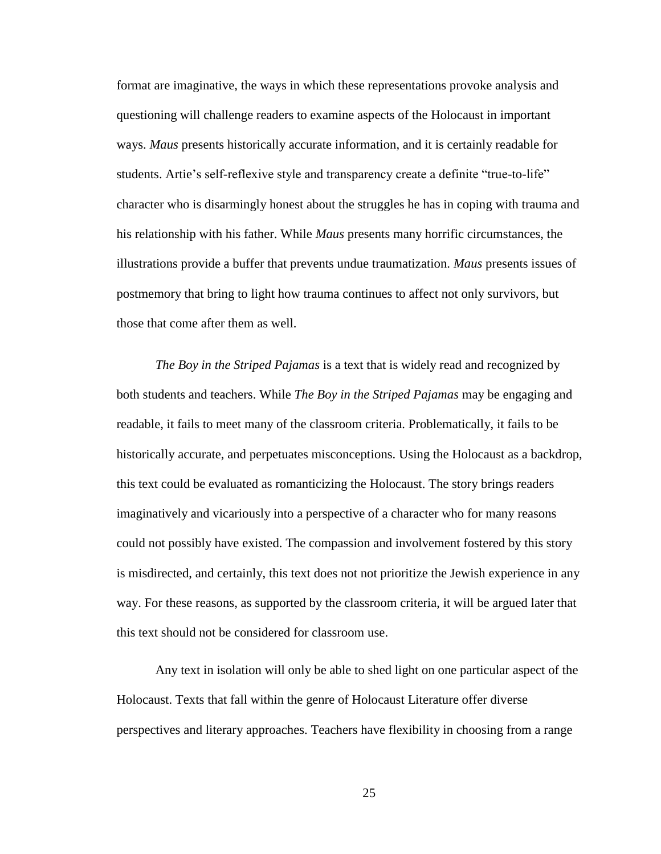format are imaginative, the ways in which these representations provoke analysis and questioning will challenge readers to examine aspects of the Holocaust in important ways. *Maus* presents historically accurate information, and it is certainly readable for students. Artie's self-reflexive style and transparency create a definite "true-to-life" character who is disarmingly honest about the struggles he has in coping with trauma and his relationship with his father. While *Maus* presents many horrific circumstances, the illustrations provide a buffer that prevents undue traumatization. *Maus* presents issues of postmemory that bring to light how trauma continues to affect not only survivors, but those that come after them as well.

*The Boy in the Striped Pajamas* is a text that is widely read and recognized by both students and teachers. While *The Boy in the Striped Pajamas* may be engaging and readable, it fails to meet many of the classroom criteria. Problematically, it fails to be historically accurate, and perpetuates misconceptions. Using the Holocaust as a backdrop, this text could be evaluated as romanticizing the Holocaust. The story brings readers imaginatively and vicariously into a perspective of a character who for many reasons could not possibly have existed. The compassion and involvement fostered by this story is misdirected, and certainly, this text does not not prioritize the Jewish experience in any way. For these reasons, as supported by the classroom criteria, it will be argued later that this text should not be considered for classroom use.

Any text in isolation will only be able to shed light on one particular aspect of the Holocaust. Texts that fall within the genre of Holocaust Literature offer diverse perspectives and literary approaches. Teachers have flexibility in choosing from a range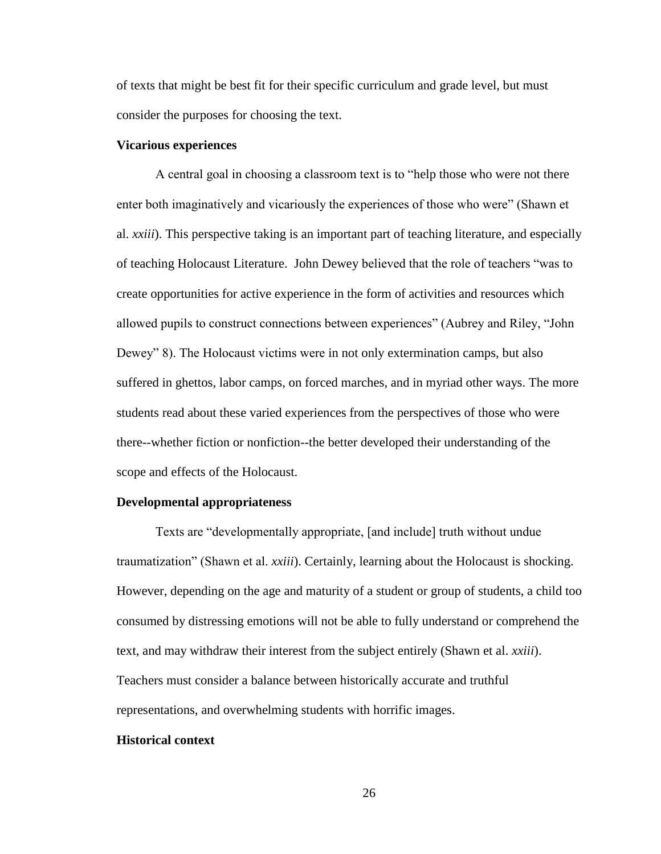of texts that might be best fit for their specific curriculum and grade level, but must consider the purposes for choosing the text.

#### **Vicarious experiences**

A central goal in choosing a classroom text is to "help those who were not there enter both imaginatively and vicariously the experiences of those who were" (Shawn et al. *xxiii*). This perspective taking is an important part of teaching literature, and especially of teaching Holocaust Literature. John Dewey believed that the role of teachers "was to create opportunities for active experience in the form of activities and resources which allowed pupils to construct connections between experiences" (Aubrey and Riley, "John Dewey" 8). The Holocaust victims were in not only extermination camps, but also suffered in ghettos, labor camps, on forced marches, and in myriad other ways. The more students read about these varied experiences from the perspectives of those who were there--whether fiction or nonfiction--the better developed their understanding of the scope and effects of the Holocaust.

#### **Developmental appropriateness**

Texts are "developmentally appropriate, [and include] truth without undue traumatization" (Shawn et al. *xxiii*). Certainly, learning about the Holocaust is shocking. However, depending on the age and maturity of a student or group of students, a child too consumed by distressing emotions will not be able to fully understand or comprehend the text, and may withdraw their interest from the subject entirely (Shawn et al. *xxiii*). Teachers must consider a balance between historically accurate and truthful representations, and overwhelming students with horrific images.

#### **Historical context**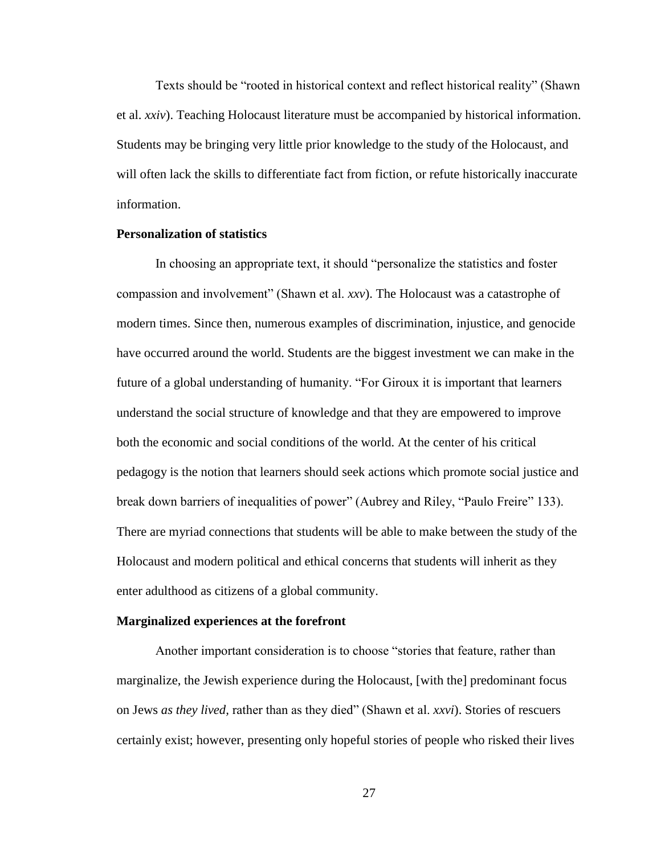Texts should be "rooted in historical context and reflect historical reality" (Shawn et al. *xxiv*). Teaching Holocaust literature must be accompanied by historical information. Students may be bringing very little prior knowledge to the study of the Holocaust, and will often lack the skills to differentiate fact from fiction, or refute historically inaccurate information.

#### **Personalization of statistics**

In choosing an appropriate text, it should "personalize the statistics and foster compassion and involvement" (Shawn et al. *xxv*). The Holocaust was a catastrophe of modern times. Since then, numerous examples of discrimination, injustice, and genocide have occurred around the world. Students are the biggest investment we can make in the future of a global understanding of humanity. "For Giroux it is important that learners understand the social structure of knowledge and that they are empowered to improve both the economic and social conditions of the world. At the center of his critical pedagogy is the notion that learners should seek actions which promote social justice and break down barriers of inequalities of power" (Aubrey and Riley, "Paulo Freire" 133). There are myriad connections that students will be able to make between the study of the Holocaust and modern political and ethical concerns that students will inherit as they enter adulthood as citizens of a global community.

#### **Marginalized experiences at the forefront**

Another important consideration is to choose "stories that feature, rather than marginalize, the Jewish experience during the Holocaust, [with the] predominant focus on Jews *as they lived,* rather than as they died" (Shawn et al. *xxvi*). Stories of rescuers certainly exist; however, presenting only hopeful stories of people who risked their lives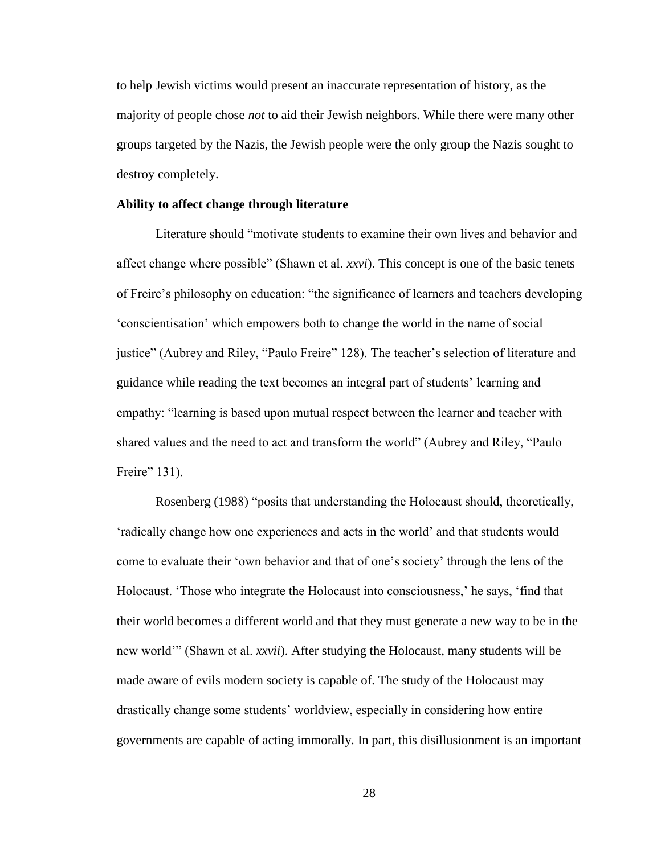to help Jewish victims would present an inaccurate representation of history, as the majority of people chose *not* to aid their Jewish neighbors. While there were many other groups targeted by the Nazis, the Jewish people were the only group the Nazis sought to destroy completely.

#### **Ability to affect change through literature**

Literature should "motivate students to examine their own lives and behavior and affect change where possible" (Shawn et al. *xxvi*). This concept is one of the basic tenets of Freire's philosophy on education: "the significance of learners and teachers developing 'conscientisation' which empowers both to change the world in the name of social justice" (Aubrey and Riley, "Paulo Freire" 128). The teacher's selection of literature and guidance while reading the text becomes an integral part of students' learning and empathy: "learning is based upon mutual respect between the learner and teacher with shared values and the need to act and transform the world" (Aubrey and Riley, "Paulo Freire" 131).

Rosenberg (1988) "posits that understanding the Holocaust should, theoretically, 'radically change how one experiences and acts in the world' and that students would come to evaluate their 'own behavior and that of one's society' through the lens of the Holocaust. 'Those who integrate the Holocaust into consciousness,' he says, 'find that their world becomes a different world and that they must generate a new way to be in the new world'" (Shawn et al. *xxvii*). After studying the Holocaust, many students will be made aware of evils modern society is capable of. The study of the Holocaust may drastically change some students' worldview, especially in considering how entire governments are capable of acting immorally. In part, this disillusionment is an important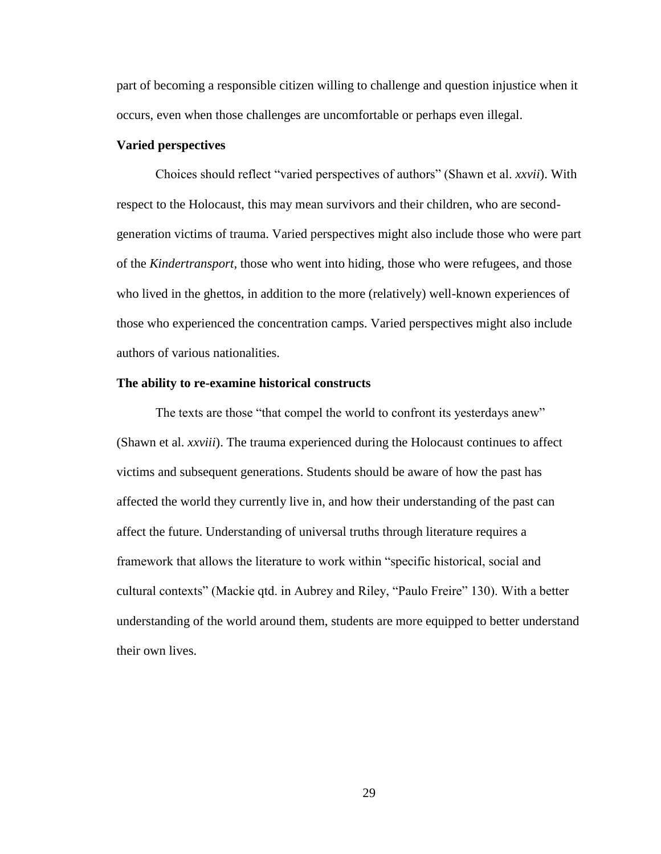part of becoming a responsible citizen willing to challenge and question injustice when it occurs, even when those challenges are uncomfortable or perhaps even illegal.

#### **Varied perspectives**

Choices should reflect "varied perspectives of authors" (Shawn et al. *xxvii*). With respect to the Holocaust, this may mean survivors and their children, who are secondgeneration victims of trauma. Varied perspectives might also include those who were part of the *Kindertransport*, those who went into hiding, those who were refugees, and those who lived in the ghettos, in addition to the more (relatively) well-known experiences of those who experienced the concentration camps. Varied perspectives might also include authors of various nationalities.

#### **The ability to re-examine historical constructs**

The texts are those "that compel the world to confront its yesterdays anew" (Shawn et al. *xxviii*). The trauma experienced during the Holocaust continues to affect victims and subsequent generations. Students should be aware of how the past has affected the world they currently live in, and how their understanding of the past can affect the future. Understanding of universal truths through literature requires a framework that allows the literature to work within "specific historical, social and cultural contexts" (Mackie qtd. in Aubrey and Riley, "Paulo Freire" 130). With a better understanding of the world around them, students are more equipped to better understand their own lives.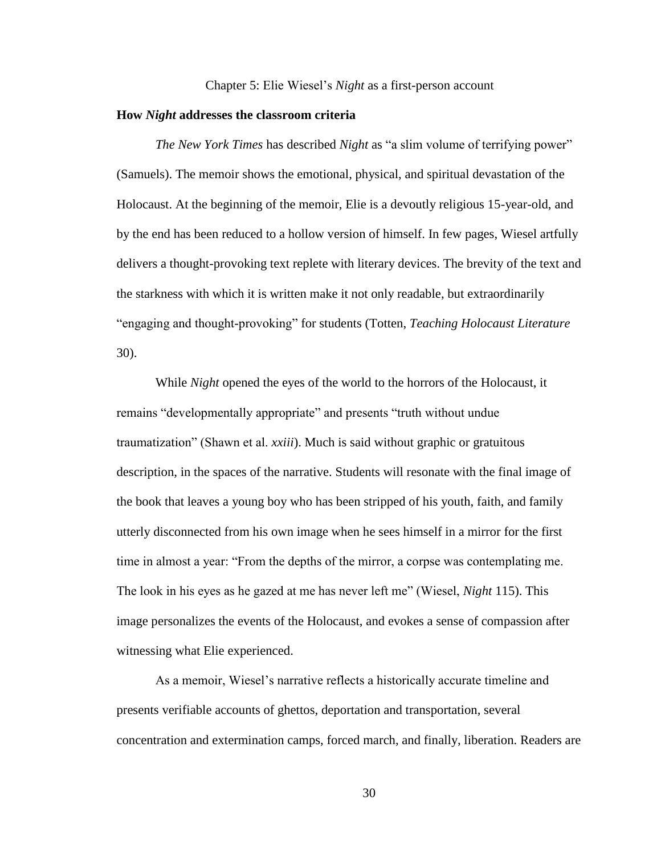#### Chapter 5: Elie Wiesel's *Night* as a first-person account

#### <span id="page-33-0"></span>**How** *Night* **addresses the classroom criteria**

*The New York Times* has described *Night* as "a slim volume of terrifying power" (Samuels). The memoir shows the emotional, physical, and spiritual devastation of the Holocaust. At the beginning of the memoir, Elie is a devoutly religious 15-year-old, and by the end has been reduced to a hollow version of himself. In few pages, Wiesel artfully delivers a thought-provoking text replete with literary devices. The brevity of the text and the starkness with which it is written make it not only readable, but extraordinarily "engaging and thought-provoking" for students (Totten, *Teaching Holocaust Literature* 30).

While *Night* opened the eyes of the world to the horrors of the Holocaust, it remains "developmentally appropriate" and presents "truth without undue traumatization" (Shawn et al. *xxiii*). Much is said without graphic or gratuitous description, in the spaces of the narrative. Students will resonate with the final image of the book that leaves a young boy who has been stripped of his youth, faith, and family utterly disconnected from his own image when he sees himself in a mirror for the first time in almost a year: "From the depths of the mirror, a corpse was contemplating me. The look in his eyes as he gazed at me has never left me" (Wiesel, *Night* 115). This image personalizes the events of the Holocaust, and evokes a sense of compassion after witnessing what Elie experienced.

As a memoir, Wiesel's narrative reflects a historically accurate timeline and presents verifiable accounts of ghettos, deportation and transportation, several concentration and extermination camps, forced march, and finally, liberation. Readers are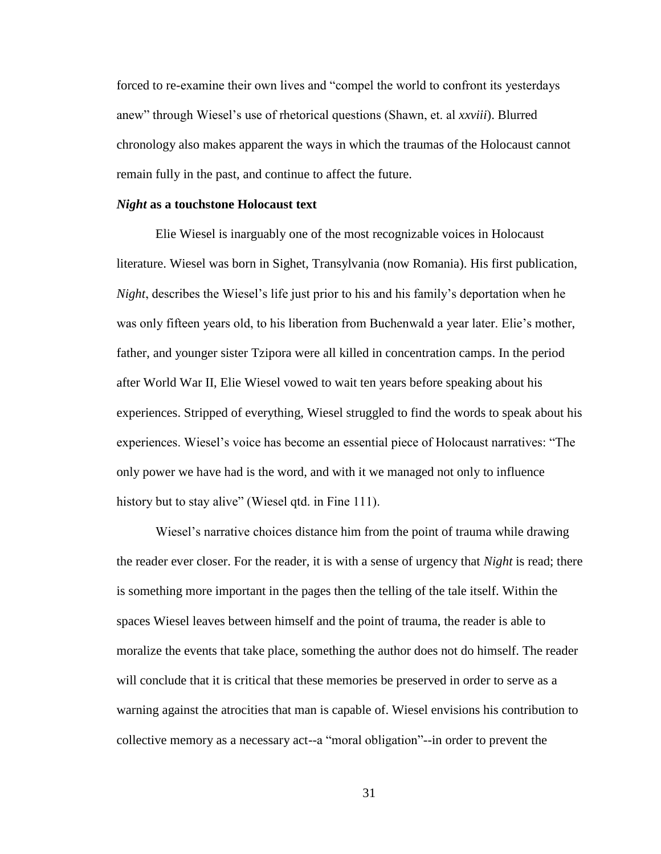forced to re-examine their own lives and "compel the world to confront its yesterdays anew" through Wiesel's use of rhetorical questions (Shawn, et. al *xxviii*). Blurred chronology also makes apparent the ways in which the traumas of the Holocaust cannot remain fully in the past, and continue to affect the future.

#### *Night* **as a touchstone Holocaust text**

Elie Wiesel is inarguably one of the most recognizable voices in Holocaust literature. Wiesel was born in Sighet, Transylvania (now Romania). His first publication, *Night*, describes the Wiesel's life just prior to his and his family's deportation when he was only fifteen years old, to his liberation from Buchenwald a year later. Elie's mother, father, and younger sister Tzipora were all killed in concentration camps. In the period after World War II, Elie Wiesel vowed to wait ten years before speaking about his experiences. Stripped of everything, Wiesel struggled to find the words to speak about his experiences. Wiesel's voice has become an essential piece of Holocaust narratives: "The only power we have had is the word, and with it we managed not only to influence history but to stay alive" (Wiesel qtd. in Fine 111).

Wiesel's narrative choices distance him from the point of trauma while drawing the reader ever closer. For the reader, it is with a sense of urgency that *Night* is read; there is something more important in the pages then the telling of the tale itself. Within the spaces Wiesel leaves between himself and the point of trauma, the reader is able to moralize the events that take place, something the author does not do himself. The reader will conclude that it is critical that these memories be preserved in order to serve as a warning against the atrocities that man is capable of. Wiesel envisions his contribution to collective memory as a necessary act--a "moral obligation"--in order to prevent the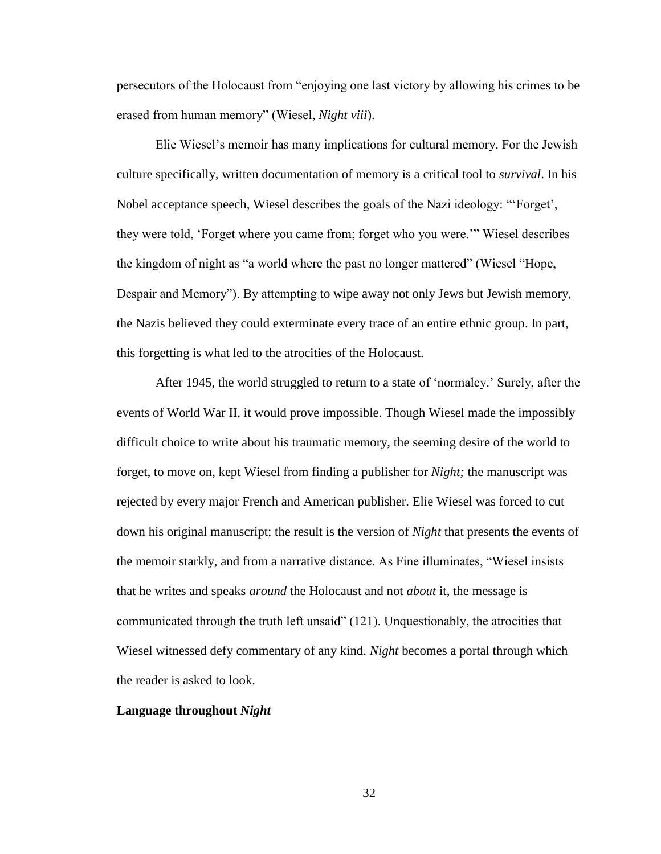persecutors of the Holocaust from "enjoying one last victory by allowing his crimes to be erased from human memory" (Wiesel, *Night viii*).

Elie Wiesel's memoir has many implications for cultural memory. For the Jewish culture specifically, written documentation of memory is a critical tool to *survival*. In his Nobel acceptance speech, Wiesel describes the goals of the Nazi ideology: "'Forget', they were told, 'Forget where you came from; forget who you were.'" Wiesel describes the kingdom of night as "a world where the past no longer mattered" (Wiesel "Hope, Despair and Memory"). By attempting to wipe away not only Jews but Jewish memory, the Nazis believed they could exterminate every trace of an entire ethnic group. In part, this forgetting is what led to the atrocities of the Holocaust.

After 1945, the world struggled to return to a state of 'normalcy.' Surely, after the events of World War II, it would prove impossible. Though Wiesel made the impossibly difficult choice to write about his traumatic memory, the seeming desire of the world to forget, to move on, kept Wiesel from finding a publisher for *Night;* the manuscript was rejected by every major French and American publisher. Elie Wiesel was forced to cut down his original manuscript; the result is the version of *Night* that presents the events of the memoir starkly, and from a narrative distance. As Fine illuminates, "Wiesel insists that he writes and speaks *around* the Holocaust and not *about* it, the message is communicated through the truth left unsaid" (121). Unquestionably, the atrocities that Wiesel witnessed defy commentary of any kind. *Night* becomes a portal through which the reader is asked to look.

#### **Language throughout** *Night*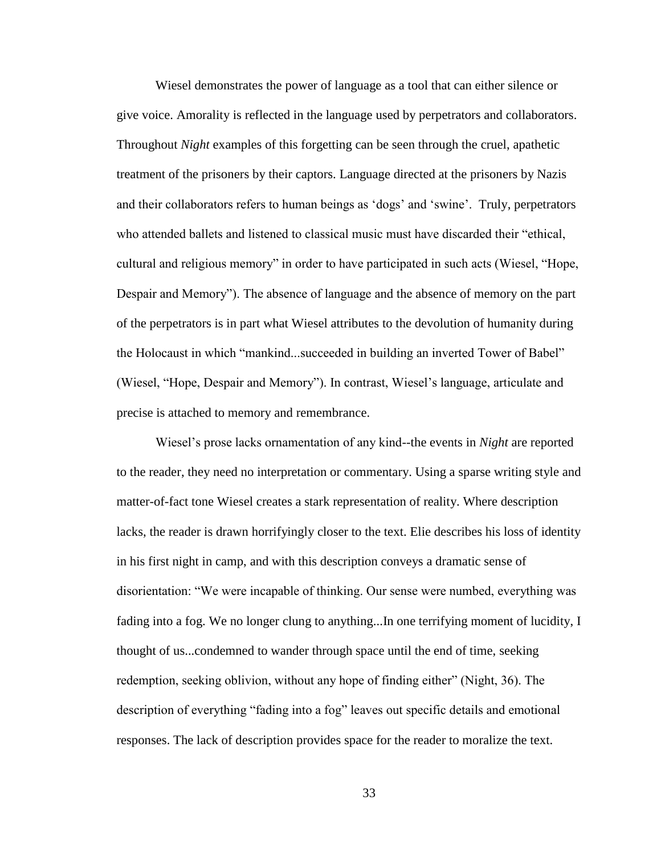Wiesel demonstrates the power of language as a tool that can either silence or give voice. Amorality is reflected in the language used by perpetrators and collaborators. Throughout *Night* examples of this forgetting can be seen through the cruel, apathetic treatment of the prisoners by their captors. Language directed at the prisoners by Nazis and their collaborators refers to human beings as 'dogs' and 'swine'. Truly, perpetrators who attended ballets and listened to classical music must have discarded their "ethical, cultural and religious memory" in order to have participated in such acts (Wiesel, "Hope, Despair and Memory"). The absence of language and the absence of memory on the part of the perpetrators is in part what Wiesel attributes to the devolution of humanity during the Holocaust in which "mankind...succeeded in building an inverted Tower of Babel" (Wiesel, "Hope, Despair and Memory"). In contrast, Wiesel's language, articulate and precise is attached to memory and remembrance.

Wiesel's prose lacks ornamentation of any kind--the events in *Night* are reported to the reader, they need no interpretation or commentary. Using a sparse writing style and matter-of-fact tone Wiesel creates a stark representation of reality. Where description lacks, the reader is drawn horrifyingly closer to the text. Elie describes his loss of identity in his first night in camp, and with this description conveys a dramatic sense of disorientation: "We were incapable of thinking. Our sense were numbed, everything was fading into a fog. We no longer clung to anything...In one terrifying moment of lucidity, I thought of us...condemned to wander through space until the end of time, seeking redemption, seeking oblivion, without any hope of finding either" (Night, 36). The description of everything "fading into a fog" leaves out specific details and emotional responses. The lack of description provides space for the reader to moralize the text.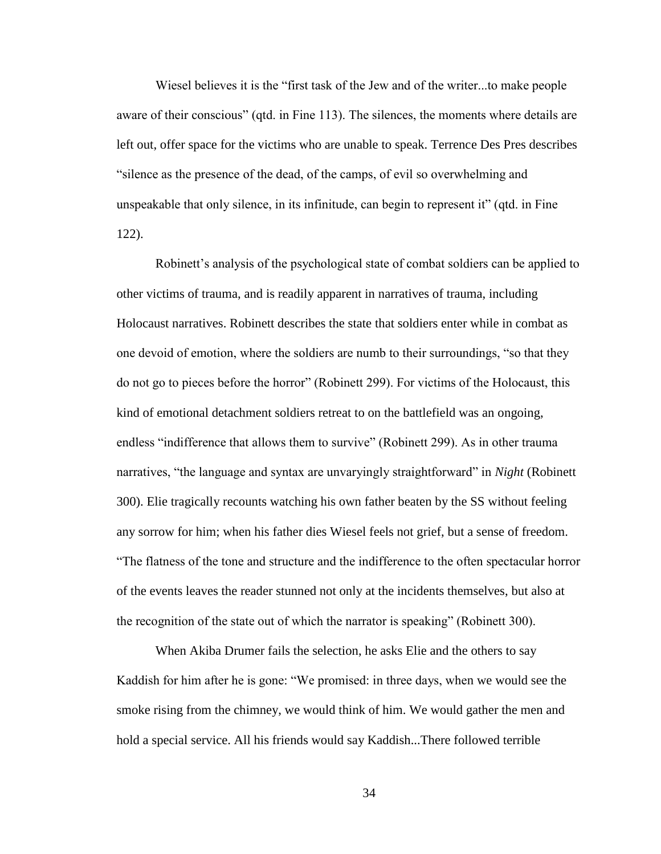Wiesel believes it is the "first task of the Jew and of the writer...to make people aware of their conscious" (qtd. in Fine 113). The silences, the moments where details are left out, offer space for the victims who are unable to speak. Terrence Des Pres describes "silence as the presence of the dead, of the camps, of evil so overwhelming and unspeakable that only silence, in its infinitude, can begin to represent it" (qtd. in Fine 122).

Robinett's analysis of the psychological state of combat soldiers can be applied to other victims of trauma, and is readily apparent in narratives of trauma, including Holocaust narratives. Robinett describes the state that soldiers enter while in combat as one devoid of emotion, where the soldiers are numb to their surroundings, "so that they do not go to pieces before the horror" (Robinett 299). For victims of the Holocaust, this kind of emotional detachment soldiers retreat to on the battlefield was an ongoing, endless "indifference that allows them to survive" (Robinett 299). As in other trauma narratives, "the language and syntax are unvaryingly straightforward" in *Night* (Robinett 300). Elie tragically recounts watching his own father beaten by the SS without feeling any sorrow for him; when his father dies Wiesel feels not grief, but a sense of freedom. "The flatness of the tone and structure and the indifference to the often spectacular horror of the events leaves the reader stunned not only at the incidents themselves, but also at the recognition of the state out of which the narrator is speaking" (Robinett 300).

When Akiba Drumer fails the selection, he asks Elie and the others to say Kaddish for him after he is gone: "We promised: in three days, when we would see the smoke rising from the chimney, we would think of him. We would gather the men and hold a special service. All his friends would say Kaddish...There followed terrible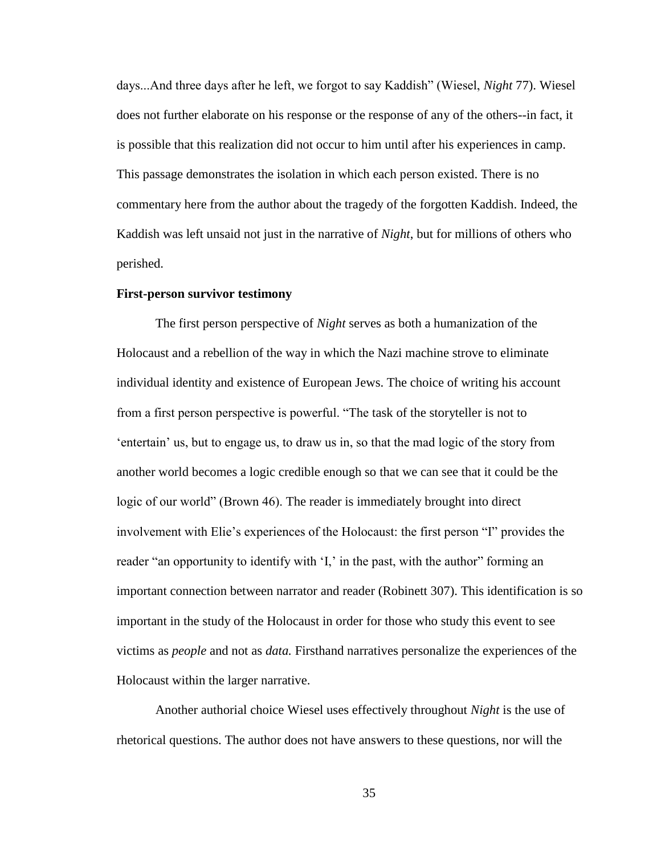days...And three days after he left, we forgot to say Kaddish" (Wiesel, *Night* 77). Wiesel does not further elaborate on his response or the response of any of the others--in fact, it is possible that this realization did not occur to him until after his experiences in camp. This passage demonstrates the isolation in which each person existed. There is no commentary here from the author about the tragedy of the forgotten Kaddish. Indeed, the Kaddish was left unsaid not just in the narrative of *Night*, but for millions of others who perished.

## **First-person survivor testimony**

The first person perspective of *Night* serves as both a humanization of the Holocaust and a rebellion of the way in which the Nazi machine strove to eliminate individual identity and existence of European Jews. The choice of writing his account from a first person perspective is powerful. "The task of the storyteller is not to 'entertain' us, but to engage us, to draw us in, so that the mad logic of the story from another world becomes a logic credible enough so that we can see that it could be the logic of our world" (Brown 46). The reader is immediately brought into direct involvement with Elie's experiences of the Holocaust: the first person "I" provides the reader "an opportunity to identify with 'I,' in the past, with the author" forming an important connection between narrator and reader (Robinett 307). This identification is so important in the study of the Holocaust in order for those who study this event to see victims as *people* and not as *data.* Firsthand narratives personalize the experiences of the Holocaust within the larger narrative.

Another authorial choice Wiesel uses effectively throughout *Night* is the use of rhetorical questions. The author does not have answers to these questions, nor will the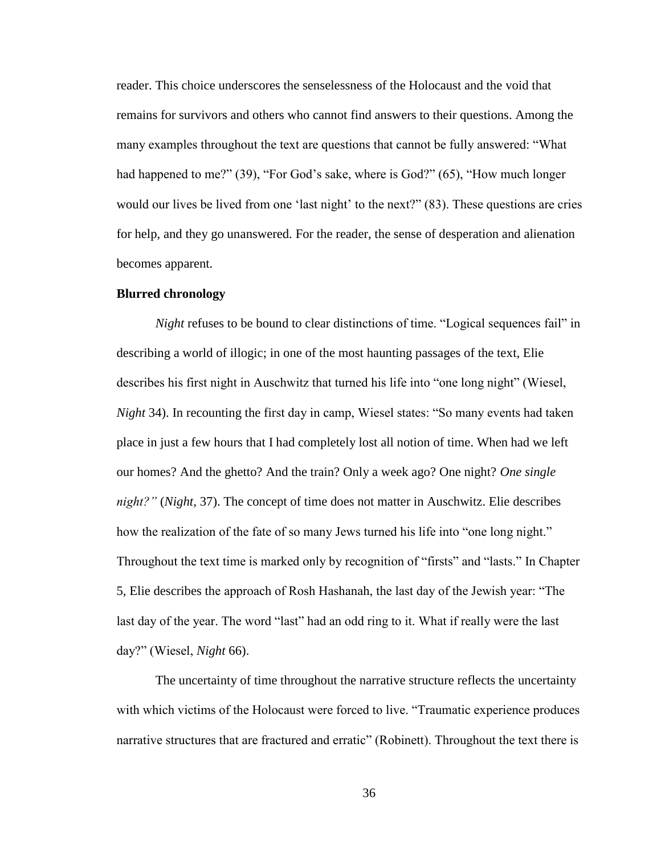reader. This choice underscores the senselessness of the Holocaust and the void that remains for survivors and others who cannot find answers to their questions. Among the many examples throughout the text are questions that cannot be fully answered: "What had happened to me?" (39), "For God's sake, where is God?" (65), "How much longer would our lives be lived from one 'last night' to the next?" (83). These questions are cries for help, and they go unanswered. For the reader, the sense of desperation and alienation becomes apparent.

## **Blurred chronology**

*Night* refuses to be bound to clear distinctions of time. "Logical sequences fail" in describing a world of illogic; in one of the most haunting passages of the text, Elie describes his first night in Auschwitz that turned his life into "one long night" (Wiesel, *Night* 34). In recounting the first day in camp, Wiesel states: "So many events had taken place in just a few hours that I had completely lost all notion of time. When had we left our homes? And the ghetto? And the train? Only a week ago? One night? *One single night?"* (*Night,* 37). The concept of time does not matter in Auschwitz. Elie describes how the realization of the fate of so many Jews turned his life into "one long night." Throughout the text time is marked only by recognition of "firsts" and "lasts." In Chapter 5, Elie describes the approach of Rosh Hashanah, the last day of the Jewish year: "The last day of the year. The word "last" had an odd ring to it. What if really were the last day?" (Wiesel, *Night* 66).

The uncertainty of time throughout the narrative structure reflects the uncertainty with which victims of the Holocaust were forced to live. "Traumatic experience produces narrative structures that are fractured and erratic" (Robinett). Throughout the text there is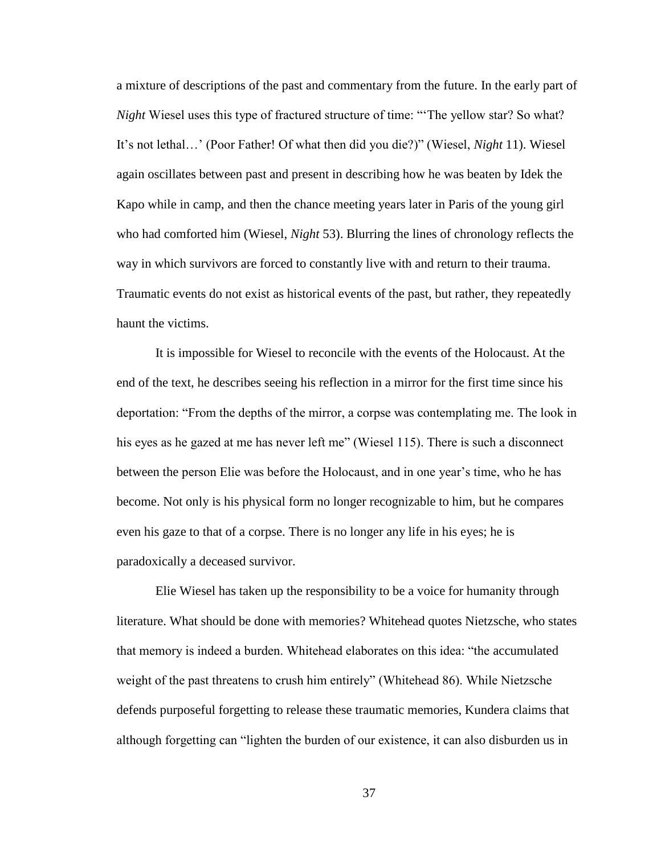a mixture of descriptions of the past and commentary from the future. In the early part of *Night* Wiesel uses this type of fractured structure of time: "The yellow star? So what? It's not lethal…' (Poor Father! Of what then did you die?)" (Wiesel, *Night* 11). Wiesel again oscillates between past and present in describing how he was beaten by Idek the Kapo while in camp, and then the chance meeting years later in Paris of the young girl who had comforted him (Wiesel, *Night* 53). Blurring the lines of chronology reflects the way in which survivors are forced to constantly live with and return to their trauma. Traumatic events do not exist as historical events of the past, but rather, they repeatedly haunt the victims.

It is impossible for Wiesel to reconcile with the events of the Holocaust. At the end of the text, he describes seeing his reflection in a mirror for the first time since his deportation: "From the depths of the mirror, a corpse was contemplating me. The look in his eyes as he gazed at me has never left me" (Wiesel 115). There is such a disconnect between the person Elie was before the Holocaust, and in one year's time, who he has become. Not only is his physical form no longer recognizable to him, but he compares even his gaze to that of a corpse. There is no longer any life in his eyes; he is paradoxically a deceased survivor.

Elie Wiesel has taken up the responsibility to be a voice for humanity through literature. What should be done with memories? Whitehead quotes Nietzsche, who states that memory is indeed a burden. Whitehead elaborates on this idea: "the accumulated weight of the past threatens to crush him entirely" (Whitehead 86). While Nietzsche defends purposeful forgetting to release these traumatic memories, Kundera claims that although forgetting can "lighten the burden of our existence, it can also disburden us in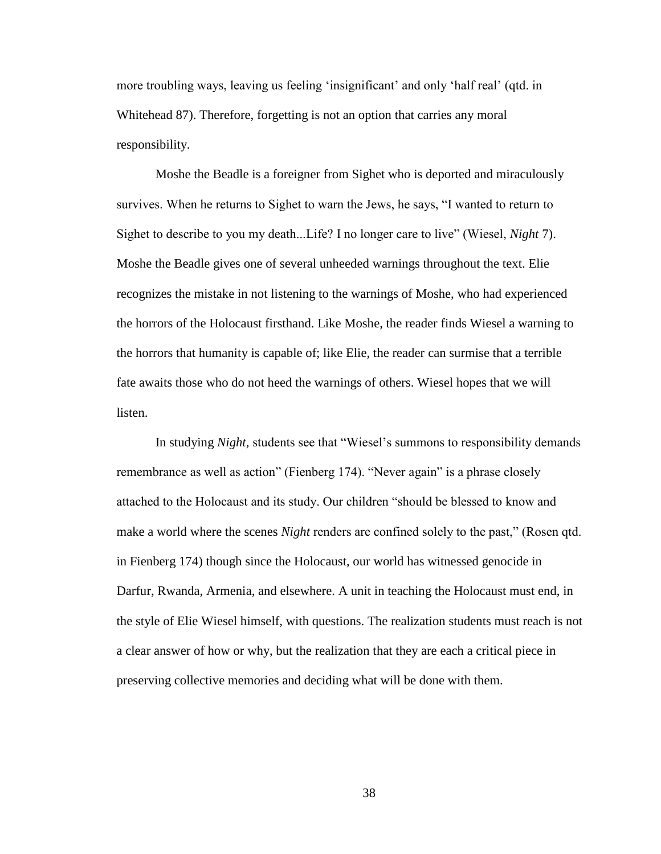more troubling ways, leaving us feeling 'insignificant' and only 'half real' (qtd. in Whitehead 87). Therefore, forgetting is not an option that carries any moral responsibility.

Moshe the Beadle is a foreigner from Sighet who is deported and miraculously survives. When he returns to Sighet to warn the Jews, he says, "I wanted to return to Sighet to describe to you my death...Life? I no longer care to live" (Wiesel, *Night* 7). Moshe the Beadle gives one of several unheeded warnings throughout the text. Elie recognizes the mistake in not listening to the warnings of Moshe, who had experienced the horrors of the Holocaust firsthand. Like Moshe, the reader finds Wiesel a warning to the horrors that humanity is capable of; like Elie, the reader can surmise that a terrible fate awaits those who do not heed the warnings of others. Wiesel hopes that we will listen.

In studying *Night,* students see that "Wiesel's summons to responsibility demands remembrance as well as action" (Fienberg 174). "Never again" is a phrase closely attached to the Holocaust and its study. Our children "should be blessed to know and make a world where the scenes *Night* renders are confined solely to the past," (Rosen qtd. in Fienberg 174) though since the Holocaust, our world has witnessed genocide in Darfur, Rwanda, Armenia, and elsewhere. A unit in teaching the Holocaust must end, in the style of Elie Wiesel himself, with questions. The realization students must reach is not a clear answer of how or why, but the realization that they are each a critical piece in preserving collective memories and deciding what will be done with them.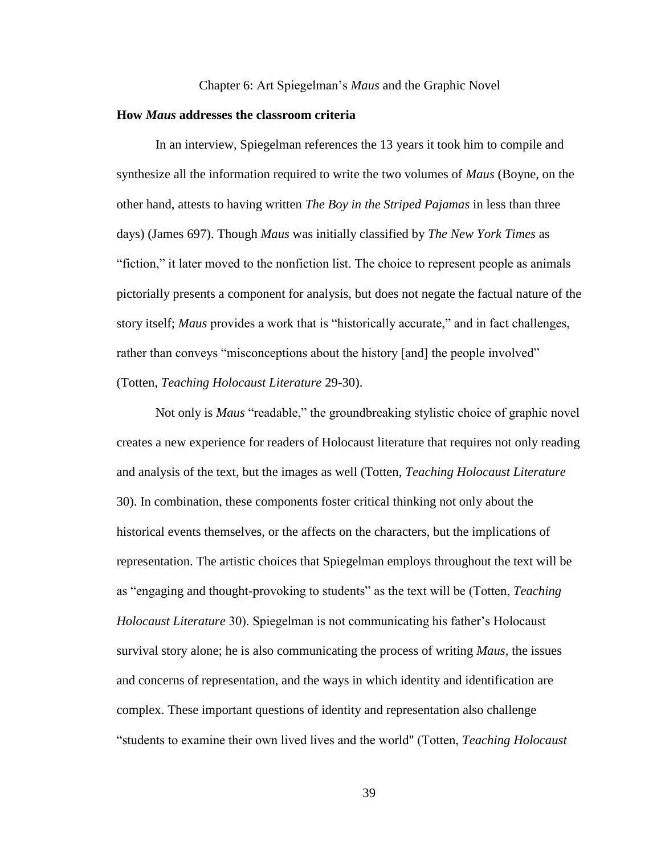#### Chapter 6: Art Spiegelman's *Maus* and the Graphic Novel

#### **How** *Maus* **addresses the classroom criteria**

In an interview, Spiegelman references the 13 years it took him to compile and synthesize all the information required to write the two volumes of *Maus* (Boyne, on the other hand, attests to having written *The Boy in the Striped Pajamas* in less than three days) (James 697). Though *Maus* was initially classified by *The New York Times* as "fiction," it later moved to the nonfiction list. The choice to represent people as animals pictorially presents a component for analysis, but does not negate the factual nature of the story itself; *Maus* provides a work that is "historically accurate," and in fact challenges, rather than conveys "misconceptions about the history [and] the people involved" (Totten, *Teaching Holocaust Literature* 29-30).

Not only is *Maus* "readable," the groundbreaking stylistic choice of graphic novel creates a new experience for readers of Holocaust literature that requires not only reading and analysis of the text, but the images as well (Totten, *Teaching Holocaust Literature* 30). In combination, these components foster critical thinking not only about the historical events themselves, or the affects on the characters, but the implications of representation. The artistic choices that Spiegelman employs throughout the text will be as "engaging and thought-provoking to students" as the text will be (Totten, *Teaching Holocaust Literature* 30). Spiegelman is not communicating his father's Holocaust survival story alone; he is also communicating the process of writing *Maus*, the issues and concerns of representation, and the ways in which identity and identification are complex. These important questions of identity and representation also challenge "students to examine their own lived lives and the world" (Totten, *Teaching Holocaust*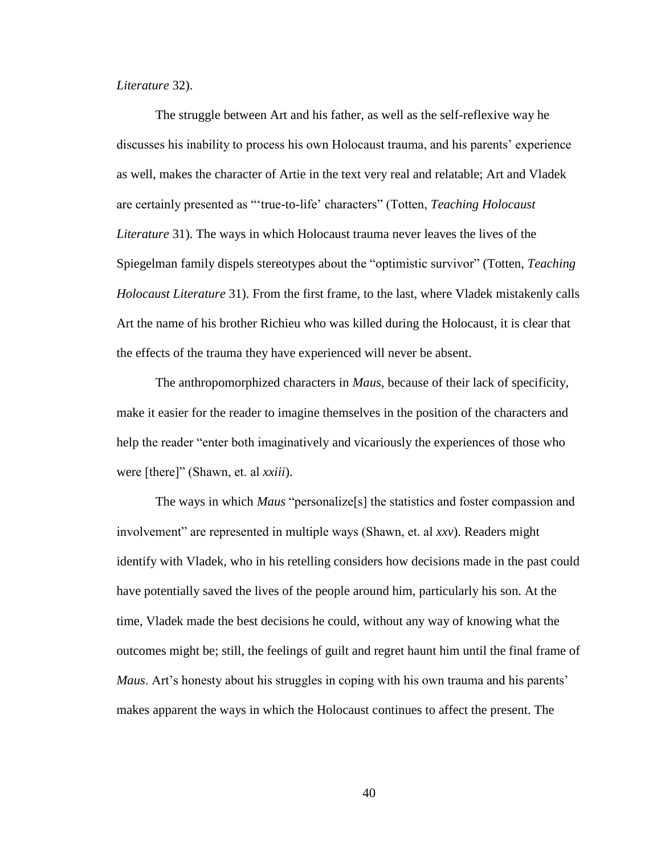# *Literature* 32).

The struggle between Art and his father, as well as the self-reflexive way he discusses his inability to process his own Holocaust trauma, and his parents' experience as well, makes the character of Artie in the text very real and relatable; Art and Vladek are certainly presented as "'true-to-life' characters" (Totten, *Teaching Holocaust Literature* 31). The ways in which Holocaust trauma never leaves the lives of the Spiegelman family dispels stereotypes about the "optimistic survivor" (Totten, *Teaching Holocaust Literature* 31). From the first frame, to the last, where Vladek mistakenly calls Art the name of his brother Richieu who was killed during the Holocaust, it is clear that the effects of the trauma they have experienced will never be absent.

The anthropomorphized characters in *Maus*, because of their lack of specificity, make it easier for the reader to imagine themselves in the position of the characters and help the reader "enter both imaginatively and vicariously the experiences of those who were [there]" (Shawn, et. al *xxiii*).

The ways in which *Maus* "personalize[s] the statistics and foster compassion and involvement" are represented in multiple ways (Shawn, et. al *xxv*). Readers might identify with Vladek, who in his retelling considers how decisions made in the past could have potentially saved the lives of the people around him, particularly his son. At the time, Vladek made the best decisions he could, without any way of knowing what the outcomes might be; still, the feelings of guilt and regret haunt him until the final frame of *Maus*. Art's honesty about his struggles in coping with his own trauma and his parents' makes apparent the ways in which the Holocaust continues to affect the present. The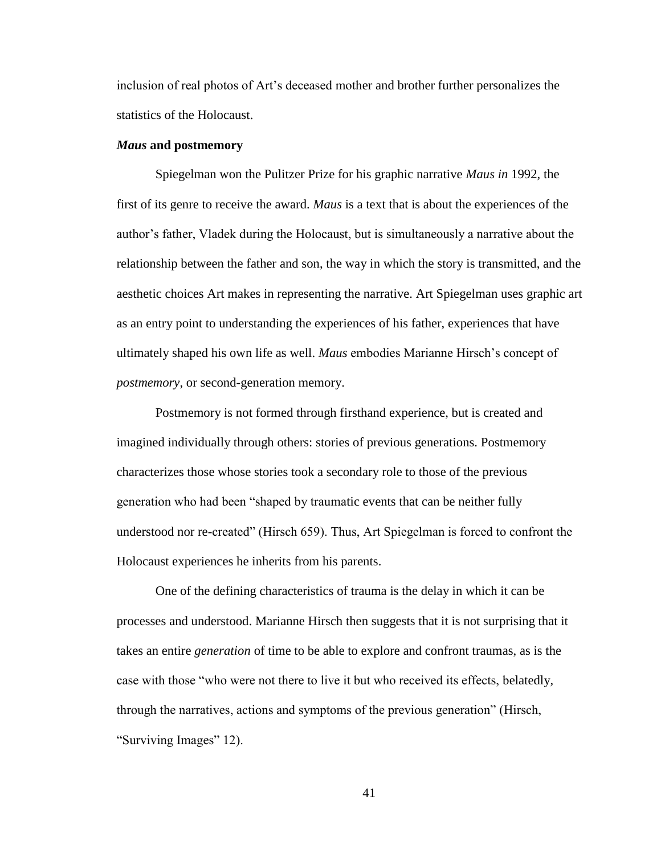inclusion of real photos of Art's deceased mother and brother further personalizes the statistics of the Holocaust.

### *Maus* **and postmemory**

Spiegelman won the Pulitzer Prize for his graphic narrative *Maus in* 1992, the first of its genre to receive the award. *Maus* is a text that is about the experiences of the author's father, Vladek during the Holocaust, but is simultaneously a narrative about the relationship between the father and son, the way in which the story is transmitted, and the aesthetic choices Art makes in representing the narrative. Art Spiegelman uses graphic art as an entry point to understanding the experiences of his father, experiences that have ultimately shaped his own life as well. *Maus* embodies Marianne Hirsch's concept of *postmemory*, or second-generation memory.

Postmemory is not formed through firsthand experience, but is created and imagined individually through others: stories of previous generations. Postmemory characterizes those whose stories took a secondary role to those of the previous generation who had been "shaped by traumatic events that can be neither fully understood nor re-created" (Hirsch 659). Thus, Art Spiegelman is forced to confront the Holocaust experiences he inherits from his parents.

One of the defining characteristics of trauma is the delay in which it can be processes and understood. Marianne Hirsch then suggests that it is not surprising that it takes an entire *generation* of time to be able to explore and confront traumas, as is the case with those "who were not there to live it but who received its effects, belatedly, through the narratives, actions and symptoms of the previous generation" (Hirsch, "Surviving Images" 12).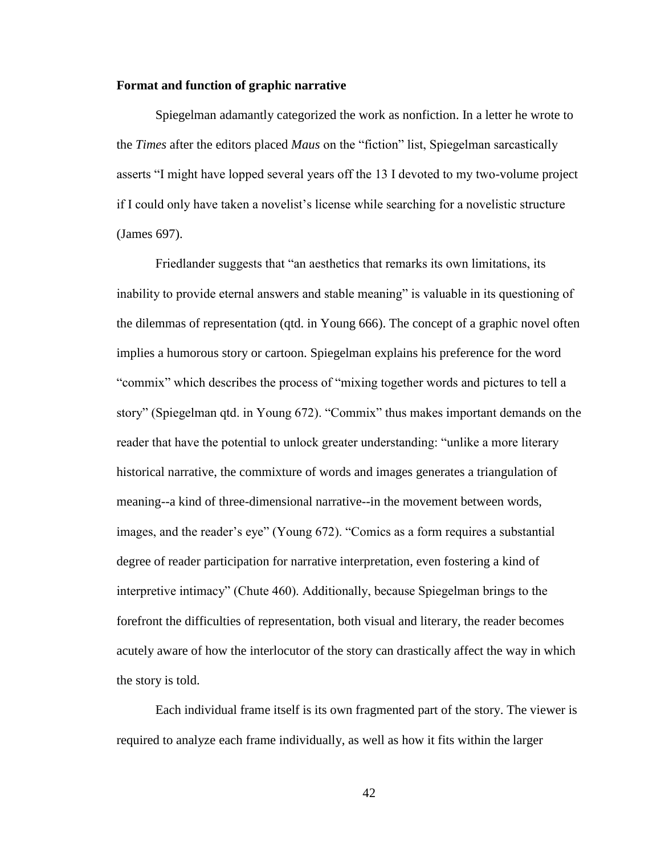## **Format and function of graphic narrative**

Spiegelman adamantly categorized the work as nonfiction. In a letter he wrote to the *Times* after the editors placed *Maus* on the "fiction" list, Spiegelman sarcastically asserts "I might have lopped several years off the 13 I devoted to my two-volume project if I could only have taken a novelist's license while searching for a novelistic structure (James 697).

Friedlander suggests that "an aesthetics that remarks its own limitations, its inability to provide eternal answers and stable meaning" is valuable in its questioning of the dilemmas of representation (qtd. in Young 666). The concept of a graphic novel often implies a humorous story or cartoon. Spiegelman explains his preference for the word "commix" which describes the process of "mixing together words and pictures to tell a story" (Spiegelman qtd. in Young 672). "Commix" thus makes important demands on the reader that have the potential to unlock greater understanding: "unlike a more literary historical narrative, the commixture of words and images generates a triangulation of meaning--a kind of three-dimensional narrative--in the movement between words, images, and the reader's eye" (Young 672). "Comics as a form requires a substantial degree of reader participation for narrative interpretation, even fostering a kind of interpretive intimacy" (Chute 460). Additionally, because Spiegelman brings to the forefront the difficulties of representation, both visual and literary, the reader becomes acutely aware of how the interlocutor of the story can drastically affect the way in which the story is told.

Each individual frame itself is its own fragmented part of the story. The viewer is required to analyze each frame individually, as well as how it fits within the larger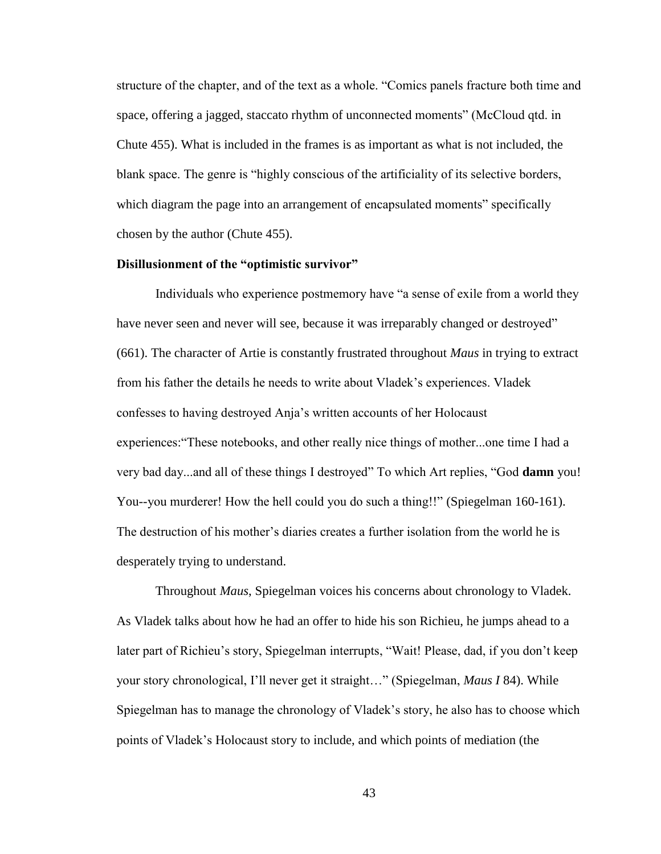structure of the chapter, and of the text as a whole. "Comics panels fracture both time and space, offering a jagged, staccato rhythm of unconnected moments" (McCloud qtd. in Chute 455). What is included in the frames is as important as what is not included, the blank space. The genre is "highly conscious of the artificiality of its selective borders, which diagram the page into an arrangement of encapsulated moments" specifically chosen by the author (Chute 455).

# **Disillusionment of the "optimistic survivor"**

Individuals who experience postmemory have "a sense of exile from a world they have never seen and never will see, because it was irreparably changed or destroyed" (661). The character of Artie is constantly frustrated throughout *Maus* in trying to extract from his father the details he needs to write about Vladek's experiences. Vladek confesses to having destroyed Anja's written accounts of her Holocaust experiences:"These notebooks, and other really nice things of mother...one time I had a very bad day...and all of these things I destroyed" To which Art replies, "God **damn** you! You--you murderer! How the hell could you do such a thing!!" (Spiegelman 160-161). The destruction of his mother's diaries creates a further isolation from the world he is desperately trying to understand.

Throughout *Maus*, Spiegelman voices his concerns about chronology to Vladek. As Vladek talks about how he had an offer to hide his son Richieu, he jumps ahead to a later part of Richieu's story, Spiegelman interrupts, "Wait! Please, dad, if you don't keep your story chronological, I'll never get it straight…" (Spiegelman, *Maus I* 84). While Spiegelman has to manage the chronology of Vladek's story, he also has to choose which points of Vladek's Holocaust story to include, and which points of mediation (the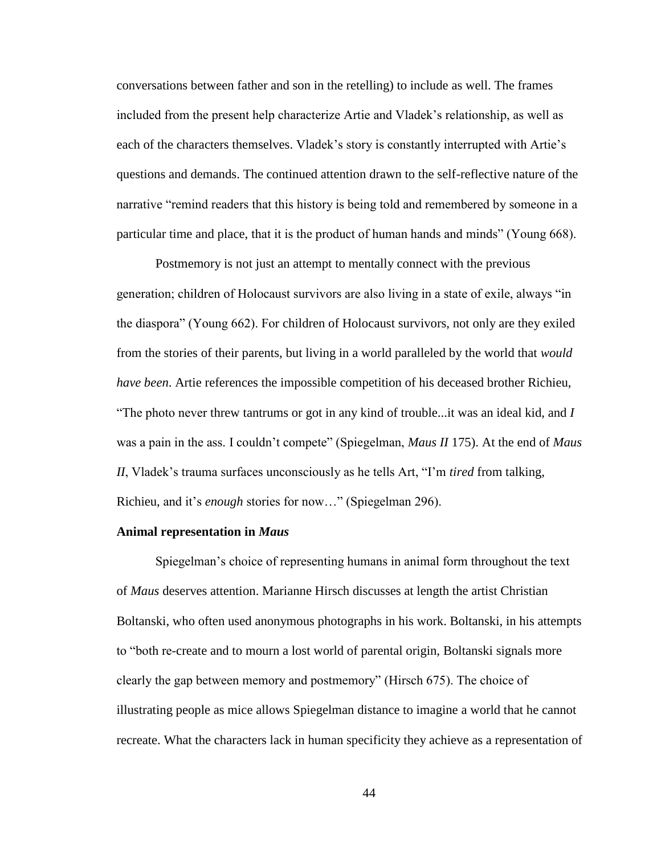conversations between father and son in the retelling) to include as well. The frames included from the present help characterize Artie and Vladek's relationship, as well as each of the characters themselves. Vladek's story is constantly interrupted with Artie's questions and demands. The continued attention drawn to the self-reflective nature of the narrative "remind readers that this history is being told and remembered by someone in a particular time and place, that it is the product of human hands and minds" (Young 668).

Postmemory is not just an attempt to mentally connect with the previous generation; children of Holocaust survivors are also living in a state of exile, always "in the diaspora" (Young 662). For children of Holocaust survivors, not only are they exiled from the stories of their parents, but living in a world paralleled by the world that *would have been*. Artie references the impossible competition of his deceased brother Richieu, "The photo never threw tantrums or got in any kind of trouble...it was an ideal kid, and *I* was a pain in the ass. I couldn't compete" (Spiegelman, *Maus II* 175). At the end of *Maus II*, Vladek's trauma surfaces unconsciously as he tells Art, "I'm *tired* from talking, Richieu, and it's *enough* stories for now…" (Spiegelman 296).

# **Animal representation in** *Maus*

Spiegelman's choice of representing humans in animal form throughout the text of *Maus* deserves attention. Marianne Hirsch discusses at length the artist Christian Boltanski, who often used anonymous photographs in his work. Boltanski, in his attempts to "both re-create and to mourn a lost world of parental origin, Boltanski signals more clearly the gap between memory and postmemory" (Hirsch 675). The choice of illustrating people as mice allows Spiegelman distance to imagine a world that he cannot recreate. What the characters lack in human specificity they achieve as a representation of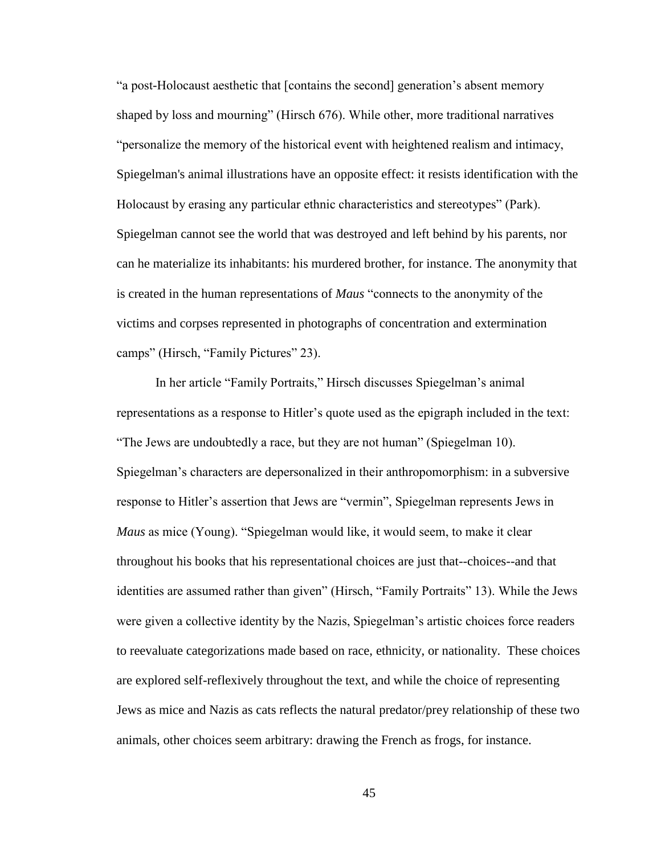"a post-Holocaust aesthetic that [contains the second] generation's absent memory shaped by loss and mourning" (Hirsch 676). While other, more traditional narratives "personalize the memory of the historical event with heightened realism and intimacy, Spiegelman's animal illustrations have an opposite effect: it resists identification with the Holocaust by erasing any particular ethnic characteristics and stereotypes" (Park). Spiegelman cannot see the world that was destroyed and left behind by his parents, nor can he materialize its inhabitants: his murdered brother, for instance. The anonymity that is created in the human representations of *Maus* "connects to the anonymity of the victims and corpses represented in photographs of concentration and extermination camps" (Hirsch, "Family Pictures" 23).

In her article "Family Portraits," Hirsch discusses Spiegelman's animal representations as a response to Hitler's quote used as the epigraph included in the text: "The Jews are undoubtedly a race, but they are not human" (Spiegelman 10). Spiegelman's characters are depersonalized in their anthropomorphism: in a subversive response to Hitler's assertion that Jews are "vermin", Spiegelman represents Jews in *Maus* as mice (Young). "Spiegelman would like, it would seem, to make it clear throughout his books that his representational choices are just that--choices--and that identities are assumed rather than given" (Hirsch, "Family Portraits" 13). While the Jews were given a collective identity by the Nazis, Spiegelman's artistic choices force readers to reevaluate categorizations made based on race, ethnicity, or nationality. These choices are explored self-reflexively throughout the text, and while the choice of representing Jews as mice and Nazis as cats reflects the natural predator/prey relationship of these two animals, other choices seem arbitrary: drawing the French as frogs, for instance.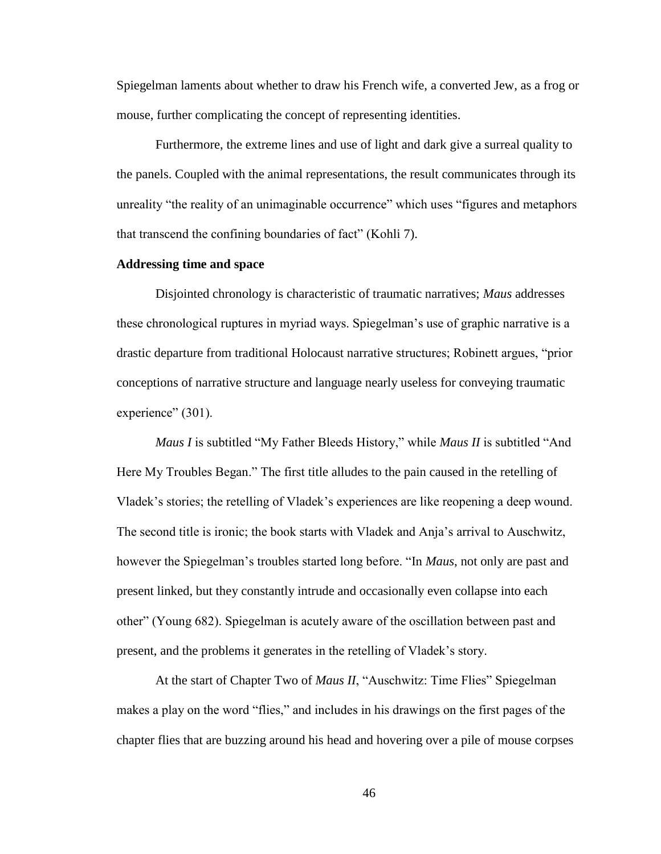Spiegelman laments about whether to draw his French wife, a converted Jew, as a frog or mouse, further complicating the concept of representing identities.

Furthermore, the extreme lines and use of light and dark give a surreal quality to the panels. Coupled with the animal representations, the result communicates through its unreality "the reality of an unimaginable occurrence" which uses "figures and metaphors that transcend the confining boundaries of fact" (Kohli 7).

## **Addressing time and space**

Disjointed chronology is characteristic of traumatic narratives; *Maus* addresses these chronological ruptures in myriad ways. Spiegelman's use of graphic narrative is a drastic departure from traditional Holocaust narrative structures; Robinett argues, "prior conceptions of narrative structure and language nearly useless for conveying traumatic experience" (301).

*Maus I* is subtitled "My Father Bleeds History," while *Maus II* is subtitled "And Here My Troubles Began." The first title alludes to the pain caused in the retelling of Vladek's stories; the retelling of Vladek's experiences are like reopening a deep wound. The second title is ironic; the book starts with Vladek and Anja's arrival to Auschwitz, however the Spiegelman's troubles started long before. "In *Maus*, not only are past and present linked, but they constantly intrude and occasionally even collapse into each other" (Young 682). Spiegelman is acutely aware of the oscillation between past and present, and the problems it generates in the retelling of Vladek's story.

At the start of Chapter Two of *Maus II*, "Auschwitz: Time Flies" Spiegelman makes a play on the word "flies," and includes in his drawings on the first pages of the chapter flies that are buzzing around his head and hovering over a pile of mouse corpses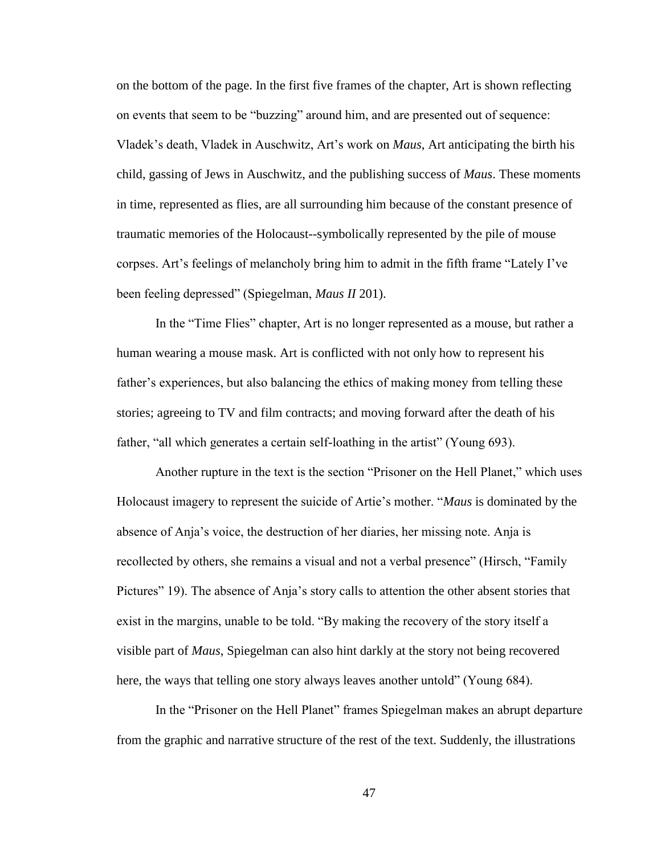on the bottom of the page. In the first five frames of the chapter, Art is shown reflecting on events that seem to be "buzzing" around him, and are presented out of sequence: Vladek's death, Vladek in Auschwitz, Art's work on *Maus*, Art anticipating the birth his child, gassing of Jews in Auschwitz, and the publishing success of *Maus*. These moments in time, represented as flies, are all surrounding him because of the constant presence of traumatic memories of the Holocaust--symbolically represented by the pile of mouse corpses. Art's feelings of melancholy bring him to admit in the fifth frame "Lately I've been feeling depressed" (Spiegelman, *Maus II* 201).

In the "Time Flies" chapter, Art is no longer represented as a mouse, but rather a human wearing a mouse mask. Art is conflicted with not only how to represent his father's experiences, but also balancing the ethics of making money from telling these stories; agreeing to TV and film contracts; and moving forward after the death of his father, "all which generates a certain self-loathing in the artist" (Young 693).

Another rupture in the text is the section "Prisoner on the Hell Planet," which uses Holocaust imagery to represent the suicide of Artie's mother. "*Maus* is dominated by the absence of Anja's voice, the destruction of her diaries, her missing note. Anja is recollected by others, she remains a visual and not a verbal presence" (Hirsch, "Family Pictures" 19). The absence of Anja's story calls to attention the other absent stories that exist in the margins, unable to be told. "By making the recovery of the story itself a visible part of *Maus*, Spiegelman can also hint darkly at the story not being recovered here, the ways that telling one story always leaves another untold" (Young 684).

In the "Prisoner on the Hell Planet" frames Spiegelman makes an abrupt departure from the graphic and narrative structure of the rest of the text. Suddenly, the illustrations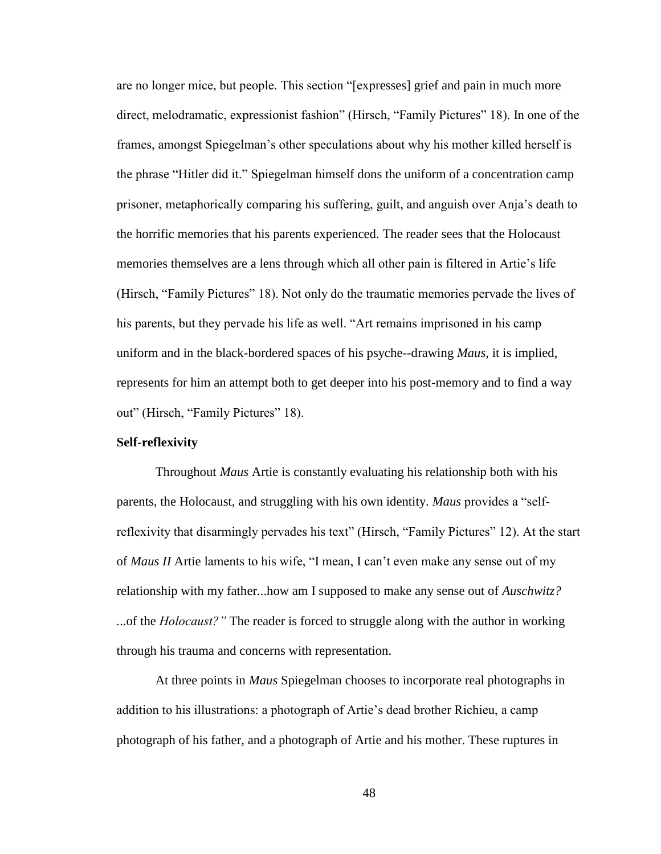are no longer mice, but people. This section "[expresses] grief and pain in much more direct, melodramatic, expressionist fashion" (Hirsch, "Family Pictures" 18). In one of the frames, amongst Spiegelman's other speculations about why his mother killed herself is the phrase "Hitler did it." Spiegelman himself dons the uniform of a concentration camp prisoner, metaphorically comparing his suffering, guilt, and anguish over Anja's death to the horrific memories that his parents experienced. The reader sees that the Holocaust memories themselves are a lens through which all other pain is filtered in Artie's life (Hirsch, "Family Pictures" 18). Not only do the traumatic memories pervade the lives of his parents, but they pervade his life as well. "Art remains imprisoned in his camp uniform and in the black-bordered spaces of his psyche--drawing *Maus*, it is implied, represents for him an attempt both to get deeper into his post-memory and to find a way out" (Hirsch, "Family Pictures" 18).

# **Self-reflexivity**

Throughout *Maus* Artie is constantly evaluating his relationship both with his parents, the Holocaust, and struggling with his own identity. *Maus* provides a "selfreflexivity that disarmingly pervades his text" (Hirsch, "Family Pictures" 12). At the start of *Maus II* Artie laments to his wife, "I mean, I can't even make any sense out of my relationship with my father...how am I supposed to make any sense out of *Auschwitz? .*..of the *Holocaust?"* The reader is forced to struggle along with the author in working through his trauma and concerns with representation.

At three points in *Maus* Spiegelman chooses to incorporate real photographs in addition to his illustrations: a photograph of Artie's dead brother Richieu, a camp photograph of his father, and a photograph of Artie and his mother. These ruptures in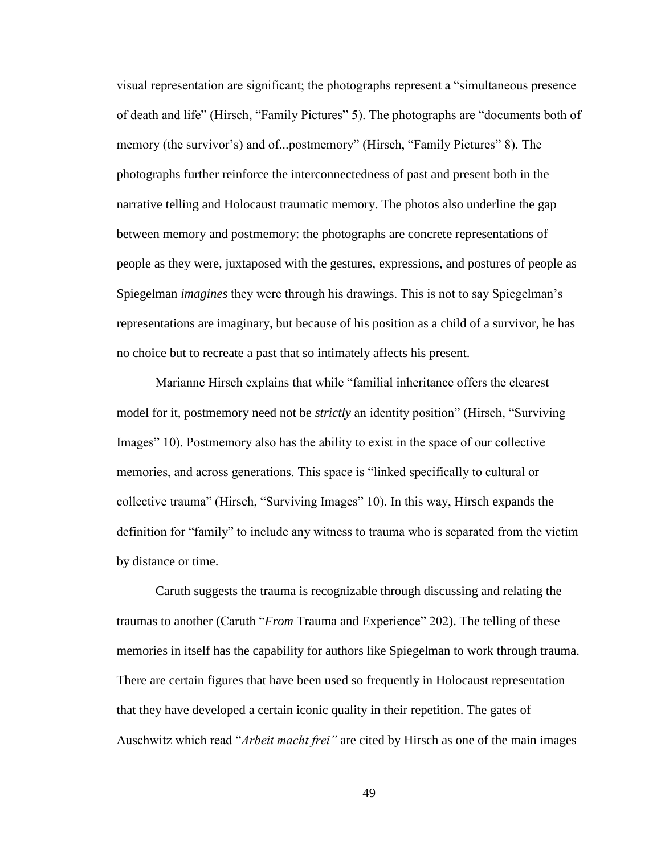visual representation are significant; the photographs represent a "simultaneous presence of death and life" (Hirsch, "Family Pictures" 5). The photographs are "documents both of memory (the survivor's) and of...postmemory" (Hirsch, "Family Pictures" 8). The photographs further reinforce the interconnectedness of past and present both in the narrative telling and Holocaust traumatic memory. The photos also underline the gap between memory and postmemory: the photographs are concrete representations of people as they were, juxtaposed with the gestures, expressions, and postures of people as Spiegelman *imagines* they were through his drawings. This is not to say Spiegelman's representations are imaginary, but because of his position as a child of a survivor, he has no choice but to recreate a past that so intimately affects his present.

Marianne Hirsch explains that while "familial inheritance offers the clearest model for it, postmemory need not be *strictly* an identity position" (Hirsch, "Surviving Images" 10). Postmemory also has the ability to exist in the space of our collective memories, and across generations. This space is "linked specifically to cultural or collective trauma" (Hirsch, "Surviving Images" 10). In this way, Hirsch expands the definition for "family" to include any witness to trauma who is separated from the victim by distance or time.

Caruth suggests the trauma is recognizable through discussing and relating the traumas to another (Caruth "*From* Trauma and Experience" 202). The telling of these memories in itself has the capability for authors like Spiegelman to work through trauma. There are certain figures that have been used so frequently in Holocaust representation that they have developed a certain iconic quality in their repetition. The gates of Auschwitz which read "*Arbeit macht frei"* are cited by Hirsch as one of the main images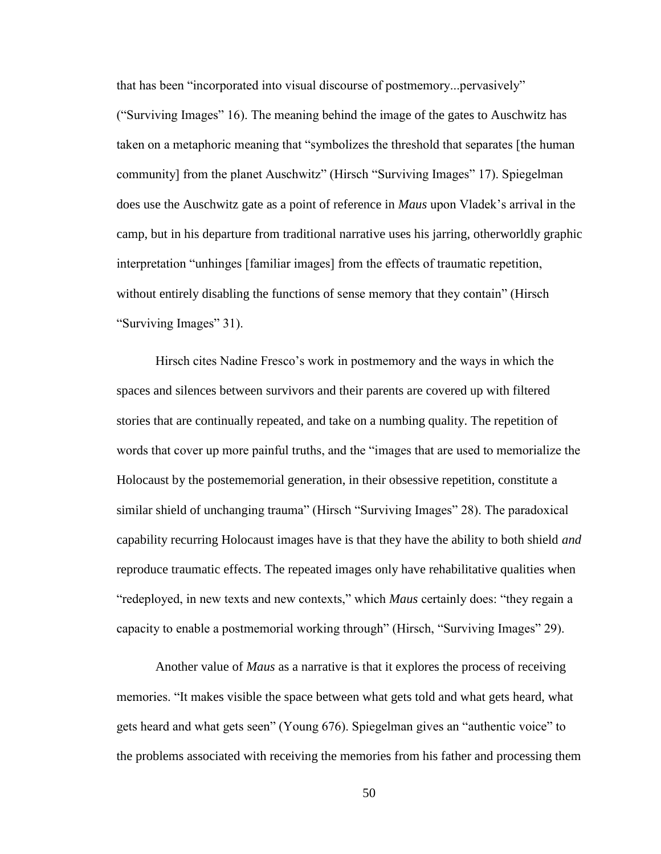that has been "incorporated into visual discourse of postmemory...pervasively" ("Surviving Images" 16). The meaning behind the image of the gates to Auschwitz has taken on a metaphoric meaning that "symbolizes the threshold that separates [the human community] from the planet Auschwitz" (Hirsch "Surviving Images" 17). Spiegelman does use the Auschwitz gate as a point of reference in *Maus* upon Vladek's arrival in the camp, but in his departure from traditional narrative uses his jarring, otherworldly graphic interpretation "unhinges [familiar images] from the effects of traumatic repetition, without entirely disabling the functions of sense memory that they contain" (Hirsch "Surviving Images" 31).

Hirsch cites Nadine Fresco's work in postmemory and the ways in which the spaces and silences between survivors and their parents are covered up with filtered stories that are continually repeated, and take on a numbing quality. The repetition of words that cover up more painful truths, and the "images that are used to memorialize the Holocaust by the postememorial generation, in their obsessive repetition, constitute a similar shield of unchanging trauma" (Hirsch "Surviving Images" 28). The paradoxical capability recurring Holocaust images have is that they have the ability to both shield *and* reproduce traumatic effects. The repeated images only have rehabilitative qualities when "redeployed, in new texts and new contexts," which *Maus* certainly does: "they regain a capacity to enable a postmemorial working through" (Hirsch, "Surviving Images" 29).

Another value of *Maus* as a narrative is that it explores the process of receiving memories. "It makes visible the space between what gets told and what gets heard, what gets heard and what gets seen" (Young 676). Spiegelman gives an "authentic voice" to the problems associated with receiving the memories from his father and processing them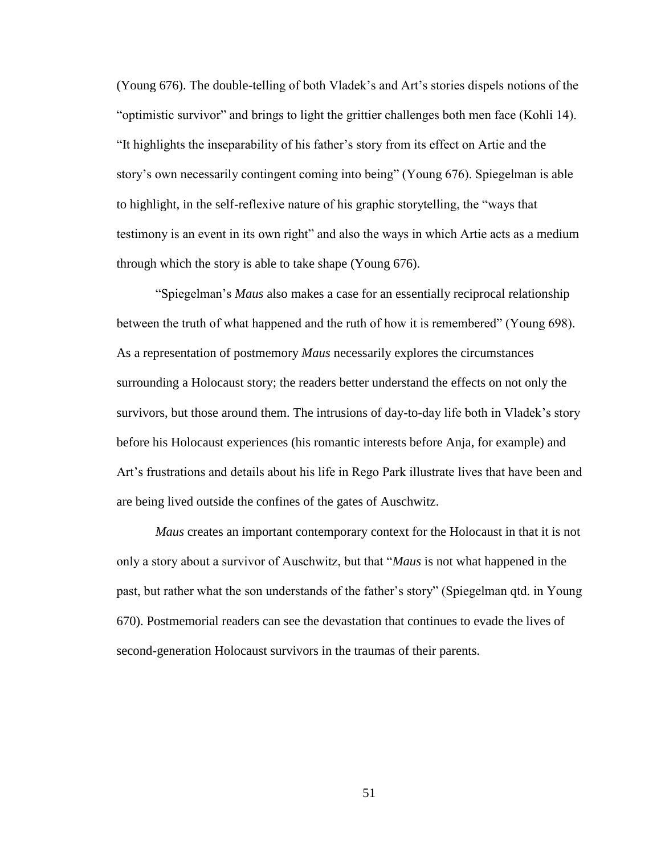(Young 676). The double-telling of both Vladek's and Art's stories dispels notions of the "optimistic survivor" and brings to light the grittier challenges both men face (Kohli 14). "It highlights the inseparability of his father's story from its effect on Artie and the story's own necessarily contingent coming into being" (Young 676). Spiegelman is able to highlight, in the self-reflexive nature of his graphic storytelling, the "ways that testimony is an event in its own right" and also the ways in which Artie acts as a medium through which the story is able to take shape (Young 676).

"Spiegelman's *Maus* also makes a case for an essentially reciprocal relationship between the truth of what happened and the ruth of how it is remembered" (Young 698). As a representation of postmemory *Maus* necessarily explores the circumstances surrounding a Holocaust story; the readers better understand the effects on not only the survivors, but those around them. The intrusions of day-to-day life both in Vladek's story before his Holocaust experiences (his romantic interests before Anja, for example) and Art's frustrations and details about his life in Rego Park illustrate lives that have been and are being lived outside the confines of the gates of Auschwitz.

*Maus* creates an important contemporary context for the Holocaust in that it is not only a story about a survivor of Auschwitz, but that "*Maus* is not what happened in the past, but rather what the son understands of the father's story" (Spiegelman qtd. in Young 670). Postmemorial readers can see the devastation that continues to evade the lives of second-generation Holocaust survivors in the traumas of their parents.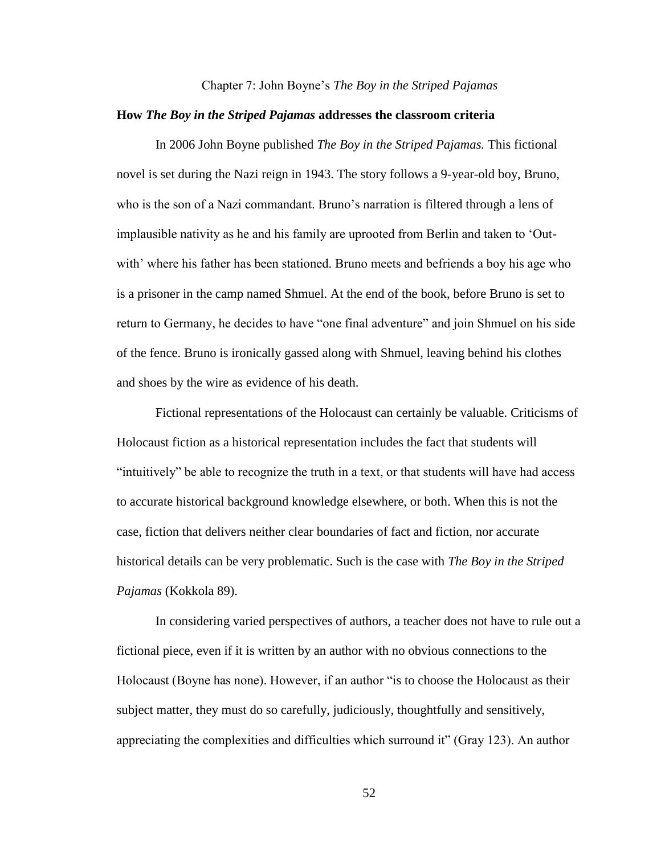#### Chapter 7: John Boyne's *The Boy in the Striped Pajamas*

## **How** *The Boy in the Striped Pajamas* **addresses the classroom criteria**

In 2006 John Boyne published *The Boy in the Striped Pajamas.* This fictional novel is set during the Nazi reign in 1943. The story follows a 9-year-old boy, Bruno, who is the son of a Nazi commandant. Bruno's narration is filtered through a lens of implausible nativity as he and his family are uprooted from Berlin and taken to 'Outwith' where his father has been stationed. Bruno meets and befriends a boy his age who is a prisoner in the camp named Shmuel. At the end of the book, before Bruno is set to return to Germany, he decides to have "one final adventure" and join Shmuel on his side of the fence. Bruno is ironically gassed along with Shmuel, leaving behind his clothes and shoes by the wire as evidence of his death.

Fictional representations of the Holocaust can certainly be valuable. Criticisms of Holocaust fiction as a historical representation includes the fact that students will "intuitively" be able to recognize the truth in a text, or that students will have had access to accurate historical background knowledge elsewhere, or both. When this is not the case, fiction that delivers neither clear boundaries of fact and fiction, nor accurate historical details can be very problematic. Such is the case with *The Boy in the Striped Pajamas* (Kokkola 89).

In considering varied perspectives of authors, a teacher does not have to rule out a fictional piece, even if it is written by an author with no obvious connections to the Holocaust (Boyne has none). However, if an author "is to choose the Holocaust as their subject matter, they must do so carefully, judiciously, thoughtfully and sensitively, appreciating the complexities and difficulties which surround it" (Gray 123). An author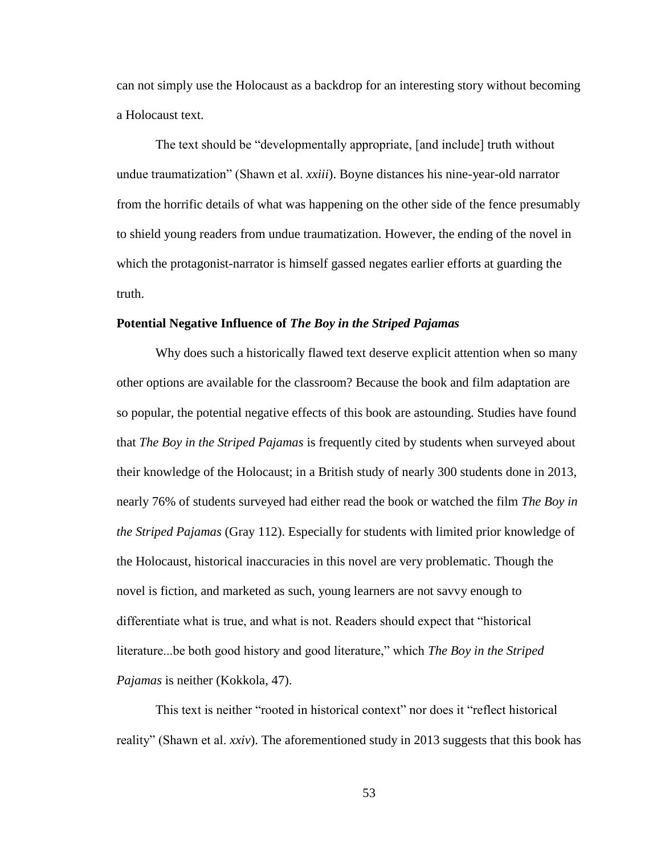can not simply use the Holocaust as a backdrop for an interesting story without becoming a Holocaust text.

The text should be "developmentally appropriate, [and include] truth without undue traumatization" (Shawn et al. *xxiii*). Boyne distances his nine-year-old narrator from the horrific details of what was happening on the other side of the fence presumably to shield young readers from undue traumatization. However, the ending of the novel in which the protagonist-narrator is himself gassed negates earlier efforts at guarding the truth.

#### **Potential Negative Influence of** *The Boy in the Striped Pajamas*

Why does such a historically flawed text deserve explicit attention when so many other options are available for the classroom? Because the book and film adaptation are so popular, the potential negative effects of this book are astounding. Studies have found that *The Boy in the Striped Pajamas* is frequently cited by students when surveyed about their knowledge of the Holocaust; in a British study of nearly 300 students done in 2013, nearly 76% of students surveyed had either read the book or watched the film *The Boy in the Striped Pajamas* (Gray 112). Especially for students with limited prior knowledge of the Holocaust, historical inaccuracies in this novel are very problematic. Though the novel is fiction, and marketed as such, young learners are not savvy enough to differentiate what is true, and what is not. Readers should expect that "historical literature...be both good history and good literature," which *The Boy in the Striped Pajamas* is neither (Kokkola, 47).

This text is neither "rooted in historical context" nor does it "reflect historical reality" (Shawn et al. *xxiv*). The aforementioned study in 2013 suggests that this book has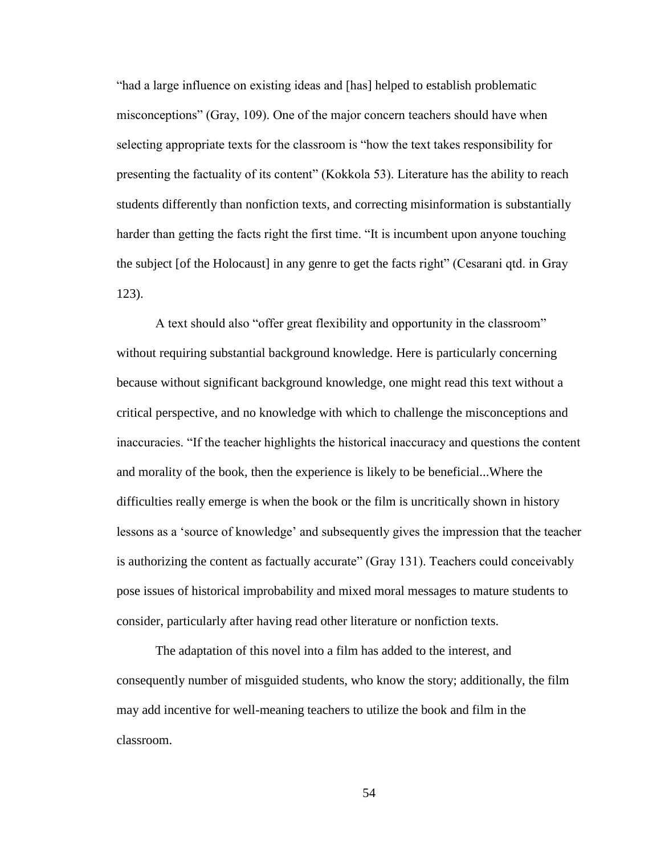"had a large influence on existing ideas and [has] helped to establish problematic misconceptions" (Gray, 109). One of the major concern teachers should have when selecting appropriate texts for the classroom is "how the text takes responsibility for presenting the factuality of its content" (Kokkola 53). Literature has the ability to reach students differently than nonfiction texts, and correcting misinformation is substantially harder than getting the facts right the first time. "It is incumbent upon anyone touching the subject [of the Holocaust] in any genre to get the facts right" (Cesarani qtd. in Gray 123).

A text should also "offer great flexibility and opportunity in the classroom" without requiring substantial background knowledge. Here is particularly concerning because without significant background knowledge, one might read this text without a critical perspective, and no knowledge with which to challenge the misconceptions and inaccuracies. "If the teacher highlights the historical inaccuracy and questions the content and morality of the book, then the experience is likely to be beneficial...Where the difficulties really emerge is when the book or the film is uncritically shown in history lessons as a 'source of knowledge' and subsequently gives the impression that the teacher is authorizing the content as factually accurate" (Gray 131). Teachers could conceivably pose issues of historical improbability and mixed moral messages to mature students to consider, particularly after having read other literature or nonfiction texts.

The adaptation of this novel into a film has added to the interest, and consequently number of misguided students, who know the story; additionally, the film may add incentive for well-meaning teachers to utilize the book and film in the classroom.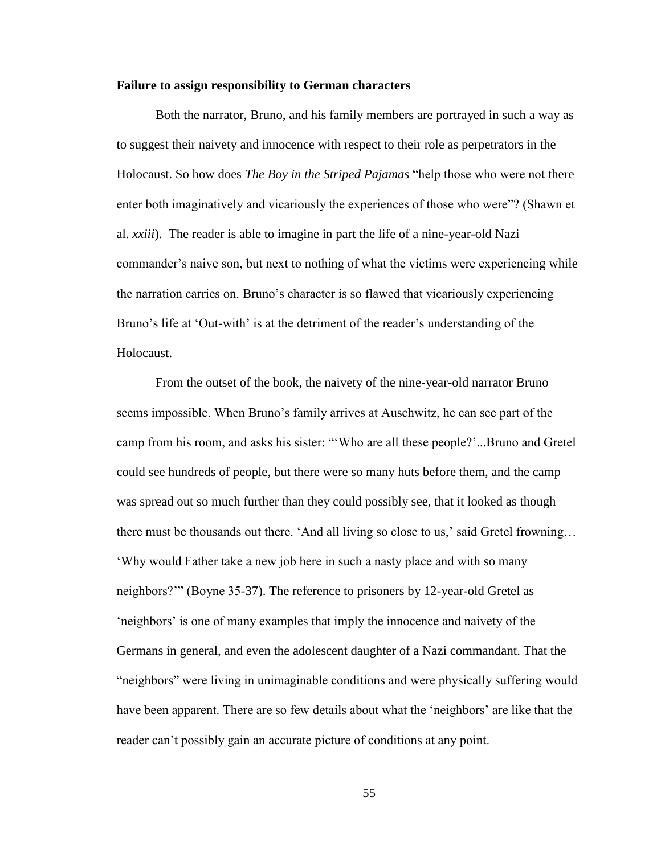## **Failure to assign responsibility to German characters**

Both the narrator, Bruno, and his family members are portrayed in such a way as to suggest their naivety and innocence with respect to their role as perpetrators in the Holocaust. So how does *The Boy in the Striped Pajamas* "help those who were not there enter both imaginatively and vicariously the experiences of those who were"? (Shawn et al. *xxiii*). The reader is able to imagine in part the life of a nine-year-old Nazi commander's naive son, but next to nothing of what the victims were experiencing while the narration carries on. Bruno's character is so flawed that vicariously experiencing Bruno's life at 'Out-with' is at the detriment of the reader's understanding of the Holocaust.

From the outset of the book, the naivety of the nine-year-old narrator Bruno seems impossible. When Bruno's family arrives at Auschwitz, he can see part of the camp from his room, and asks his sister: "'Who are all these people?'...Bruno and Gretel could see hundreds of people, but there were so many huts before them, and the camp was spread out so much further than they could possibly see, that it looked as though there must be thousands out there. 'And all living so close to us,' said Gretel frowning… 'Why would Father take a new job here in such a nasty place and with so many neighbors?'" (Boyne 35-37). The reference to prisoners by 12-year-old Gretel as 'neighbors' is one of many examples that imply the innocence and naivety of the Germans in general, and even the adolescent daughter of a Nazi commandant. That the "neighbors" were living in unimaginable conditions and were physically suffering would have been apparent. There are so few details about what the 'neighbors' are like that the reader can't possibly gain an accurate picture of conditions at any point.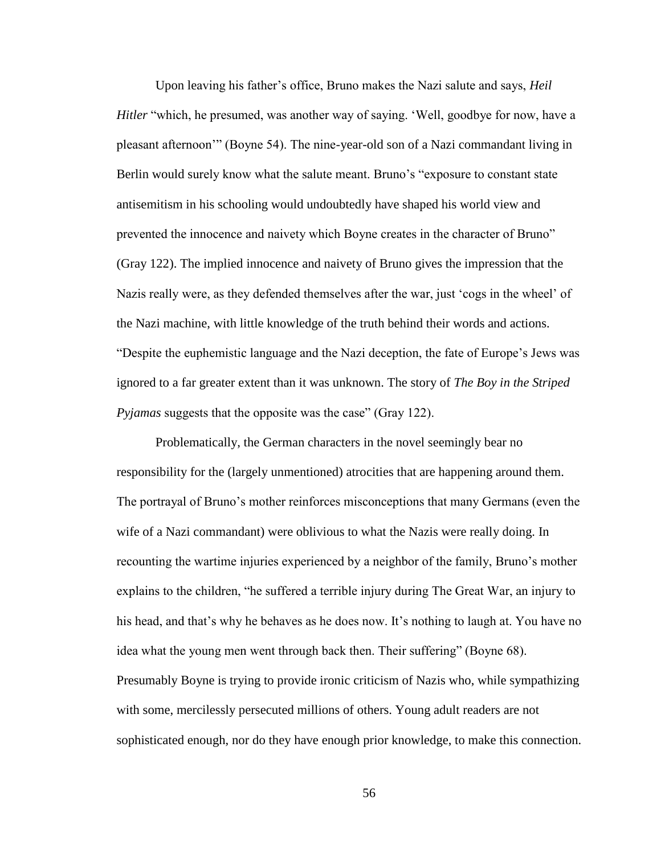Upon leaving his father's office, Bruno makes the Nazi salute and says, *Heil Hitler* "which, he presumed, was another way of saying. 'Well, goodbye for now, have a pleasant afternoon'" (Boyne 54). The nine-year-old son of a Nazi commandant living in Berlin would surely know what the salute meant. Bruno's "exposure to constant state antisemitism in his schooling would undoubtedly have shaped his world view and prevented the innocence and naivety which Boyne creates in the character of Bruno" (Gray 122). The implied innocence and naivety of Bruno gives the impression that the Nazis really were, as they defended themselves after the war, just 'cogs in the wheel' of the Nazi machine, with little knowledge of the truth behind their words and actions. "Despite the euphemistic language and the Nazi deception, the fate of Europe's Jews was ignored to a far greater extent than it was unknown. The story of *The Boy in the Striped Pyjamas* suggests that the opposite was the case" (Gray 122).

Problematically, the German characters in the novel seemingly bear no responsibility for the (largely unmentioned) atrocities that are happening around them. The portrayal of Bruno's mother reinforces misconceptions that many Germans (even the wife of a Nazi commandant) were oblivious to what the Nazis were really doing. In recounting the wartime injuries experienced by a neighbor of the family, Bruno's mother explains to the children, "he suffered a terrible injury during The Great War, an injury to his head, and that's why he behaves as he does now. It's nothing to laugh at. You have no idea what the young men went through back then. Their suffering" (Boyne 68). Presumably Boyne is trying to provide ironic criticism of Nazis who, while sympathizing with some, mercilessly persecuted millions of others. Young adult readers are not sophisticated enough, nor do they have enough prior knowledge, to make this connection.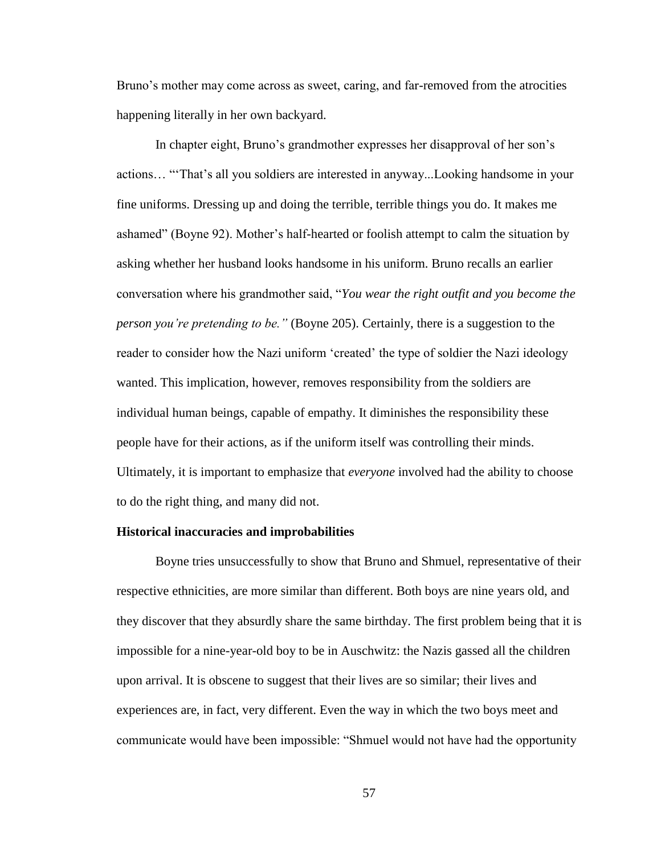Bruno's mother may come across as sweet, caring, and far-removed from the atrocities happening literally in her own backyard.

In chapter eight, Bruno's grandmother expresses her disapproval of her son's actions… "'That's all you soldiers are interested in anyway...Looking handsome in your fine uniforms. Dressing up and doing the terrible, terrible things you do. It makes me ashamed" (Boyne 92). Mother's half-hearted or foolish attempt to calm the situation by asking whether her husband looks handsome in his uniform. Bruno recalls an earlier conversation where his grandmother said, "*You wear the right outfit and you become the person you're pretending to be."* (Boyne 205). Certainly, there is a suggestion to the reader to consider how the Nazi uniform 'created' the type of soldier the Nazi ideology wanted. This implication, however, removes responsibility from the soldiers are individual human beings, capable of empathy. It diminishes the responsibility these people have for their actions, as if the uniform itself was controlling their minds. Ultimately, it is important to emphasize that *everyone* involved had the ability to choose to do the right thing, and many did not.

#### **Historical inaccuracies and improbabilities**

Boyne tries unsuccessfully to show that Bruno and Shmuel, representative of their respective ethnicities, are more similar than different. Both boys are nine years old, and they discover that they absurdly share the same birthday. The first problem being that it is impossible for a nine-year-old boy to be in Auschwitz: the Nazis gassed all the children upon arrival. It is obscene to suggest that their lives are so similar; their lives and experiences are, in fact, very different. Even the way in which the two boys meet and communicate would have been impossible: "Shmuel would not have had the opportunity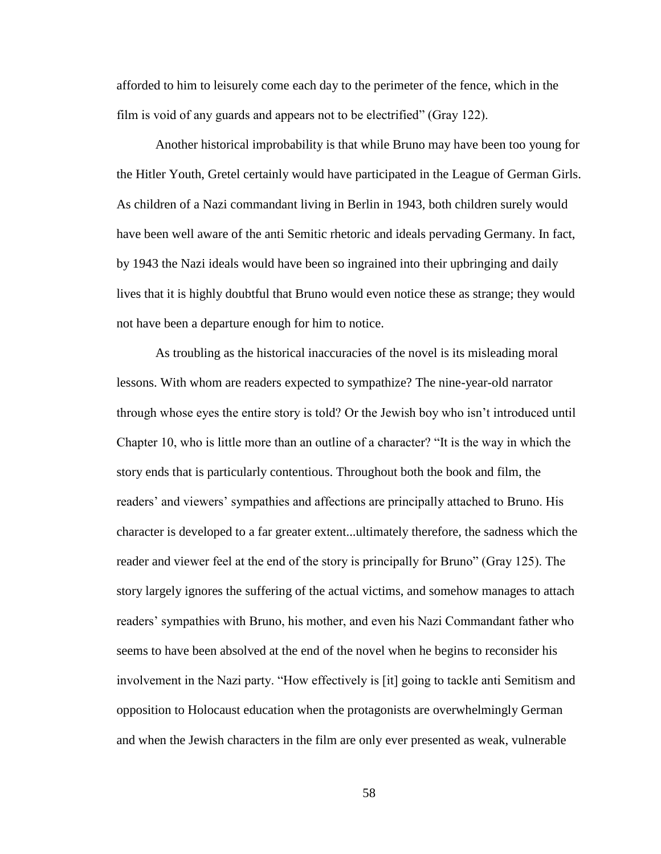afforded to him to leisurely come each day to the perimeter of the fence, which in the film is void of any guards and appears not to be electrified" (Gray 122).

Another historical improbability is that while Bruno may have been too young for the Hitler Youth, Gretel certainly would have participated in the League of German Girls. As children of a Nazi commandant living in Berlin in 1943, both children surely would have been well aware of the anti Semitic rhetoric and ideals pervading Germany. In fact, by 1943 the Nazi ideals would have been so ingrained into their upbringing and daily lives that it is highly doubtful that Bruno would even notice these as strange; they would not have been a departure enough for him to notice.

As troubling as the historical inaccuracies of the novel is its misleading moral lessons. With whom are readers expected to sympathize? The nine-year-old narrator through whose eyes the entire story is told? Or the Jewish boy who isn't introduced until Chapter 10, who is little more than an outline of a character? "It is the way in which the story ends that is particularly contentious. Throughout both the book and film, the readers' and viewers' sympathies and affections are principally attached to Bruno. His character is developed to a far greater extent...ultimately therefore, the sadness which the reader and viewer feel at the end of the story is principally for Bruno" (Gray 125). The story largely ignores the suffering of the actual victims, and somehow manages to attach readers' sympathies with Bruno, his mother, and even his Nazi Commandant father who seems to have been absolved at the end of the novel when he begins to reconsider his involvement in the Nazi party. "How effectively is [it] going to tackle anti Semitism and opposition to Holocaust education when the protagonists are overwhelmingly German and when the Jewish characters in the film are only ever presented as weak, vulnerable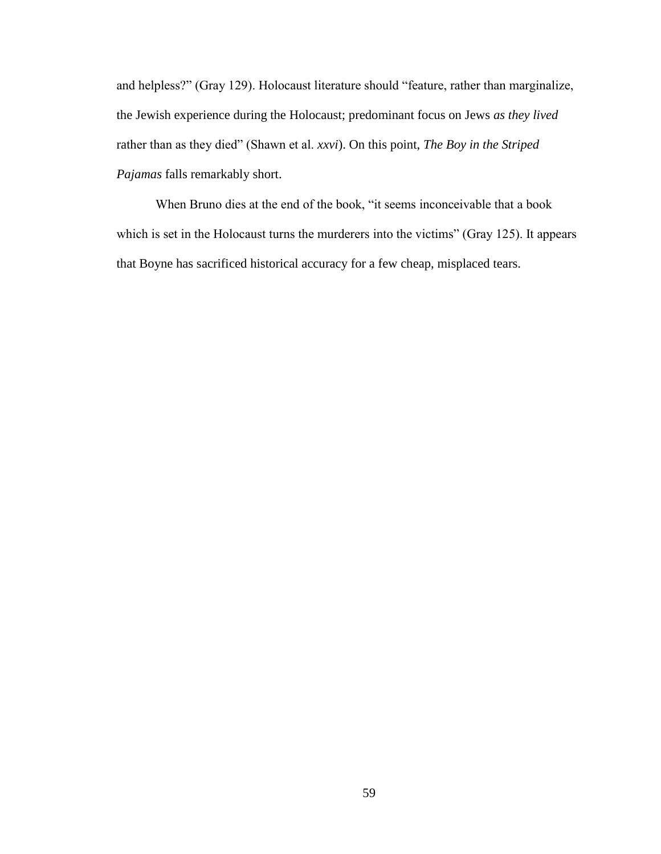and helpless?" (Gray 129). Holocaust literature should "feature, rather than marginalize, the Jewish experience during the Holocaust; predominant focus on Jews *as they lived* rather than as they died" (Shawn et al. *xxvi*). On this point, *The Boy in the Striped Pajamas* falls remarkably short.

When Bruno dies at the end of the book, "it seems inconceivable that a book which is set in the Holocaust turns the murderers into the victims" (Gray 125). It appears that Boyne has sacrificed historical accuracy for a few cheap, misplaced tears.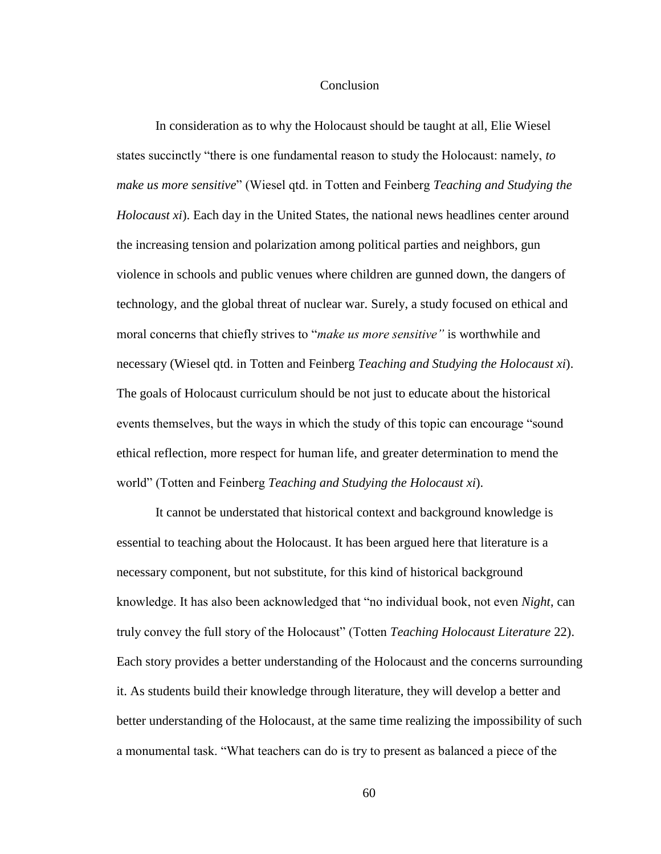### Conclusion

In consideration as to why the Holocaust should be taught at all, Elie Wiesel states succinctly "there is one fundamental reason to study the Holocaust: namely, *to make us more sensitive*" (Wiesel qtd. in Totten and Feinberg *Teaching and Studying the Holocaust xi*). Each day in the United States, the national news headlines center around the increasing tension and polarization among political parties and neighbors, gun violence in schools and public venues where children are gunned down, the dangers of technology, and the global threat of nuclear war. Surely, a study focused on ethical and moral concerns that chiefly strives to "*make us more sensitive"* is worthwhile and necessary (Wiesel qtd. in Totten and Feinberg *Teaching and Studying the Holocaust xi*). The goals of Holocaust curriculum should be not just to educate about the historical events themselves, but the ways in which the study of this topic can encourage "sound ethical reflection, more respect for human life, and greater determination to mend the world" (Totten and Feinberg *Teaching and Studying the Holocaust xi*).

It cannot be understated that historical context and background knowledge is essential to teaching about the Holocaust. It has been argued here that literature is a necessary component, but not substitute, for this kind of historical background knowledge. It has also been acknowledged that "no individual book, not even *Night*, can truly convey the full story of the Holocaust" (Totten *Teaching Holocaust Literature* 22). Each story provides a better understanding of the Holocaust and the concerns surrounding it. As students build their knowledge through literature, they will develop a better and better understanding of the Holocaust, at the same time realizing the impossibility of such a monumental task. "What teachers can do is try to present as balanced a piece of the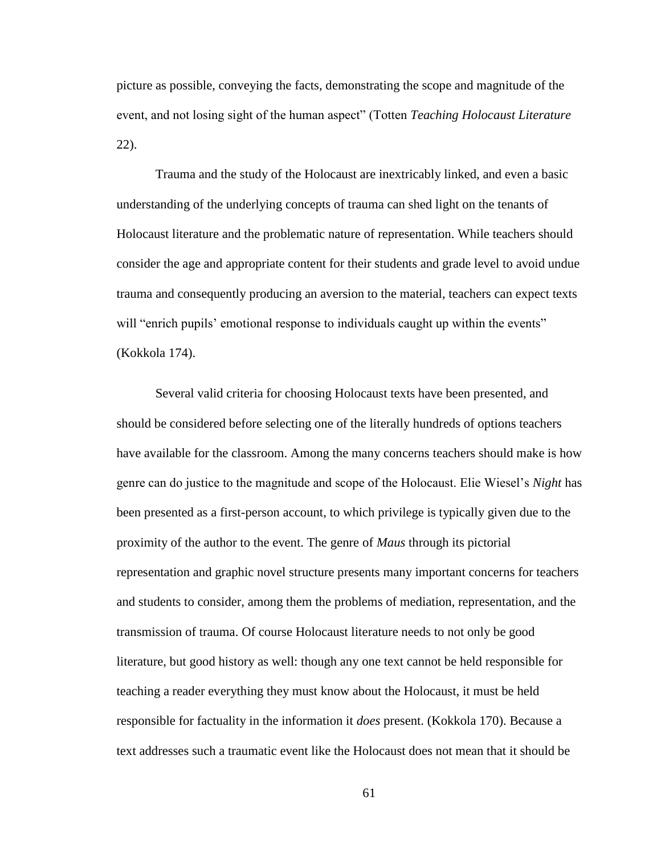picture as possible, conveying the facts, demonstrating the scope and magnitude of the event, and not losing sight of the human aspect" (Totten *Teaching Holocaust Literature*  22).

Trauma and the study of the Holocaust are inextricably linked, and even a basic understanding of the underlying concepts of trauma can shed light on the tenants of Holocaust literature and the problematic nature of representation. While teachers should consider the age and appropriate content for their students and grade level to avoid undue trauma and consequently producing an aversion to the material, teachers can expect texts will "enrich pupils' emotional response to individuals caught up within the events" (Kokkola 174).

Several valid criteria for choosing Holocaust texts have been presented, and should be considered before selecting one of the literally hundreds of options teachers have available for the classroom. Among the many concerns teachers should make is how genre can do justice to the magnitude and scope of the Holocaust. Elie Wiesel's *Night* has been presented as a first-person account, to which privilege is typically given due to the proximity of the author to the event. The genre of *Maus* through its pictorial representation and graphic novel structure presents many important concerns for teachers and students to consider, among them the problems of mediation, representation, and the transmission of trauma. Of course Holocaust literature needs to not only be good literature, but good history as well: though any one text cannot be held responsible for teaching a reader everything they must know about the Holocaust, it must be held responsible for factuality in the information it *does* present. (Kokkola 170). Because a text addresses such a traumatic event like the Holocaust does not mean that it should be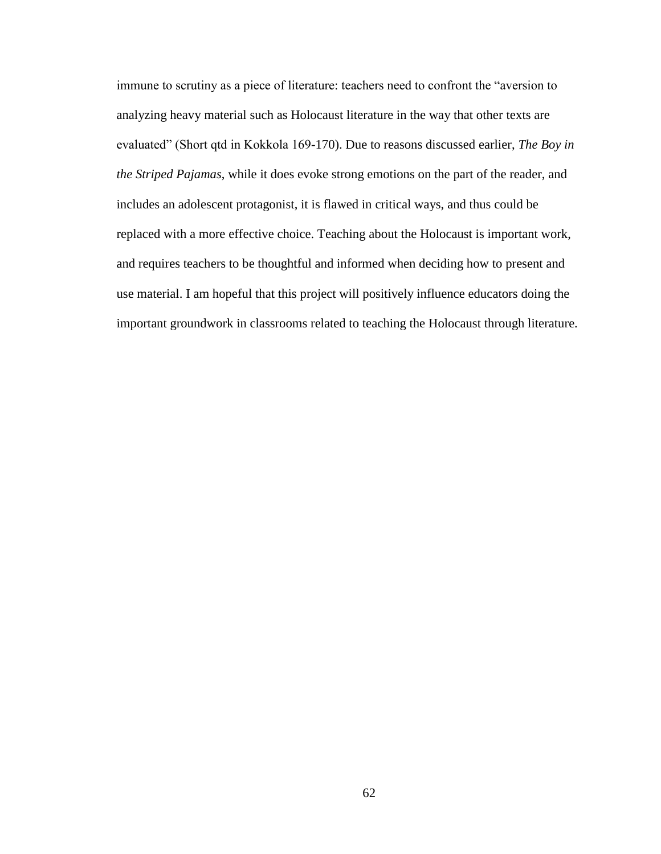immune to scrutiny as a piece of literature: teachers need to confront the "aversion to analyzing heavy material such as Holocaust literature in the way that other texts are evaluated" (Short qtd in Kokkola 169-170). Due to reasons discussed earlier, *The Boy in the Striped Pajamas*, while it does evoke strong emotions on the part of the reader, and includes an adolescent protagonist, it is flawed in critical ways, and thus could be replaced with a more effective choice. Teaching about the Holocaust is important work, and requires teachers to be thoughtful and informed when deciding how to present and use material. I am hopeful that this project will positively influence educators doing the important groundwork in classrooms related to teaching the Holocaust through literature.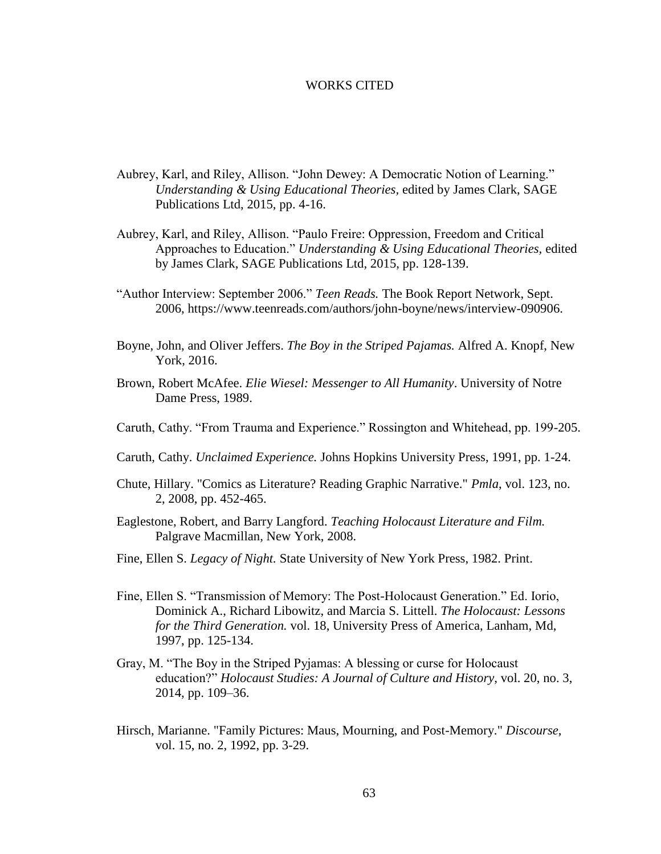## WORKS CITED

- Aubrey, Karl, and Riley, Allison. "John Dewey: A Democratic Notion of Learning." *Understanding & Using Educational Theories,* edited by James Clark, SAGE Publications Ltd, 2015, pp. 4-16.
- Aubrey, Karl, and Riley, Allison. "Paulo Freire: Oppression, Freedom and Critical Approaches to Education." *Understanding & Using Educational Theories,* edited by James Clark, SAGE Publications Ltd, 2015, pp. 128-139.
- "Author Interview: September 2006." *Teen Reads.* The Book Report Network, Sept. 2006, https://www.teenreads.com/authors/john-boyne/news/interview-090906.
- Boyne, John, and Oliver Jeffers. *The Boy in the Striped Pajamas.* Alfred A. Knopf, New York, 2016.
- Brown, Robert McAfee. *Elie Wiesel: Messenger to All Humanity*. University of Notre Dame Press, 1989.
- Caruth, Cathy. "From Trauma and Experience." Rossington and Whitehead, pp. 199-205.
- Caruth, Cathy. *Unclaimed Experience.* Johns Hopkins University Press, 1991, pp. 1-24.
- Chute, Hillary. "Comics as Literature? Reading Graphic Narrative." *Pmla*, vol. 123, no. 2, 2008, pp. 452-465.
- Eaglestone, Robert, and Barry Langford. *Teaching Holocaust Literature and Film.*  Palgrave Macmillan, New York, 2008.
- Fine, Ellen S. *Legacy of Night.* State University of New York Press, 1982. Print.
- Fine, Ellen S. "Transmission of Memory: The Post-Holocaust Generation." Ed. Iorio, Dominick A., Richard Libowitz, and Marcia S. Littell. *The Holocaust: Lessons for the Third Generation.* vol. 18, University Press of America, Lanham, Md, 1997, pp. 125-134.
- Gray, M. "The Boy in the Striped Pyjamas: A blessing or curse for Holocaust education?" *Holocaust Studies: A Journal of Culture and History*, vol. 20, no. 3, 2014, pp. 109–36.
- Hirsch, Marianne. "Family Pictures: Maus, Mourning, and Post-Memory." *Discourse*, vol. 15, no. 2, 1992, pp. 3-29.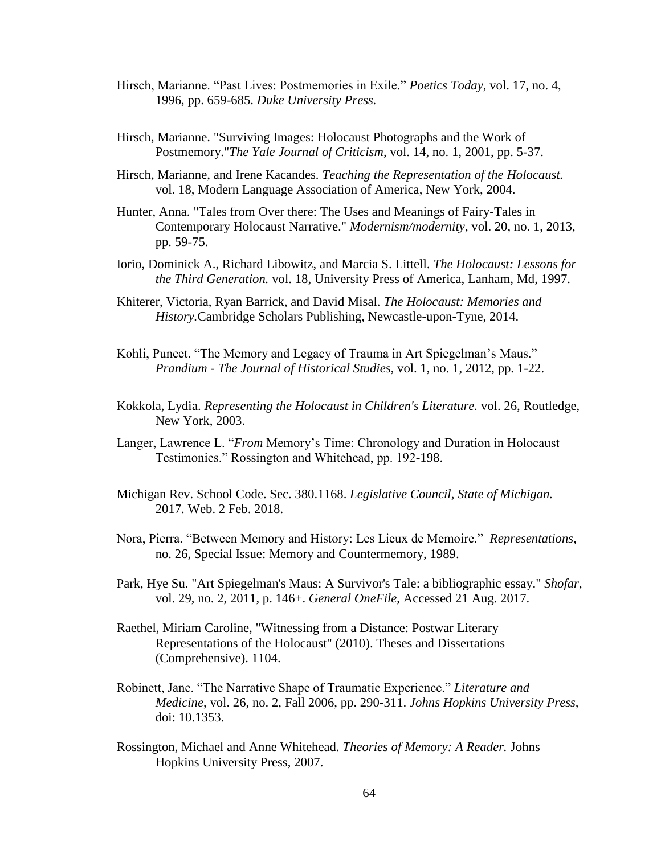- Hirsch, Marianne. "Past Lives: Postmemories in Exile." *Poetics Today*, vol. 17, no. 4, 1996, pp. 659-685. *Duke University Press.*
- Hirsch, Marianne. "Surviving Images: Holocaust Photographs and the Work of Postmemory."*The Yale Journal of Criticism*, vol. 14, no. 1, 2001, pp. 5-37.
- Hirsch, Marianne, and Irene Kacandes. *Teaching the Representation of the Holocaust.* vol. 18, Modern Language Association of America, New York, 2004.
- Hunter, Anna. "Tales from Over there: The Uses and Meanings of Fairy-Tales in Contemporary Holocaust Narrative." *Modernism/modernity*, vol. 20, no. 1, 2013, pp. 59-75.
- Iorio, Dominick A., Richard Libowitz, and Marcia S. Littell. *The Holocaust: Lessons for the Third Generation.* vol. 18, University Press of America, Lanham, Md, 1997.
- Khiterer, Victoria, Ryan Barrick, and David Misal. *The Holocaust: Memories and History.*Cambridge Scholars Publishing, Newcastle-upon-Tyne, 2014.
- Kohli, Puneet. "The Memory and Legacy of Trauma in Art Spiegelman's Maus." *Prandium - The Journal of Historical Studies*, vol. 1, no. 1, 2012, pp. 1-22.
- Kokkola, Lydia. *Representing the Holocaust in Children's Literature.* vol. 26, Routledge, New York, 2003.
- Langer, Lawrence L. "*From* Memory's Time: Chronology and Duration in Holocaust Testimonies." Rossington and Whitehead, pp. 192-198.
- Michigan Rev. School Code. Sec. 380.1168. *Legislative Council, State of Michigan.*  2017. Web. 2 Feb. 2018.
- Nora, Pierra. "Between Memory and History: Les Lieux de Memoire." *Representations*, no. 26, Special Issue: Memory and Countermemory, 1989.
- Park, Hye Su. "Art Spiegelman's Maus: A Survivor's Tale: a bibliographic essay." *Shofar*, vol. 29, no. 2, 2011, p. 146+. *General OneFile*, Accessed 21 Aug. 2017.
- Raethel, Miriam Caroline, "Witnessing from a Distance: Postwar Literary Representations of the Holocaust" (2010). Theses and Dissertations (Comprehensive). 1104.
- Robinett, Jane. "The Narrative Shape of Traumatic Experience." *Literature and Medicine*, vol. 26, no. 2, Fall 2006, pp. 290-311. *Johns Hopkins University Press,*  doi: 10.1353.
- Rossington, Michael and Anne Whitehead. *Theories of Memory: A Reader.* Johns Hopkins University Press, 2007.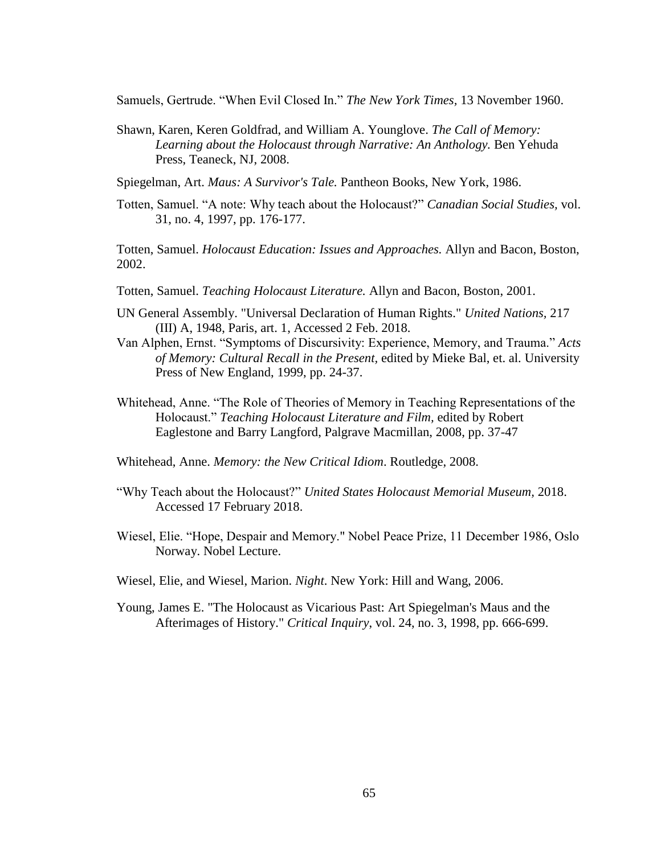Samuels, Gertrude. "When Evil Closed In." *The New York Times,* 13 November 1960.

- Shawn, Karen, Keren Goldfrad, and William A. Younglove. *The Call of Memory:*  Learning about the Holocaust through Narrative: An Anthology. Ben Yehuda Press, Teaneck, NJ, 2008.
- Spiegelman, Art. *Maus: A Survivor's Tale.* Pantheon Books, New York, 1986.
- Totten, Samuel. "A note: Why teach about the Holocaust?" *Canadian Social Studies,* vol. 31, no. 4, 1997, pp. 176-177.

Totten, Samuel. *Holocaust Education: Issues and Approaches.* Allyn and Bacon, Boston, 2002.

- Totten, Samuel. *Teaching Holocaust Literature.* Allyn and Bacon, Boston, 2001.
- UN General Assembly. "Universal Declaration of Human Rights." *United Nations,* 217 (III) A, 1948, Paris, art. 1, Accessed 2 Feb. 2018.
- Van Alphen, Ernst. "Symptoms of Discursivity: Experience, Memory, and Trauma." *Acts of Memory: Cultural Recall in the Present,* edited by Mieke Bal, et. al*.* University Press of New England, 1999, pp. 24-37.
- Whitehead, Anne. "The Role of Theories of Memory in Teaching Representations of the Holocaust." *Teaching Holocaust Literature and Film,* edited by Robert Eaglestone and Barry Langford, Palgrave Macmillan, 2008, pp. 37-47
- Whitehead, Anne. *Memory: the New Critical Idiom*. Routledge, 2008.
- "Why Teach about the Holocaust?" *United States Holocaust Memorial Museum,* 2018. Accessed 17 February 2018.
- Wiesel, Elie. "Hope, Despair and Memory." Nobel Peace Prize, 11 December 1986, Oslo Norway. Nobel Lecture.
- Wiesel, Elie, and Wiesel, Marion. *Night*. New York: Hill and Wang, 2006.
- Young, James E. "The Holocaust as Vicarious Past: Art Spiegelman's Maus and the Afterimages of History." *Critical Inquiry*, vol. 24, no. 3, 1998, pp. 666-699.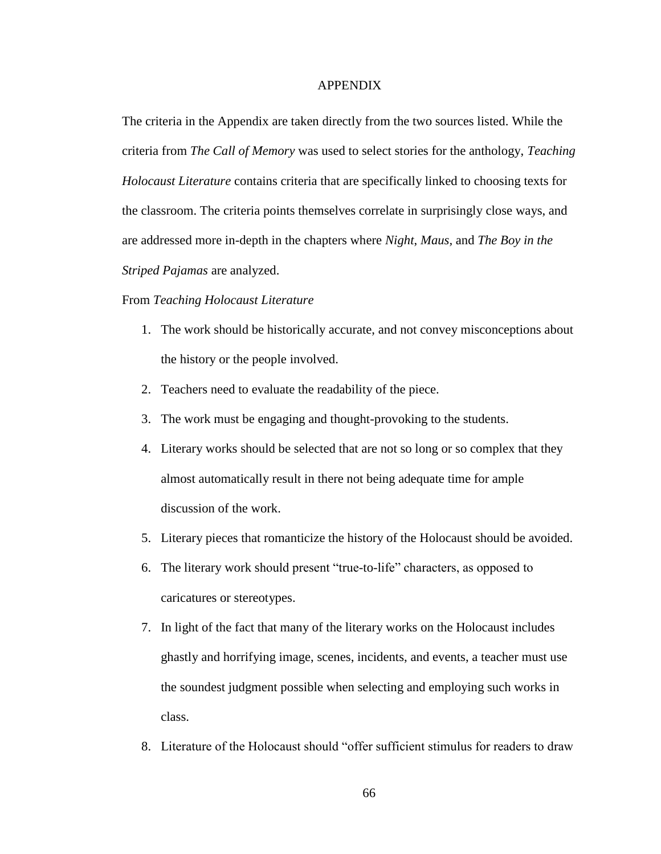### APPENDIX

The criteria in the Appendix are taken directly from the two sources listed. While the criteria from *The Call of Memory* was used to select stories for the anthology, *Teaching Holocaust Literature* contains criteria that are specifically linked to choosing texts for the classroom. The criteria points themselves correlate in surprisingly close ways, and are addressed more in-depth in the chapters where *Night*, *Maus,* and *The Boy in the Striped Pajamas* are analyzed.

### From *Teaching Holocaust Literature*

- 1. The work should be historically accurate, and not convey misconceptions about the history or the people involved.
- 2. Teachers need to evaluate the readability of the piece.
- 3. The work must be engaging and thought-provoking to the students.
- 4. Literary works should be selected that are not so long or so complex that they almost automatically result in there not being adequate time for ample discussion of the work.
- 5. Literary pieces that romanticize the history of the Holocaust should be avoided.
- 6. The literary work should present "true-to-life" characters, as opposed to caricatures or stereotypes.
- 7. In light of the fact that many of the literary works on the Holocaust includes ghastly and horrifying image, scenes, incidents, and events, a teacher must use the soundest judgment possible when selecting and employing such works in class.
- 8. Literature of the Holocaust should "offer sufficient stimulus for readers to draw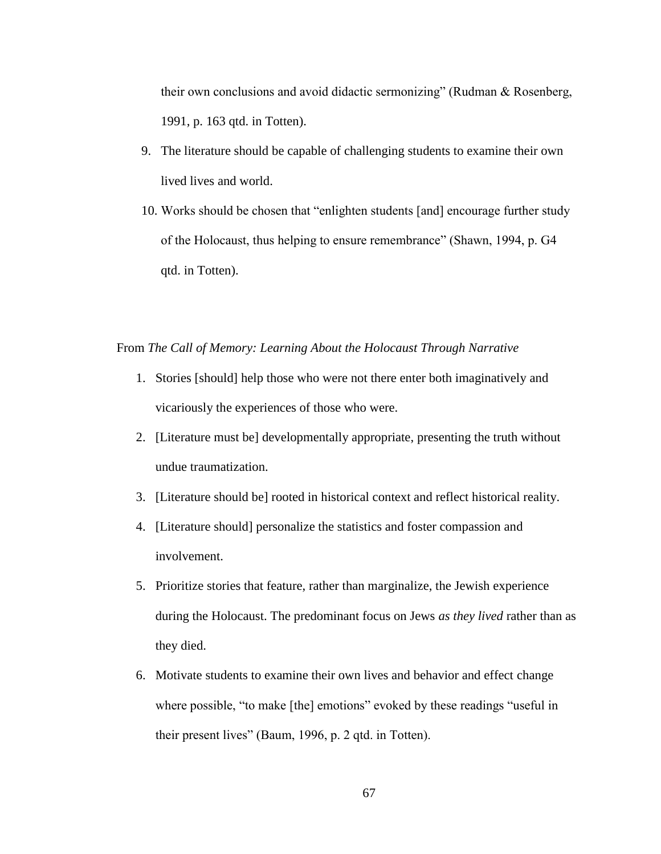their own conclusions and avoid didactic sermonizing" (Rudman & Rosenberg, 1991, p. 163 qtd. in Totten).

- 9. The literature should be capable of challenging students to examine their own lived lives and world.
- 10. Works should be chosen that "enlighten students [and] encourage further study of the Holocaust, thus helping to ensure remembrance" (Shawn, 1994, p. G4 qtd. in Totten).

# From *The Call of Memory: Learning About the Holocaust Through Narrative*

- 1. Stories [should] help those who were not there enter both imaginatively and vicariously the experiences of those who were.
- 2. [Literature must be] developmentally appropriate, presenting the truth without undue traumatization.
- 3. [Literature should be] rooted in historical context and reflect historical reality.
- 4. [Literature should] personalize the statistics and foster compassion and involvement.
- 5. Prioritize stories that feature, rather than marginalize, the Jewish experience during the Holocaust. The predominant focus on Jews *as they lived* rather than as they died.
- 6. Motivate students to examine their own lives and behavior and effect change where possible, "to make [the] emotions" evoked by these readings "useful in their present lives" (Baum, 1996, p. 2 qtd. in Totten).